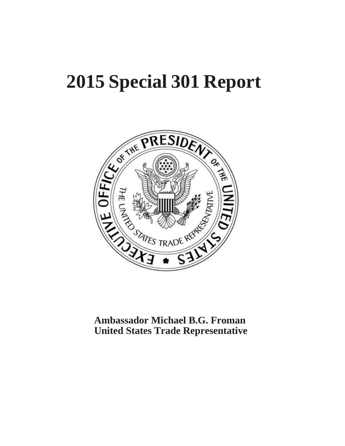# **2015 Special 301 Report**



**Ambassador Michael B.G. Froman United States Trade Representative**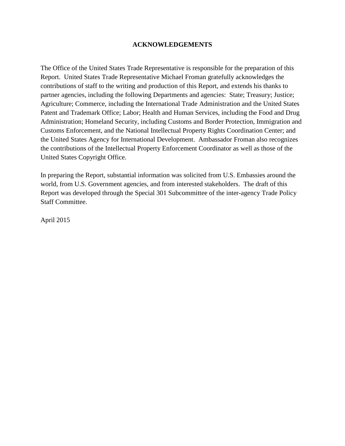#### **ACKNOWLEDGEMENTS**

The Office of the United States Trade Representative is responsible for the preparation of this Report. United States Trade Representative Michael Froman gratefully acknowledges the contributions of staff to the writing and production of this Report, and extends his thanks to partner agencies, including the following Departments and agencies: State; Treasury; Justice; Agriculture; Commerce, including the International Trade Administration and the United States Patent and Trademark Office; Labor; Health and Human Services, including the Food and Drug Administration; Homeland Security, including Customs and Border Protection, Immigration and Customs Enforcement, and the National Intellectual Property Rights Coordination Center; and the United States Agency for International Development. Ambassador Froman also recognizes the contributions of the Intellectual Property Enforcement Coordinator as well as those of the United States Copyright Office.

In preparing the Report, substantial information was solicited from U.S. Embassies around the world, from U.S. Government agencies, and from interested stakeholders. The draft of this Report was developed through the Special 301 Subcommittee of the inter-agency Trade Policy Staff Committee.

April 2015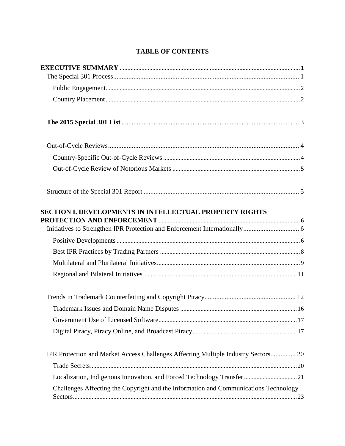# **TABLE OF CONTENTS**

| <b>SECTION I. DEVELOPMENTS IN INTELLECTUAL PROPERTY RIGHTS</b>                       |  |
|--------------------------------------------------------------------------------------|--|
|                                                                                      |  |
|                                                                                      |  |
|                                                                                      |  |
|                                                                                      |  |
|                                                                                      |  |
|                                                                                      |  |
|                                                                                      |  |
|                                                                                      |  |
|                                                                                      |  |
| IPR Protection and Market Access Challenges Affecting Multiple Industry Sectors 20   |  |
|                                                                                      |  |
|                                                                                      |  |
| Challenges Affecting the Copyright and the Information and Communications Technology |  |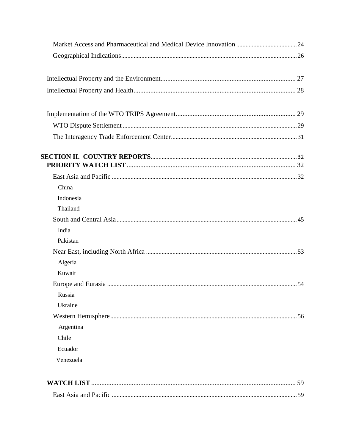| China<br>Indonesia<br>Thailand<br>India<br>Pakistan<br>Algeria<br>Kuwait<br>Russia<br>Ukraine<br>Argentina<br>Chile<br>Ecuador<br>Venezuela<br>59 |  |
|---------------------------------------------------------------------------------------------------------------------------------------------------|--|
|                                                                                                                                                   |  |
|                                                                                                                                                   |  |
|                                                                                                                                                   |  |
|                                                                                                                                                   |  |
|                                                                                                                                                   |  |
|                                                                                                                                                   |  |
|                                                                                                                                                   |  |
|                                                                                                                                                   |  |
|                                                                                                                                                   |  |
|                                                                                                                                                   |  |
|                                                                                                                                                   |  |
|                                                                                                                                                   |  |
|                                                                                                                                                   |  |
|                                                                                                                                                   |  |
|                                                                                                                                                   |  |
|                                                                                                                                                   |  |
|                                                                                                                                                   |  |
|                                                                                                                                                   |  |
|                                                                                                                                                   |  |
|                                                                                                                                                   |  |
|                                                                                                                                                   |  |
|                                                                                                                                                   |  |
|                                                                                                                                                   |  |
|                                                                                                                                                   |  |
|                                                                                                                                                   |  |
|                                                                                                                                                   |  |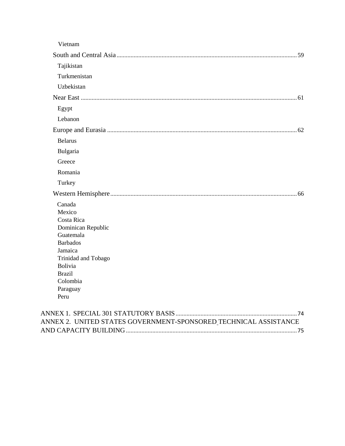| Vietnam                  |  |
|--------------------------|--|
|                          |  |
| Tajikistan               |  |
| Turkmenistan             |  |
| Uzbekistan               |  |
|                          |  |
| Egypt                    |  |
| Lebanon                  |  |
|                          |  |
| <b>Belarus</b>           |  |
| Bulgaria                 |  |
| Greece                   |  |
| Romania                  |  |
| Turkey                   |  |
|                          |  |
| Canada                   |  |
| Mexico                   |  |
| Costa Rica               |  |
| Dominican Republic       |  |
| Guatemala                |  |
| <b>Barbados</b>          |  |
| Jamaica                  |  |
| Trinidad and Tobago      |  |
| Bolivia<br><b>Brazil</b> |  |
| Colombia                 |  |
| Paraguay                 |  |
| Peru                     |  |

| ANNEX 2. UNITED STATES GOVERNMENT-SPONSORED TECHNICAL ASSISTANCE |  |
|------------------------------------------------------------------|--|
|                                                                  |  |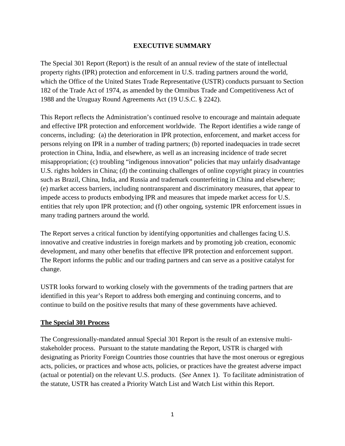#### **EXECUTIVE SUMMARY**

<span id="page-5-0"></span>The Special 301 Report (Report) is the result of an annual review of the state of intellectual property rights (IPR) protection and enforcement in U.S. trading partners around the world, which the Office of the United States Trade Representative (USTR) conducts pursuant to Section 182 of the Trade Act of 1974, as amended by the Omnibus Trade and Competitiveness Act of 1988 and the Uruguay Round Agreements Act (19 U.S.C. § 2242).

This Report reflects the Administration's continued resolve to encourage and maintain adequate and effective IPR protection and enforcement worldwide. The Report identifies a wide range of concerns, including: (a) the deterioration in IPR protection, enforcement, and market access for persons relying on IPR in a number of trading partners; (b) reported inadequacies in trade secret protection in China, India, and elsewhere, as well as an increasing incidence of trade secret misappropriation; (c) troubling "indigenous innovation" policies that may unfairly disadvantage U.S. rights holders in China; (d) the continuing challenges of online copyright piracy in countries such as Brazil, China, India, and Russia and trademark counterfeiting in China and elsewhere; (e) market access barriers, including nontransparent and discriminatory measures, that appear to impede access to products embodying IPR and measures that impede market access for U.S. entities that rely upon IPR protection; and (f) other ongoing, systemic IPR enforcement issues in many trading partners around the world.

The Report serves a critical function by identifying opportunities and challenges facing U.S. innovative and creative industries in foreign markets and by promoting job creation, economic development, and many other benefits that effective IPR protection and enforcement support. The Report informs the public and our trading partners and can serve as a positive catalyst for change.

USTR looks forward to working closely with the governments of the trading partners that are identified in this year's Report to address both emerging and continuing concerns, and to continue to build on the positive results that many of these governments have achieved.

## <span id="page-5-1"></span>**The Special 301 Process**

The Congressionally-mandated annual Special 301 Report is the result of an extensive multistakeholder process. Pursuant to the statute mandating the Report, USTR is charged with designating as Priority Foreign Countries those countries that have the most onerous or egregious acts, policies, or practices and whose acts, policies, or practices have the greatest adverse impact (actual or potential) on the relevant U.S. products. (*See* Annex 1). To facilitate administration of the statute, USTR has created a Priority Watch List and Watch List within this Report.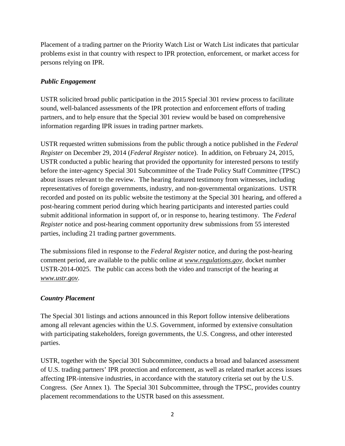Placement of a trading partner on the Priority Watch List or Watch List indicates that particular problems exist in that country with respect to IPR protection, enforcement, or market access for persons relying on IPR.

# <span id="page-6-0"></span>*Public Engagement*

USTR solicited broad public participation in the 2015 Special 301 review process to facilitate sound, well-balanced assessments of the IPR protection and enforcement efforts of trading partners, and to help ensure that the Special 301 review would be based on comprehensive information regarding IPR issues in trading partner markets.

USTR requested written submissions from the public through a notice published in the *Federal Register* on December 29, 2014 (*Federal Register* notice). In addition, on February 24, 2015, USTR conducted a public hearing that provided the opportunity for interested persons to testify before the inter-agency Special 301 Subcommittee of the Trade Policy Staff Committee (TPSC) about issues relevant to the review. The hearing featured testimony from witnesses, including representatives of foreign governments, industry, and non-governmental organizations. USTR recorded and posted on its public website the testimony at the Special 301 hearing, and offered a post-hearing comment period during which hearing participants and interested parties could submit additional information in support of, or in response to, hearing testimony. The *Federal Register* notice and post-hearing comment opportunity drew submissions from 55 interested parties, including 21 trading partner governments.

The submissions filed in response to the *Federal Register* notice, and during the post-hearing comment period, are available to the public online at *www.regulations.gov*, docket number USTR-2014-0025. The public can access both the video and transcript of the hearing at *www.ustr.gov*.

## <span id="page-6-1"></span>*Country Placement*

The Special 301 listings and actions announced in this Report follow intensive deliberations among all relevant agencies within the U.S. Government, informed by extensive consultation with participating stakeholders, foreign governments, the U.S. Congress, and other interested parties.

USTR, together with the Special 301 Subcommittee, conducts a broad and balanced assessment of U.S. trading partners' IPR protection and enforcement, as well as related market access issues affecting IPR-intensive industries, in accordance with the statutory criteria set out by the U.S. Congress. (*See* Annex 1). The Special 301 Subcommittee, through the TPSC, provides country placement recommendations to the USTR based on this assessment.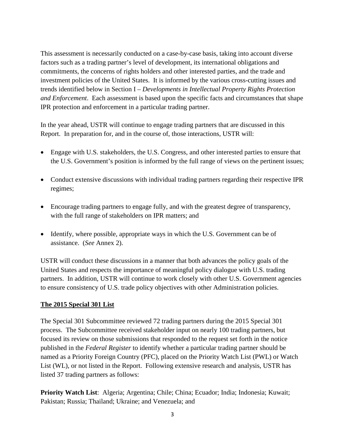This assessment is necessarily conducted on a case-by-case basis, taking into account diverse factors such as a trading partner's level of development, its international obligations and commitments, the concerns of rights holders and other interested parties, and the trade and investment policies of the United States. It is informed by the various cross-cutting issues and trends identified below in Section I *– Developments in Intellectual Property Rights Protection and Enforcement*. Each assessment is based upon the specific facts and circumstances that shape IPR protection and enforcement in a particular trading partner.

In the year ahead, USTR will continue to engage trading partners that are discussed in this Report. In preparation for, and in the course of, those interactions, USTR will:

- Engage with U.S. stakeholders, the U.S. Congress, and other interested parties to ensure that the U.S. Government's position is informed by the full range of views on the pertinent issues;
- Conduct extensive discussions with individual trading partners regarding their respective IPR regimes;
- Encourage trading partners to engage fully, and with the greatest degree of transparency, with the full range of stakeholders on IPR matters; and
- Identify, where possible, appropriate ways in which the U.S. Government can be of assistance. (*See* Annex 2).

USTR will conduct these discussions in a manner that both advances the policy goals of the United States and respects the importance of meaningful policy dialogue with U.S. trading partners. In addition, USTR will continue to work closely with other U.S. Government agencies to ensure consistency of U.S. trade policy objectives with other Administration policies.

#### <span id="page-7-0"></span>**The 2015 Special 301 List**

The Special 301 Subcommittee reviewed 72 trading partners during the 2015 Special 301 process. The Subcommittee received stakeholder input on nearly 100 trading partners, but focused its review on those submissions that responded to the request set forth in the notice published in the *Federal Register* to identify whether a particular trading partner should be named as a Priority Foreign Country (PFC), placed on the Priority Watch List (PWL) or Watch List (WL), or not listed in the Report. Following extensive research and analysis, USTR has listed 37 trading partners as follows:

**Priority Watch List**: Algeria; Argentina; Chile; China; Ecuador; India; Indonesia; Kuwait; Pakistan; Russia; Thailand; Ukraine; and Venezuela; and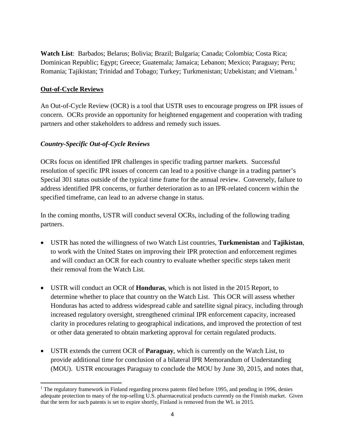**Watch List**: Barbados; Belarus; Bolivia; Brazil; Bulgaria; Canada; Colombia; Costa Rica; Dominican Republic; Egypt; Greece; Guatemala; Jamaica; Lebanon; Mexico; Paraguay; Peru; Romania; Tajikistan; Trinidad and Tobago; Turkey; Turkmenistan; Uzbekistan; and Vietnam.[1](#page-8-2)

## <span id="page-8-0"></span>**Out-of-Cycle Reviews**

An Out-of-Cycle Review (OCR) is a tool that USTR uses to encourage progress on IPR issues of concern. OCRs provide an opportunity for heightened engagement and cooperation with trading partners and other stakeholders to address and remedy such issues.

## <span id="page-8-1"></span>*Country-Specific Out-of-Cycle Reviews*

OCRs focus on identified IPR challenges in specific trading partner markets. Successful resolution of specific IPR issues of concern can lead to a positive change in a trading partner's Special 301 status outside of the typical time frame for the annual review. Conversely, failure to address identified IPR concerns, or further deterioration as to an IPR-related concern within the specified timeframe, can lead to an adverse change in status.

In the coming months, USTR will conduct several OCRs, including of the following trading partners.

- USTR has noted the willingness of two Watch List countries, **Turkmenistan** and **Tajikistan**, to work with the United States on improving their IPR protection and enforcement regimes and will conduct an OCR for each country to evaluate whether specific steps taken merit their removal from the Watch List.
- USTR will conduct an OCR of **Honduras**, which is not listed in the 2015 Report, to determine whether to place that country on the Watch List. This OCR will assess whether Honduras has acted to address widespread cable and satellite signal piracy, including through increased regulatory oversight, strengthened criminal IPR enforcement capacity, increased clarity in procedures relating to geographical indications, and improved the protection of test or other data generated to obtain marketing approval for certain regulated products.
- USTR extends the current OCR of **Paraguay**, which is currently on the Watch List, to provide additional time for conclusion of a bilateral IPR Memorandum of Understanding (MOU). USTR encourages Paraguay to conclude the MOU by June 30, 2015, and notes that,

<span id="page-8-2"></span><sup>&</sup>lt;sup>1</sup> The regulatory framework in Finland regarding process patents filed before 1995, and pending in 1996, denies adequate protection to many of the top-selling U.S. pharmaceutical products currently on the Finnish market. Given that the term for such patents is set to expire shortly, Finland is removed from the WL in 2015.  $\overline{\phantom{a}}$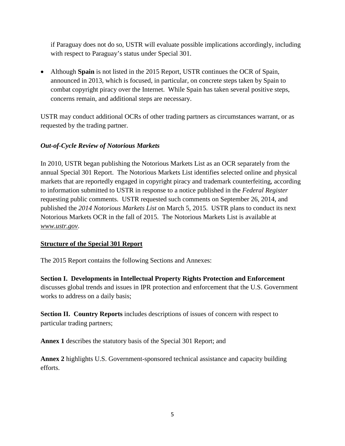if Paraguay does not do so, USTR will evaluate possible implications accordingly, including with respect to Paraguay's status under Special 301.

• Although **Spain** is not listed in the 2015 Report, USTR continues the OCR of Spain, announced in 2013, which is focused, in particular, on concrete steps taken by Spain to combat copyright piracy over the Internet. While Spain has taken several positive steps, concerns remain, and additional steps are necessary.

USTR may conduct additional OCRs of other trading partners as circumstances warrant, or as requested by the trading partner.

# <span id="page-9-0"></span>*Out-of-Cycle Review of Notorious Markets*

In 2010, USTR began publishing the Notorious Markets List as an OCR separately from the annual Special 301 Report. The Notorious Markets List identifies selected online and physical markets that are reportedly engaged in copyright piracy and trademark counterfeiting, according to information submitted to USTR in response to a notice published in the *Federal Register* requesting public comments. USTR requested such comments on September 26, 2014, and published the *2014 Notorious Markets List* on March 5, 2015. USTR plans to conduct its next Notorious Markets OCR in the fall of 2015. The Notorious Markets List is available at *www.ustr.gov*.

# <span id="page-9-1"></span>**Structure of the Special 301 Report**

The 2015 Report contains the following Sections and Annexes:

**Section I. Developments in Intellectual Property Rights Protection and Enforcement** discusses global trends and issues in IPR protection and enforcement that the U.S. Government works to address on a daily basis;

**Section II. Country Reports** includes descriptions of issues of concern with respect to particular trading partners;

**Annex 1** describes the statutory basis of the Special 301 Report; and

**Annex 2** highlights U.S. Government-sponsored technical assistance and capacity building efforts.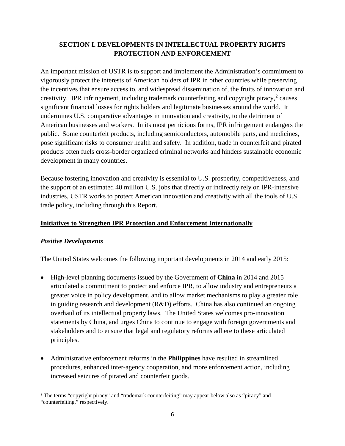# <span id="page-10-0"></span>**SECTION I. DEVELOPMENTS IN INTELLECTUAL PROPERTY RIGHTS PROTECTION AND ENFORCEMENT**

An important mission of USTR is to support and implement the Administration's commitment to vigorously protect the interests of American holders of IPR in other countries while preserving the incentives that ensure access to, and widespread dissemination of, the fruits of innovation and creativity. IPR infringement, including trademark counterfeiting and copyright piracy, $2$  causes significant financial losses for rights holders and legitimate businesses around the world. It undermines U.S. comparative advantages in innovation and creativity, to the detriment of American businesses and workers. In its most pernicious forms, IPR infringement endangers the public. Some counterfeit products, including semiconductors, automobile parts, and medicines, pose significant risks to consumer health and safety. In addition, trade in counterfeit and pirated products often fuels cross-border organized criminal networks and hinders sustainable economic development in many countries.

Because fostering innovation and creativity is essential to U.S. prosperity, competitiveness, and the support of an estimated 40 million U.S. jobs that directly or indirectly rely on IPR-intensive industries, USTR works to protect American innovation and creativity with all the tools of U.S. trade policy, including through this Report.

## <span id="page-10-1"></span>**Initiatives to Strengthen IPR Protection and Enforcement Internationally**

## <span id="page-10-2"></span>*Positive Developments*

 $\overline{\phantom{a}}$ 

The United States welcomes the following important developments in 2014 and early 2015:

- High-level planning documents issued by the Government of **China** in 2014 and 2015 articulated a commitment to protect and enforce IPR, to allow industry and entrepreneurs a greater voice in policy development, and to allow market mechanisms to play a greater role in guiding research and development  $(R&D)$  efforts. China has also continued an ongoing overhaul of its intellectual property laws. The United States welcomes pro-innovation statements by China, and urges China to continue to engage with foreign governments and stakeholders and to ensure that legal and regulatory reforms adhere to these articulated principles.
- Administrative enforcement reforms in the **Philippines** have resulted in streamlined procedures, enhanced inter-agency cooperation, and more enforcement action, including increased seizures of pirated and counterfeit goods.

<span id="page-10-3"></span><sup>2</sup> The terms "copyright piracy" and "trademark counterfeiting" may appear below also as "piracy" and "counterfeiting," respectively.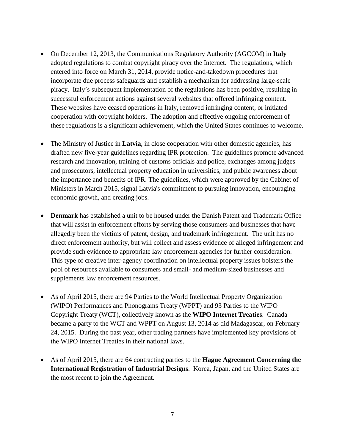- On December 12, 2013, the Communications Regulatory Authority (AGCOM) in **Italy** adopted regulations to combat copyright piracy over the Internet. The regulations, which entered into force on March 31, 2014, provide notice-and-takedown procedures that incorporate due process safeguards and establish a mechanism for addressing large-scale piracy. Italy's subsequent implementation of the regulations has been positive, resulting in successful enforcement actions against several websites that offered infringing content. These websites have ceased operations in Italy, removed infringing content, or initiated cooperation with copyright holders. The adoption and effective ongoing enforcement of these regulations is a significant achievement, which the United States continues to welcome.
- The Ministry of Justice in **Latvia**, in close cooperation with other domestic agencies, has drafted new five-year guidelines regarding IPR protection. The guidelines promote advanced research and innovation, training of customs officials and police, exchanges among judges and prosecutors, intellectual property education in universities, and public awareness about the importance and benefits of IPR. The guidelines, which were approved by the Cabinet of Ministers in March 2015, signal Latvia's commitment to pursuing innovation, encouraging economic growth, and creating jobs.
- **Denmark** has established a unit to be housed under the Danish Patent and Trademark Office that will assist in enforcement efforts by serving those consumers and businesses that have allegedly been the victims of patent, design, and trademark infringement. The unit has no direct enforcement authority, but will collect and assess evidence of alleged infringement and provide such evidence to appropriate law enforcement agencies for further consideration. This type of creative inter-agency coordination on intellectual property issues bolsters the pool of resources available to consumers and small- and medium-sized businesses and supplements law enforcement resources.
- As of April 2015, there are 94 Parties to the World Intellectual Property Organization (WIPO) Performances and Phonograms Treaty (WPPT) and 93 Parties to the WIPO Copyright Treaty (WCT), collectively known as the **WIPO Internet Treaties**. Canada became a party to the WCT and WPPT on August 13, 2014 as did Madagascar, on February 24, 2015. During the past year, other trading partners have implemented key provisions of the WIPO Internet Treaties in their national laws.
- As of April 2015, there are 64 contracting parties to the **Hague Agreement Concerning the International Registration of Industrial Designs**. Korea, Japan, and the United States are the most recent to join the Agreement.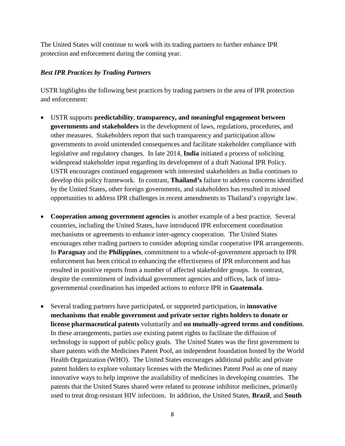The United States will continue to work with its trading partners to further enhance IPR protection and enforcement during the coming year.

## <span id="page-12-0"></span>*Best IPR Practices by Trading Partners*

USTR highlights the following best practices by trading partners in the area of IPR protection and enforcement:

- USTR supports **predictability**, **transparency, and meaningful engagement between governments and stakeholders** in the development of laws, regulations, procedures, and other measures. Stakeholders report that such transparency and participation allow governments to avoid unintended consequences and facilitate stakeholder compliance with legislative and regulatory changes. In late 2014, **India** initiated a process of soliciting widespread stakeholder input regarding its development of a draft National IPR Policy. USTR encourages continued engagement with interested stakeholders as India continues to develop this policy framework. In contrast, **Thailand's** failure to address concerns identified by the United States, other foreign governments, and stakeholders has resulted in missed opportunities to address IPR challenges in recent amendments to Thailand's copyright law.
- **Cooperation among government agencies** is another example of a best practice. Several countries, including the United States, have introduced IPR enforcement coordination mechanisms or agreements to enhance inter-agency cooperation. The United States encourages other trading partners to consider adopting similar cooperative IPR arrangements. In **Paraguay** and the **Philippines**, commitment to a whole-of-government approach to IPR enforcement has been critical to enhancing the effectiveness of IPR enforcement and has resulted in positive reports from a number of affected stakeholder groups. In contrast, despite the commitment of individual government agencies and offices, lack of intragovernmental coordination has impeded actions to enforce IPR in **Guatemala**.
- Several trading partners have participated, or supported participation, in **innovative mechanisms that enable government and private sector rights holders to donate or license pharmaceutical patents** voluntarily and **on mutually-agreed terms and conditions**. In these arrangements, parties use existing patent rights to facilitate the diffusion of technology in support of public policy goals. The United States was the first government to share patents with the Medicines Patent Pool, an independent foundation hosted by the World Health Organization (WHO). The United States encourages additional public and private patent holders to explore voluntary licenses with the Medicines Patent Pool as one of many innovative ways to help improve the availability of medicines in developing countries. The patents that the United States shared were related to protease inhibitor medicines, primarily used to treat drug-resistant HIV infections. In addition, the United States, **Brazil**, and **South**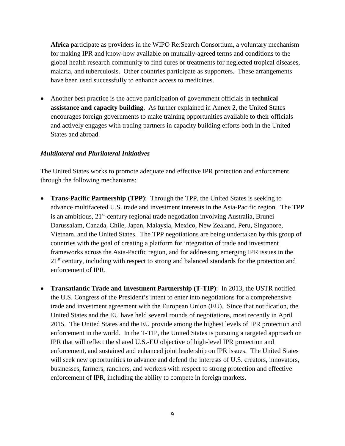**Africa** participate as providers in the WIPO Re:Search Consortium, a voluntary mechanism for making IPR and know-how available on mutually-agreed terms and conditions to the global health research community to find cures or treatments for neglected tropical diseases, malaria, and tuberculosis. Other countries participate as supporters. These arrangements have been used successfully to enhance access to medicines.

• Another best practice is the active participation of government officials in **technical assistance and capacity building**. As further explained in Annex 2, the United States encourages foreign governments to make training opportunities available to their officials and actively engages with trading partners in capacity building efforts both in the United States and abroad.

#### <span id="page-13-0"></span>*Multilateral and Plurilateral Initiatives*

The United States works to promote adequate and effective IPR protection and enforcement through the following mechanisms:

- **Trans-Pacific Partnership (TPP)**: Through the TPP, the United States is seeking to advance multifaceted U.S. trade and investment interests in the Asia-Pacific region. The TPP is an ambitious, 21<sup>st</sup>-century regional trade negotiation involving Australia, Brunei Darussalam, Canada, Chile, Japan, Malaysia, Mexico, New Zealand, Peru, Singapore, Vietnam, and the United States. The TPP negotiations are being undertaken by this group of countries with the goal of creating a platform for integration of trade and investment frameworks across the Asia-Pacific region, and for addressing emerging IPR issues in the 21<sup>st</sup> century, including with respect to strong and balanced standards for the protection and enforcement of IPR.
- **Transatlantic Trade and Investment Partnership (T-TIP)**: In 2013, the USTR notified the U.S. Congress of the President's intent to enter into negotiations for a comprehensive trade and investment agreement with the European Union (EU). Since that notification, the United States and the EU have held several rounds of negotiations, most recently in April 2015. The United States and the EU provide among the highest levels of IPR protection and enforcement in the world. In the T-TIP, the United States is pursuing a targeted approach on IPR that will reflect the shared U.S.-EU objective of high-level IPR protection and enforcement, and sustained and enhanced joint leadership on IPR issues. The United States will seek new opportunities to advance and defend the interests of U.S. creators, innovators, businesses, farmers, ranchers, and workers with respect to strong protection and effective enforcement of IPR, including the ability to compete in foreign markets.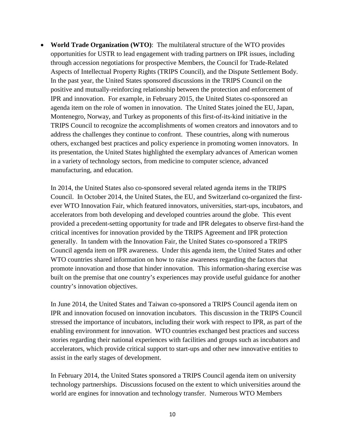• **World Trade Organization (WTO)**: The multilateral structure of the WTO provides opportunities for USTR to lead engagement with trading partners on IPR issues, including through accession negotiations for prospective Members, the Council for Trade-Related Aspects of Intellectual Property Rights (TRIPS Council), and the Dispute Settlement Body. In the past year, the United States sponsored discussions in the TRIPS Council on the positive and mutually-reinforcing relationship between the protection and enforcement of IPR and innovation. For example, in February 2015, the United States co-sponsored an agenda item on the role of women in innovation. The United States joined the EU, Japan, Montenegro, Norway, and Turkey as proponents of this first-of-its-kind initiative in the TRIPS Council to recognize the accomplishments of women creators and innovators and to address the challenges they continue to confront. These countries, along with numerous others, exchanged best practices and policy experience in promoting women innovators. In its presentation, the United States highlighted the exemplary advances of American women in a variety of technology sectors, from medicine to computer science, advanced manufacturing, and education.

In 2014, the United States also co-sponsored several related agenda items in the TRIPS Council. In October 2014, the United States, the EU, and Switzerland co-organized the firstever WTO Innovation Fair, which featured innovators, universities, start-ups, incubators, and accelerators from both developing and developed countries around the globe. This event provided a precedent-setting opportunity for trade and IPR delegates to observe first-hand the critical incentives for innovation provided by the TRIPS Agreement and IPR protection generally. In tandem with the Innovation Fair, the United States co-sponsored a TRIPS Council agenda item on IPR awareness. Under this agenda item, the United States and other WTO countries shared information on how to raise awareness regarding the factors that promote innovation and those that hinder innovation. This information-sharing exercise was built on the premise that one country's experiences may provide useful guidance for another country's innovation objectives.

In June 2014, the United States and Taiwan co-sponsored a TRIPS Council agenda item on IPR and innovation focused on innovation incubators. This discussion in the TRIPS Council stressed the importance of incubators, including their work with respect to IPR, as part of the enabling environment for innovation. WTO countries exchanged best practices and success stories regarding their national experiences with facilities and groups such as incubators and accelerators, which provide critical support to start-ups and other new innovative entities to assist in the early stages of development.

In February 2014, the United States sponsored a TRIPS Council agenda item on university technology partnerships. Discussions focused on the extent to which universities around the world are engines for innovation and technology transfer. Numerous WTO Members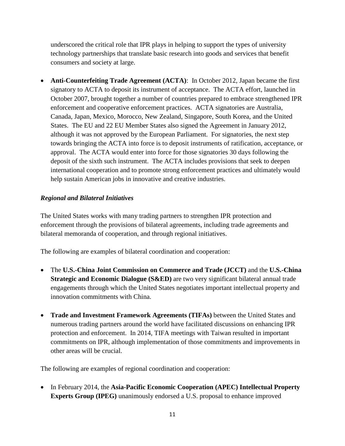underscored the critical role that IPR plays in helping to support the types of university technology partnerships that translate basic research into goods and services that benefit consumers and society at large.

• **Anti-Counterfeiting Trade Agreement (ACTA):** In October 2012, Japan became the first signatory to ACTA to deposit its instrument of acceptance. The ACTA effort, launched in October 2007, brought together a number of countries prepared to embrace strengthened IPR enforcement and cooperative enforcement practices. ACTA signatories are Australia, Canada, Japan, Mexico, Morocco, New Zealand, Singapore, South Korea, and the United States. The EU and 22 EU Member States also signed the Agreement in January 2012, although it was not approved by the European Parliament. For signatories, the next step towards bringing the ACTA into force is to deposit instruments of ratification, acceptance, or approval. The ACTA would enter into force for those signatories 30 days following the deposit of the sixth such instrument. The ACTA includes provisions that seek to deepen international cooperation and to promote strong enforcement practices and ultimately would help sustain American jobs in innovative and creative industries.

## <span id="page-15-0"></span>*Regional and Bilateral Initiatives*

The United States works with many trading partners to strengthen IPR protection and enforcement through the provisions of bilateral agreements, including trade agreements and bilateral memoranda of cooperation, and through regional initiatives.

The following are examples of bilateral coordination and cooperation:

- The **U.S.-China Joint Commission on Commerce and Trade (JCCT)** and the **U.S.-China Strategic and Economic Dialogue (S&ED)** are two very significant bilateral annual trade engagements through which the United States negotiates important intellectual property and innovation commitments with China.
- **Trade and Investment Framework Agreements (TIFAs)** between the United States and numerous trading partners around the world have facilitated discussions on enhancing IPR protection and enforcement. In 2014, TIFA meetings with Taiwan resulted in important commitments on IPR, although implementation of those commitments and improvements in other areas will be crucial.

The following are examples of regional coordination and cooperation:

• In February 2014, the **Asia-Pacific Economic Cooperation (APEC) Intellectual Property Experts Group (IPEG)** unanimously endorsed a U.S. proposal to enhance improved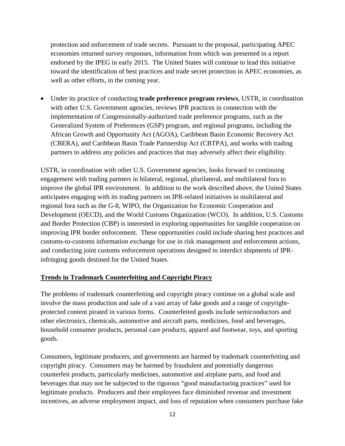protection and enforcement of trade secrets. Pursuant to the proposal, participating APEC economies returned survey responses, information from which was presented in a report endorsed by the IPEG in early 2015. The United States will continue to lead this initiative toward the identification of best practices and trade secret protection in APEC economies, as well as other efforts, in the coming year.

• Under its practice of conducting **trade preference program reviews**, USTR, in coordination with other U.S. Government agencies, reviews IPR practices in connection with the implementation of Congressionally-authorized trade preference programs, such as the Generalized System of Preferences (GSP) program, and regional programs, including the African Growth and Opportunity Act (AGOA), Caribbean Basin Economic Recovery Act (CBERA), and Caribbean Basin Trade Partnership Act (CBTPA), and works with trading partners to address any policies and practices that may adversely affect their eligibility.

USTR, in coordination with other U.S. Government agencies, looks forward to continuing engagement with trading partners in bilateral, regional, plurilateral, and multilateral fora to improve the global IPR environment. In addition to the work described above, the United States anticipates engaging with its trading partners on IPR-related initiatives in multilateral and regional fora such as the G-8, WIPO, the Organization for Economic Cooperation and Development (OECD), and the World Customs Organization (WCO). In addition, U.S. Customs and Border Protection (CBP) is interested in exploring opportunities for tangible cooperation on improving IPR border enforcement. These opportunities could include sharing best practices and customs-to-customs information exchange for use in risk management and enforcement actions, and conducting joint customs enforcement operations designed to interdict shipments of IPRinfringing goods destined for the United States.

## <span id="page-16-0"></span>**Trends in Trademark Counterfeiting and Copyright Piracy**

The problems of trademark counterfeiting and copyright piracy continue on a global scale and involve the mass production and sale of a vast array of fake goods and a range of copyrightprotected content pirated in various forms. Counterfeited goods include semiconductors and other electronics, chemicals, automotive and aircraft parts, medicines, food and beverages, household consumer products, personal care products, apparel and footwear, toys, and sporting goods.

Consumers, legitimate producers, and governments are harmed by trademark counterfeiting and copyright piracy. Consumers may be harmed by fraudulent and potentially dangerous counterfeit products, particularly medicines, automotive and airplane parts, and food and beverages that may not be subjected to the rigorous "good manufacturing practices" used for legitimate products. Producers and their employees face diminished revenue and investment incentives, an adverse employment impact, and loss of reputation when consumers purchase fake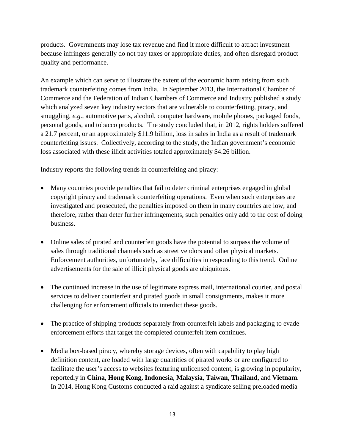products. Governments may lose tax revenue and find it more difficult to attract investment because infringers generally do not pay taxes or appropriate duties, and often disregard product quality and performance.

An example which can serve to illustrate the extent of the economic harm arising from such trademark counterfeiting comes from India. In September 2013, the International Chamber of Commerce and the Federation of Indian Chambers of Commerce and Industry published a study which analyzed seven key industry sectors that are vulnerable to counterfeiting, piracy, and smuggling, *e.g*., automotive parts, alcohol, computer hardware, mobile phones, packaged foods, personal goods, and tobacco products. The study concluded that, in 2012, rights holders suffered a 21.7 percent, or an approximately \$11.9 billion, loss in sales in India as a result of trademark counterfeiting issues. Collectively, according to the study, the Indian government's economic loss associated with these illicit activities totaled approximately \$4.26 billion.

Industry reports the following trends in counterfeiting and piracy:

- Many countries provide penalties that fail to deter criminal enterprises engaged in global copyright piracy and trademark counterfeiting operations. Even when such enterprises are investigated and prosecuted, the penalties imposed on them in many countries are low, and therefore, rather than deter further infringements, such penalties only add to the cost of doing business.
- Online sales of pirated and counterfeit goods have the potential to surpass the volume of sales through traditional channels such as street vendors and other physical markets. Enforcement authorities, unfortunately, face difficulties in responding to this trend. Online advertisements for the sale of illicit physical goods are ubiquitous.
- The continued increase in the use of legitimate express mail, international courier, and postal services to deliver counterfeit and pirated goods in small consignments, makes it more challenging for enforcement officials to interdict these goods.
- The practice of shipping products separately from counterfeit labels and packaging to evade enforcement efforts that target the completed counterfeit item continues.
- Media box-based piracy, whereby storage devices, often with capability to play high definition content, are loaded with large quantities of pirated works or are configured to facilitate the user's access to websites featuring unlicensed content, is growing in popularity, reportedly in **China**, **Hong Kong, Indonesia**, **Malaysia**, **Taiwan**, **Thailand**, and **Vietnam**. In 2014, Hong Kong Customs conducted a raid against a syndicate selling preloaded media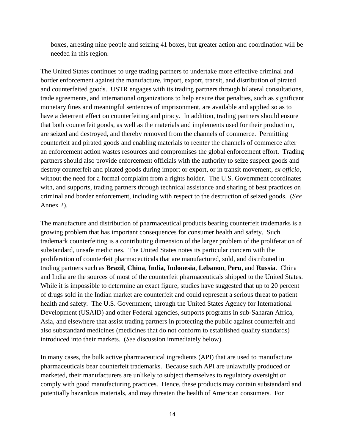boxes, arresting nine people and seizing 41 boxes, but greater action and coordination will be needed in this region.

The United States continues to urge trading partners to undertake more effective criminal and border enforcement against the manufacture, import, export, transit, and distribution of pirated and counterfeited goods. USTR engages with its trading partners through bilateral consultations, trade agreements, and international organizations to help ensure that penalties, such as significant monetary fines and meaningful sentences of imprisonment, are available and applied so as to have a deterrent effect on counterfeiting and piracy. In addition, trading partners should ensure that both counterfeit goods, as well as the materials and implements used for their production, are seized and destroyed, and thereby removed from the channels of commerce. Permitting counterfeit and pirated goods and enabling materials to reenter the channels of commerce after an enforcement action wastes resources and compromises the global enforcement effort. Trading partners should also provide enforcement officials with the authority to seize suspect goods and destroy counterfeit and pirated goods during import or export, or in transit movement, *ex officio*, without the need for a formal complaint from a rights holder. The U.S. Government coordinates with, and supports, trading partners through technical assistance and sharing of best practices on criminal and border enforcement, including with respect to the destruction of seized goods. (*See* Annex 2).

The manufacture and distribution of pharmaceutical products bearing counterfeit trademarks is a growing problem that has important consequences for consumer health and safety. Such trademark counterfeiting is a contributing dimension of the larger problem of the proliferation of substandard, unsafe medicines. The United States notes its particular concern with the proliferation of counterfeit pharmaceuticals that are manufactured, sold, and distributed in trading partners such as **Brazil**, **China**, **India**, **Indonesia**, **Lebanon**, **Peru**, and **Russia**. China and India are the sources of most of the counterfeit pharmaceuticals shipped to the United States. While it is impossible to determine an exact figure, studies have suggested that up to 20 percent of drugs sold in the Indian market are counterfeit and could represent a serious threat to patient health and safety. The U.S. Government, through the United States Agency for International Development (USAID) and other Federal agencies, supports programs in sub-Saharan Africa, Asia, and elsewhere that assist trading partners in protecting the public against counterfeit and also substandard medicines (medicines that do not conform to established quality standards) introduced into their markets. (*See* discussion immediately below).

In many cases, the bulk active pharmaceutical ingredients (API) that are used to manufacture pharmaceuticals bear counterfeit trademarks. Because such API are unlawfully produced or marketed, their manufacturers are unlikely to subject themselves to regulatory oversight or comply with good manufacturing practices. Hence, these products may contain substandard and potentially hazardous materials, and may threaten the health of American consumers. For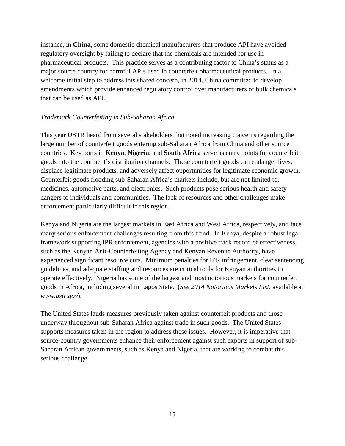instance, in **China**, some domestic chemical manufacturers that produce API have avoided regulatory oversight by failing to declare that the chemicals are intended for use in pharmaceutical products. This practice serves as a contributing factor to China's status as a major source country for harmful APIs used in counterfeit pharmaceutical products. In a welcome initial step to address this shared concern, in 2014, China committed to develop amendments which provide enhanced regulatory control over manufacturers of bulk chemicals that can be used as API.

## *Trademark Counterfeiting in Sub-Saharan Africa*

This year USTR heard from several stakeholders that noted increasing concerns regarding the large number of counterfeit goods entering sub-Saharan Africa from China and other source countries. Key ports in **Kenya**, **Nigeria**, and **South Africa** serve as entry points for counterfeit goods into the continent's distribution channels. These counterfeit goods can endanger lives, displace legitimate products, and adversely affect opportunities for legitimate economic growth. Counterfeit goods flooding sub-Saharan Africa's markets include, but are not limited to, medicines, automotive parts, and electronics. Such products pose serious health and safety dangers to individuals and communities. The lack of resources and other challenges make enforcement particularly difficult in this region.

Kenya and Nigeria are the largest markets in East Africa and West Africa, respectively, and face many serious enforcement challenges resulting from this trend. In Kenya, despite a robust legal framework supporting IPR enforcement, agencies with a positive track record of effectiveness, such as the Kenyan Anti-Counterfeiting Agency and Kenyan Revenue Authority, have experienced significant resource cuts. Minimum penalties for IPR infringement, clear sentencing guidelines, and adequate staffing and resources are critical tools for Kenyan authorities to operate effectively. Nigeria has some of the largest and most notorious markets for counterfeit goods in Africa, including several in Lagos State. (*See 2014 Notorious Markets List*, available at *www.ustr.gov*).

The United States lauds measures previously taken against counterfeit products and those underway throughout sub-Saharan Africa against trade in such goods. The United States supports measures taken in the region to address these issues. However, it is imperative that source-country governments enhance their enforcement against such exports in support of sub-Saharan African governments, such as Kenya and Nigeria, that are working to combat this serious challenge.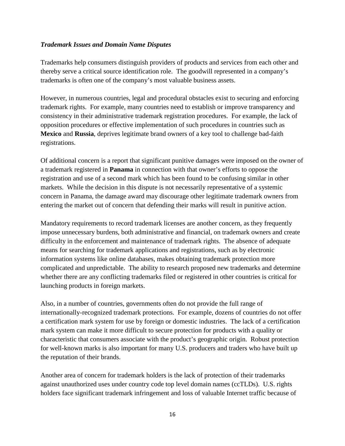#### <span id="page-20-0"></span>*Trademark Issues and Domain Name Disputes*

Trademarks help consumers distinguish providers of products and services from each other and thereby serve a critical source identification role. The goodwill represented in a company's trademarks is often one of the company's most valuable business assets.

However, in numerous countries, legal and procedural obstacles exist to securing and enforcing trademark rights. For example, many countries need to establish or improve transparency and consistency in their administrative trademark registration procedures. For example, the lack of opposition procedures or effective implementation of such procedures in countries such as **Mexico** and **Russia**, deprives legitimate brand owners of a key tool to challenge bad-faith registrations.

Of additional concern is a report that significant punitive damages were imposed on the owner of a trademark registered in **Panama** in connection with that owner's efforts to oppose the registration and use of a second mark which has been found to be confusing similar in other markets. While the decision in this dispute is not necessarily representative of a systemic concern in Panama, the damage award may discourage other legitimate trademark owners from entering the market out of concern that defending their marks will result in punitive action.

Mandatory requirements to record trademark licenses are another concern, as they frequently impose unnecessary burdens, both administrative and financial, on trademark owners and create difficulty in the enforcement and maintenance of trademark rights. The absence of adequate means for searching for trademark applications and registrations, such as by electronic information systems like online databases, makes obtaining trademark protection more complicated and unpredictable. The ability to research proposed new trademarks and determine whether there are any conflicting trademarks filed or registered in other countries is critical for launching products in foreign markets.

Also, in a number of countries, governments often do not provide the full range of internationally-recognized trademark protections. For example, dozens of countries do not offer a certification mark system for use by foreign or domestic industries. The lack of a certification mark system can make it more difficult to secure protection for products with a quality or characteristic that consumers associate with the product's geographic origin. Robust protection for well-known marks is also important for many U.S. producers and traders who have built up the reputation of their brands.

Another area of concern for trademark holders is the lack of protection of their trademarks against unauthorized uses under country code top level domain names (ccTLDs). U.S. rights holders face significant trademark infringement and loss of valuable Internet traffic because of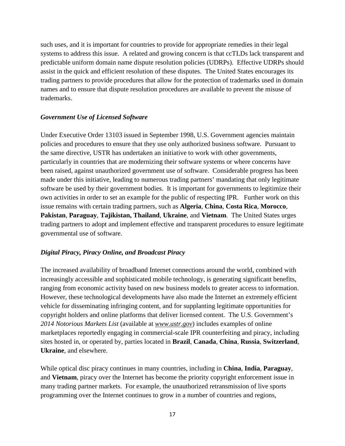such uses, and it is important for countries to provide for appropriate remedies in their legal systems to address this issue. A related and growing concern is that ccTLDs lack transparent and predictable uniform domain name dispute resolution policies (UDRPs). Effective UDRPs should assist in the quick and efficient resolution of these disputes. The United States encourages its trading partners to provide procedures that allow for the protection of trademarks used in domain names and to ensure that dispute resolution procedures are available to prevent the misuse of trademarks.

#### <span id="page-21-0"></span>*Government Use of Licensed Software*

Under Executive Order 13103 issued in September 1998, U.S. Government agencies maintain policies and procedures to ensure that they use only authorized business software. Pursuant to the same directive, USTR has undertaken an initiative to work with other governments, particularly in countries that are modernizing their software systems or where concerns have been raised, against unauthorized government use of software. Considerable progress has been made under this initiative, leading to numerous trading partners' mandating that only legitimate software be used by their government bodies. It is important for governments to legitimize their own activities in order to set an example for the public of respecting IPR. Further work on this issue remains with certain trading partners, such as **Algeria**, **China**, **Costa Rica**, **Morocco**, **Pakistan**, **Paraguay**, **Tajikistan, Thailand**, **Ukraine**, and **Vietnam**. The United States urges trading partners to adopt and implement effective and transparent procedures to ensure legitimate governmental use of software.

## <span id="page-21-1"></span>*Digital Piracy, Piracy Online, and Broadcast Piracy*

The increased availability of broadband Internet connections around the world, combined with increasingly accessible and sophisticated mobile technology, is generating significant benefits, ranging from economic activity based on new business models to greater access to information. However, these technological developments have also made the Internet an extremely efficient vehicle for disseminating infringing content, and for supplanting legitimate opportunities for copyright holders and online platforms that deliver licensed content. The U.S. Government's *2014 Notorious Markets List* (available at *www.ustr.gov*) includes examples of online marketplaces reportedly engaging in commercial-scale IPR counterfeiting and piracy, including sites hosted in, or operated by, parties located in **Brazil**, **Canada**, **China**, **Russia**, **Switzerland**, **Ukraine**, and elsewhere.

While optical disc piracy continues in many countries, including in **China**, **India**, **Paraguay**, and **Vietnam**, piracy over the Internet has become the priority copyright enforcement issue in many trading partner markets. For example, the unauthorized retransmission of live sports programming over the Internet continues to grow in a number of countries and regions,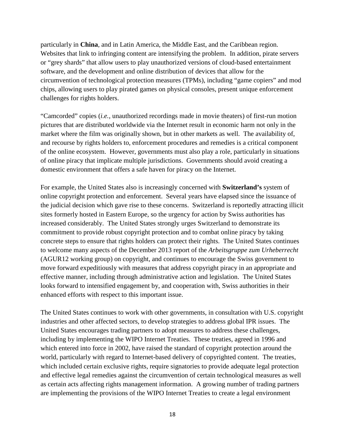particularly in **China**, and in Latin America, the Middle East, and the Caribbean region. Websites that link to infringing content are intensifying the problem. In addition, pirate servers or "grey shards" that allow users to play unauthorized versions of cloud-based entertainment software, and the development and online distribution of devices that allow for the circumvention of technological protection measures (TPMs), including "game copiers" and mod chips, allowing users to play pirated games on physical consoles, present unique enforcement challenges for rights holders.

"Camcorded" copies (*i.e.*, unauthorized recordings made in movie theaters) of first-run motion pictures that are distributed worldwide via the Internet result in economic harm not only in the market where the film was originally shown, but in other markets as well. The availability of, and recourse by rights holders to, enforcement procedures and remedies is a critical component of the online ecosystem. However, governments must also play a role, particularly in situations of online piracy that implicate multiple jurisdictions. Governments should avoid creating a domestic environment that offers a safe haven for piracy on the Internet.

For example, the United States also is increasingly concerned with **Switzerland's** system of online copyright protection and enforcement. Several years have elapsed since the issuance of the judicial decision which gave rise to these concerns. Switzerland is reportedly attracting illicit sites formerly hosted in Eastern Europe, so the urgency for action by Swiss authorities has increased considerably. The United States strongly urges Switzerland to demonstrate its commitment to provide robust copyright protection and to combat online piracy by taking concrete steps to ensure that rights holders can protect their rights. The United States continues to welcome many aspects of the December 2013 report of the *Arbeitsgruppe zum Urheberrecht* (AGUR12 working group) on copyright, and continues to encourage the Swiss government to move forward expeditiously with measures that address copyright piracy in an appropriate and effective manner, including through administrative action and legislation. The United States looks forward to intensified engagement by, and cooperation with, Swiss authorities in their enhanced efforts with respect to this important issue.

The United States continues to work with other governments, in consultation with U.S. copyright industries and other affected sectors, to develop strategies to address global IPR issues. The United States encourages trading partners to adopt measures to address these challenges, including by implementing the WIPO Internet Treaties. These treaties, agreed in 1996 and which entered into force in 2002, have raised the standard of copyright protection around the world, particularly with regard to Internet-based delivery of copyrighted content. The treaties, which included certain exclusive rights, require signatories to provide adequate legal protection and effective legal remedies against the circumvention of certain technological measures as well as certain acts affecting rights management information. A growing number of trading partners are implementing the provisions of the WIPO Internet Treaties to create a legal environment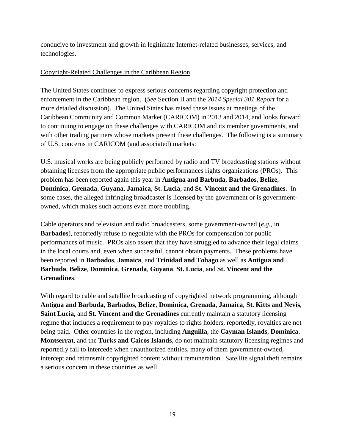conducive to investment and growth in legitimate Internet-related businesses, services, and technologies.

## Copyright-Related Challenges in the Caribbean Region

The United States continues to express serious concerns regarding copyright protection and enforcement in the Caribbean region. (*See* Section II and the *2014 Special 301 Report* for a more detailed discussion). The United States has raised these issues at meetings of the Caribbean Community and Common Market (CARICOM) in 2013 and 2014, and looks forward to continuing to engage on these challenges with CARICOM and its member governments, and with other trading partners whose markets present these challenges. The following is a summary of U.S. concerns in CARICOM (and associated) markets:

U.S. musical works are being publicly performed by radio and TV broadcasting stations without obtaining licenses from the appropriate public performances rights organizations (PROs). This problem has been reported again this year in **Antigua and Barbuda**, **Barbados**, **Belize**, **Dominica**, **Grenada**, **Guyana**, **Jamaica**, **St. Lucia**, and **St. Vincent and the Grenadines**. In some cases, the alleged infringing broadcaster is licensed by the government or is governmentowned, which makes such actions even more troubling.

Cable operators and television and radio broadcasters, some government-owned (*e.g.*, in **Barbados**), reportedly refuse to negotiate with the PROs for compensation for public performances of music. PROs also assert that they have struggled to advance their legal claims in the local courts and, even when successful, cannot obtain payments. These problems have been reported in **Barbados**, **Jamaica**, and **Trinidad and Tobago** as well as **Antigua and Barbuda**, **Belize**, **Dominica**, **Grenada**, **Guyana**, **St. Lucia**, and **St. Vincent and the Grenadines**.

With regard to cable and satellite broadcasting of copyrighted network programming, although **Antigua and Barbuda**, **Barbados**, **Belize**, **Dominica**, **Grenada**, **Jamaica**, **St. Kitts and Nevis**, **Saint Lucia**, and **St. Vincent and the Grenadines** currently maintain a statutory licensing regime that includes a requirement to pay royalties to rights holders, reportedly, royalties are not being paid. Other countries in the region, including **Anguilla**, the **Cayman Islands**, **Dominica**, **Montserrat**, and the **Turks and Caicos Islands**, do not maintain statutory licensing regimes and reportedly fail to intercede when unauthorized entities, many of them government-owned, intercept and retransmit copyrighted content without remuneration. Satellite signal theft remains a serious concern in these countries as well.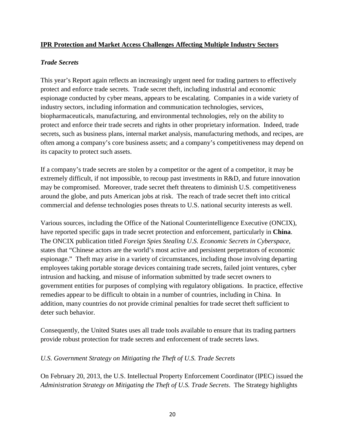#### <span id="page-24-0"></span>**IPR Protection and Market Access Challenges Affecting Multiple Industry Sectors**

#### <span id="page-24-1"></span>*Trade Secrets*

This year's Report again reflects an increasingly urgent need for trading partners to effectively protect and enforce trade secrets. Trade secret theft, including industrial and economic espionage conducted by cyber means, appears to be escalating. Companies in a wide variety of industry sectors, including information and communication technologies, services, biopharmaceuticals, manufacturing, and environmental technologies, rely on the ability to protect and enforce their trade secrets and rights in other proprietary information. Indeed, trade secrets, such as business plans, internal market analysis, manufacturing methods, and recipes, are often among a company's core business assets; and a company's competitiveness may depend on its capacity to protect such assets.

If a company's trade secrets are stolen by a competitor or the agent of a competitor, it may be extremely difficult, if not impossible, to recoup past investments in R&D, and future innovation may be compromised. Moreover, trade secret theft threatens to diminish U.S. competitiveness around the globe, and puts American jobs at risk. The reach of trade secret theft into critical commercial and defense technologies poses threats to U.S. national security interests as well.

Various sources, including the Office of the National Counterintelligence Executive (ONCIX), have reported specific gaps in trade secret protection and enforcement, particularly in **China**. The ONCIX publication titled *Foreign Spies Stealing U.S. Economic Secrets in Cyberspace*, states that "Chinese actors are the world's most active and persistent perpetrators of economic espionage." Theft may arise in a variety of circumstances, including those involving departing employees taking portable storage devices containing trade secrets, failed joint ventures, cyber intrusion and hacking, and misuse of information submitted by trade secret owners to government entities for purposes of complying with regulatory obligations. In practice, effective remedies appear to be difficult to obtain in a number of countries, including in China. In addition, many countries do not provide criminal penalties for trade secret theft sufficient to deter such behavior.

Consequently, the United States uses all trade tools available to ensure that its trading partners provide robust protection for trade secrets and enforcement of trade secrets laws.

#### *U.S. Government Strategy on Mitigating the Theft of U.S. Trade Secrets*

On February 20, 2013, the U.S. Intellectual Property Enforcement Coordinator (IPEC) issued the *Administration Strategy on Mitigating the Theft of U.S. Trade Secrets*. The Strategy highlights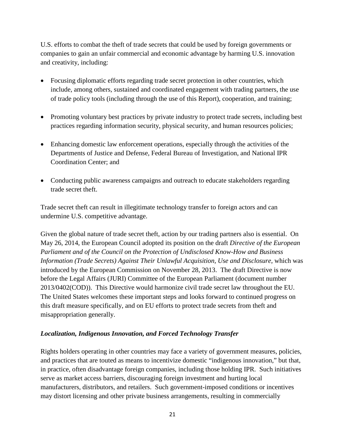U.S. efforts to combat the theft of trade secrets that could be used by foreign governments or companies to gain an unfair commercial and economic advantage by harming U.S. innovation and creativity, including:

- Focusing diplomatic efforts regarding trade secret protection in other countries, which include, among others, sustained and coordinated engagement with trading partners, the use of trade policy tools (including through the use of this Report), cooperation, and training;
- Promoting voluntary best practices by private industry to protect trade secrets, including best practices regarding information security, physical security, and human resources policies;
- Enhancing domestic law enforcement operations, especially through the activities of the Departments of Justice and Defense, Federal Bureau of Investigation, and National IPR Coordination Center; and
- Conducting public awareness campaigns and outreach to educate stakeholders regarding trade secret theft.

Trade secret theft can result in illegitimate technology transfer to foreign actors and can undermine U.S. competitive advantage.

Given the global nature of trade secret theft, action by our trading partners also is essential. On May 26, 2014, the European Council adopted its position on the draft *Directive of the European Parliament and of the Council on the Protection of Undisclosed Know-How and Business Information (Trade Secrets) Against Their Unlawful Acquisition, Use and Disclosure*, which was introduced by the European Commission on November 28, 2013. The draft Directive is now before the Legal Affairs (JURI) Committee of the European Parliament (document number 2013/0402(COD)). This Directive would harmonize civil trade secret law throughout the EU. The United States welcomes these important steps and looks forward to continued progress on this draft measure specifically, and on EU efforts to protect trade secrets from theft and misappropriation generally.

## <span id="page-25-0"></span>*Localization, Indigenous Innovation, and Forced Technology Transfer*

Rights holders operating in other countries may face a variety of government measures, policies, and practices that are touted as means to incentivize domestic "indigenous innovation," but that, in practice, often disadvantage foreign companies, including those holding IPR. Such initiatives serve as market access barriers, discouraging foreign investment and hurting local manufacturers, distributors, and retailers. Such government-imposed conditions or incentives may distort licensing and other private business arrangements, resulting in commercially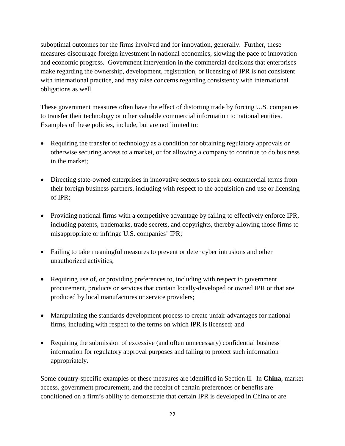suboptimal outcomes for the firms involved and for innovation, generally. Further, these measures discourage foreign investment in national economies, slowing the pace of innovation and economic progress. Government intervention in the commercial decisions that enterprises make regarding the ownership, development, registration, or licensing of IPR is not consistent with international practice, and may raise concerns regarding consistency with international obligations as well.

These government measures often have the effect of distorting trade by forcing U.S. companies to transfer their technology or other valuable commercial information to national entities. Examples of these policies, include, but are not limited to:

- Requiring the transfer of technology as a condition for obtaining regulatory approvals or otherwise securing access to a market, or for allowing a company to continue to do business in the market;
- Directing state-owned enterprises in innovative sectors to seek non-commercial terms from their foreign business partners, including with respect to the acquisition and use or licensing of IPR;
- Providing national firms with a competitive advantage by failing to effectively enforce IPR, including patents, trademarks, trade secrets, and copyrights, thereby allowing those firms to misappropriate or infringe U.S. companies' IPR;
- Failing to take meaningful measures to prevent or deter cyber intrusions and other unauthorized activities;
- Requiring use of, or providing preferences to, including with respect to government procurement, products or services that contain locally-developed or owned IPR or that are produced by local manufactures or service providers;
- Manipulating the standards development process to create unfair advantages for national firms, including with respect to the terms on which IPR is licensed; and
- Requiring the submission of excessive (and often unnecessary) confidential business information for regulatory approval purposes and failing to protect such information appropriately.

Some country-specific examples of these measures are identified in Section II. In **China**, market access, government procurement, and the receipt of certain preferences or benefits are conditioned on a firm's ability to demonstrate that certain IPR is developed in China or are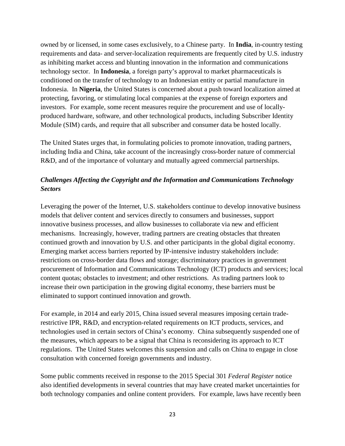owned by or licensed, in some cases exclusively, to a Chinese party. In **India**, in-country testing requirements and data- and server-localization requirements are frequently cited by U.S. industry as inhibiting market access and blunting innovation in the information and communications technology sector. In **Indonesia**, a foreign party's approval to market pharmaceuticals is conditioned on the transfer of technology to an Indonesian entity or partial manufacture in Indonesia. In **Nigeria**, the United States is concerned about a push toward localization aimed at protecting, favoring, or stimulating local companies at the expense of foreign exporters and investors. For example, some recent measures require the procurement and use of locallyproduced hardware, software, and other technological products, including Subscriber Identity Module (SIM) cards, and require that all subscriber and consumer data be hosted locally.

The United States urges that, in formulating policies to promote innovation, trading partners, including India and China, take account of the increasingly cross-border nature of commercial R&D, and of the importance of voluntary and mutually agreed commercial partnerships.

# <span id="page-27-0"></span>*Challenges Affecting the Copyright and the Information and Communications Technology Sectors*

Leveraging the power of the Internet, U.S. stakeholders continue to develop innovative business models that deliver content and services directly to consumers and businesses, support innovative business processes, and allow businesses to collaborate via new and efficient mechanisms. Increasingly, however, trading partners are creating obstacles that threaten continued growth and innovation by U.S. and other participants in the global digital economy. Emerging market access barriers reported by IP-intensive industry stakeholders include: restrictions on cross-border data flows and storage; discriminatory practices in government procurement of Information and Communications Technology (ICT) products and services; local content quotas; obstacles to investment; and other restrictions. As trading partners look to increase their own participation in the growing digital economy, these barriers must be eliminated to support continued innovation and growth.

For example, in 2014 and early 2015, China issued several measures imposing certain traderestrictive IPR, R&D, and encryption-related requirements on ICT products, services, and technologies used in certain sectors of China's economy. China subsequently suspended one of the measures, which appears to be a signal that China is reconsidering its approach to ICT regulations. The United States welcomes this suspension and calls on China to engage in close consultation with concerned foreign governments and industry.

Some public comments received in response to the 2015 Special 301 *Federal Register* notice also identified developments in several countries that may have created market uncertainties for both technology companies and online content providers. For example, laws have recently been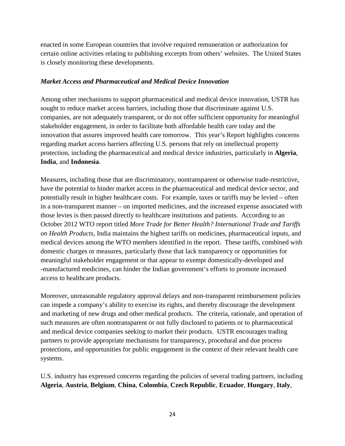enacted in some European countries that involve required remuneration or authorization for certain online activities relating to publishing excerpts from others' websites. The United States is closely monitoring these developments.

#### <span id="page-28-0"></span>*Market Access and Pharmaceutical and Medical Device Innovation*

Among other mechanisms to support pharmaceutical and medical device innovation, USTR has sought to reduce market access barriers, including those that discriminate against U.S. companies, are not adequately transparent, or do not offer sufficient opportunity for meaningful stakeholder engagement, in order to facilitate both affordable health care today and the innovation that assures improved health care tomorrow. This year's Report highlights concerns regarding market access barriers affecting U.S. persons that rely on intellectual property protection, including the pharmaceutical and medical device industries, particularly in **Algeria**, **India**, and **Indonesia**.

Measures, including those that are discriminatory, nontransparent or otherwise trade-restrictive, have the potential to hinder market access in the pharmaceutical and medical device sector, and potentially result in higher healthcare costs. For example, taxes or tariffs may be levied – often in a non-transparent manner – on imported medicines, and the increased expense associated with those levies is then passed directly to healthcare institutions and patients. According to an October 2012 WTO report titled *More Trade for Better Health? International Trade and Tariffs on Health Products*, India maintains the highest tariffs on medicines, pharmaceutical inputs, and medical devices among the WTO members identified in the report. These tariffs, combined with domestic charges or measures, particularly those that lack transparency or opportunities for meaningful stakeholder engagement or that appear to exempt domestically-developed and -manufactured medicines, can hinder the Indian government's efforts to promote increased access to healthcare products.

Moreover, unreasonable regulatory approval delays and non-transparent reimbursement policies can impede a company's ability to exercise its rights, and thereby discourage the development and marketing of new drugs and other medical products. The criteria, rationale, and operation of such measures are often nontransparent or not fully disclosed to patients or to pharmaceutical and medical device companies seeking to market their products. USTR encourages trading partners to provide appropriate mechanisms for transparency, procedural and due process protections, and opportunities for public engagement in the context of their relevant health care systems.

U.S. industry has expressed concerns regarding the policies of several trading partners, including **Algeria**, **Austria**, **Belgium**, **China**, **Colombia**, **Czech Republic**, **Ecuador**, **Hungary**, **Italy**,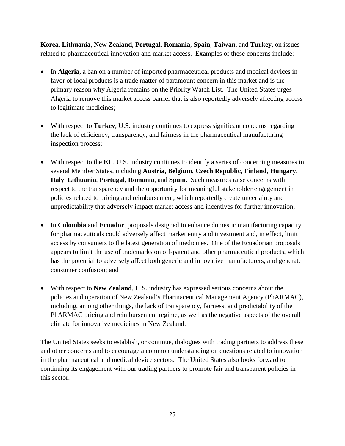**Korea**, **Lithuania**, **New Zealand**, **Portugal**, **Romania**, **Spain**, **Taiwan**, and **Turkey**, on issues related to pharmaceutical innovation and market access. Examples of these concerns include:

- In **Algeria**, a ban on a number of imported pharmaceutical products and medical devices in favor of local products is a trade matter of paramount concern in this market and is the primary reason why Algeria remains on the Priority Watch List. The United States urges Algeria to remove this market access barrier that is also reportedly adversely affecting access to legitimate medicines;
- With respect to **Turkey**, U.S. industry continues to express significant concerns regarding the lack of efficiency, transparency, and fairness in the pharmaceutical manufacturing inspection process;
- With respect to the **EU**, U.S. industry continues to identify a series of concerning measures in several Member States, including **Austria**, **Belgium**, **Czech Republic**, **Finland**, **Hungary**, **Italy**, **Lithuania**, **Portugal**, **Romania**, and **Spain**. Such measures raise concerns with respect to the transparency and the opportunity for meaningful stakeholder engagement in policies related to pricing and reimbursement, which reportedly create uncertainty and unpredictability that adversely impact market access and incentives for further innovation;
- In **Colombia** and **Ecuador**, proposals designed to enhance domestic manufacturing capacity for pharmaceuticals could adversely affect market entry and investment and, in effect, limit access by consumers to the latest generation of medicines. One of the Ecuadorian proposals appears to limit the use of trademarks on off-patent and other pharmaceutical products, which has the potential to adversely affect both generic and innovative manufacturers, and generate consumer confusion; and
- With respect to **New Zealand**, U.S. industry has expressed serious concerns about the policies and operation of New Zealand's Pharmaceutical Management Agency (PhARMAC), including, among other things, the lack of transparency, fairness, and predictability of the PhARMAC pricing and reimbursement regime, as well as the negative aspects of the overall climate for innovative medicines in New Zealand.

The United States seeks to establish, or continue, dialogues with trading partners to address these and other concerns and to encourage a common understanding on questions related to innovation in the pharmaceutical and medical device sectors. The United States also looks forward to continuing its engagement with our trading partners to promote fair and transparent policies in this sector.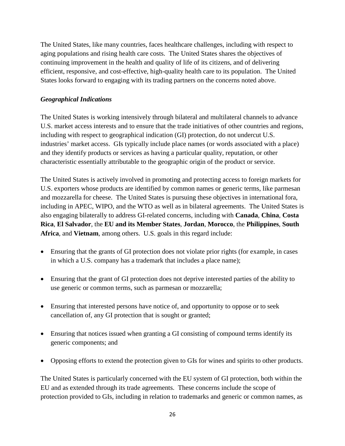The United States, like many countries, faces healthcare challenges, including with respect to aging populations and rising health care costs. The United States shares the objectives of continuing improvement in the health and quality of life of its citizens, and of delivering efficient, responsive, and cost-effective, high-quality health care to its population. The United States looks forward to engaging with its trading partners on the concerns noted above.

## <span id="page-30-0"></span>*Geographical Indications*

The United States is working intensively through bilateral and multilateral channels to advance U.S. market access interests and to ensure that the trade initiatives of other countries and regions, including with respect to geographical indication (GI) protection, do not undercut U.S. industries' market access. GIs typically include place names (or words associated with a place) and they identify products or services as having a particular quality, reputation, or other characteristic essentially attributable to the geographic origin of the product or service.

The United States is actively involved in promoting and protecting access to foreign markets for U.S. exporters whose products are identified by common names or generic terms, like parmesan and mozzarella for cheese. The United States is pursuing these objectives in international fora, including in APEC, WIPO, and the WTO as well as in bilateral agreements. The United States is also engaging bilaterally to address GI-related concerns, including with **Canada**, **China**, **Costa Rica**, **El Salvador**, the **EU and its Member States**, **Jordan**, **Morocco**, the **Philippines**, **South Africa**, and **Vietnam**, among others. U.S. goals in this regard include:

- Ensuring that the grants of GI protection does not violate prior rights (for example, in cases in which a U.S. company has a trademark that includes a place name);
- Ensuring that the grant of GI protection does not deprive interested parties of the ability to use generic or common terms, such as parmesan or mozzarella;
- Ensuring that interested persons have notice of, and opportunity to oppose or to seek cancellation of, any GI protection that is sought or granted;
- Ensuring that notices issued when granting a GI consisting of compound terms identify its generic components; and
- Opposing efforts to extend the protection given to GIs for wines and spirits to other products.

The United States is particularly concerned with the EU system of GI protection, both within the EU and as extended through its trade agreements. These concerns include the scope of protection provided to GIs, including in relation to trademarks and generic or common names, as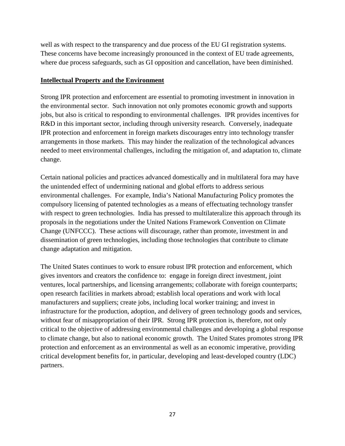well as with respect to the transparency and due process of the EU GI registration systems. These concerns have become increasingly pronounced in the context of EU trade agreements, where due process safeguards, such as GI opposition and cancellation, have been diminished.

#### <span id="page-31-0"></span>**Intellectual Property and the Environment**

Strong IPR protection and enforcement are essential to promoting investment in innovation in the environmental sector. Such innovation not only promotes economic growth and supports jobs, but also is critical to responding to environmental challenges. IPR provides incentives for R&D in this important sector, including through university research. Conversely, inadequate IPR protection and enforcement in foreign markets discourages entry into technology transfer arrangements in those markets. This may hinder the realization of the technological advances needed to meet environmental challenges, including the mitigation of, and adaptation to, climate change.

Certain national policies and practices advanced domestically and in multilateral fora may have the unintended effect of undermining national and global efforts to address serious environmental challenges. For example, India's National Manufacturing Policy promotes the compulsory licensing of patented technologies as a means of effectuating technology transfer with respect to green technologies. India has pressed to multilateralize this approach through its proposals in the negotiations under the United Nations Framework Convention on Climate Change (UNFCCC). These actions will discourage, rather than promote, investment in and dissemination of green technologies, including those technologies that contribute to climate change adaptation and mitigation.

<span id="page-31-1"></span>The United States continues to work to ensure robust IPR protection and enforcement, which gives inventors and creators the confidence to: engage in foreign direct investment, joint ventures, local partnerships, and licensing arrangements; collaborate with foreign counterparts; open research facilities in markets abroad; establish local operations and work with local manufacturers and suppliers; create jobs, including local worker training; and invest in infrastructure for the production, adoption, and delivery of green technology goods and services, without fear of misappropriation of their IPR. Strong IPR protection is, therefore, not only critical to the objective of addressing environmental challenges and developing a global response to climate change, but also to national economic growth. The United States promotes strong IPR protection and enforcement as an environmental as well as an economic imperative, providing critical development benefits for, in particular, developing and least-developed country (LDC) partners.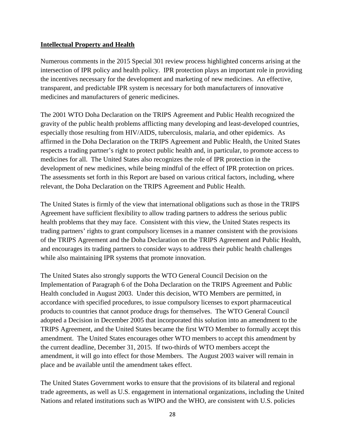#### **Intellectual Property and Health**

Numerous comments in the 2015 Special 301 review process highlighted concerns arising at the intersection of IPR policy and health policy. IPR protection plays an important role in providing the incentives necessary for the development and marketing of new medicines. An effective, transparent, and predictable IPR system is necessary for both manufacturers of innovative medicines and manufacturers of generic medicines.

The 2001 WTO Doha Declaration on the TRIPS Agreement and Public Health recognized the gravity of the public health problems afflicting many developing and least-developed countries, especially those resulting from HIV/AIDS, tuberculosis, malaria, and other epidemics. As affirmed in the Doha Declaration on the TRIPS Agreement and Public Health, the United States respects a trading partner's right to protect public health and, in particular, to promote access to medicines for all. The United States also recognizes the role of IPR protection in the development of new medicines, while being mindful of the effect of IPR protection on prices. The assessments set forth in this Report are based on various critical factors, including, where relevant, the Doha Declaration on the TRIPS Agreement and Public Health.

The United States is firmly of the view that international obligations such as those in the TRIPS Agreement have sufficient flexibility to allow trading partners to address the serious public health problems that they may face. Consistent with this view, the United States respects its trading partners' rights to grant compulsory licenses in a manner consistent with the provisions of the TRIPS Agreement and the Doha Declaration on the TRIPS Agreement and Public Health, and encourages its trading partners to consider ways to address their public health challenges while also maintaining IPR systems that promote innovation.

The United States also strongly supports the WTO General Council Decision on the Implementation of Paragraph 6 of the Doha Declaration on the TRIPS Agreement and Public Health concluded in August 2003. Under this decision, WTO Members are permitted, in accordance with specified procedures, to issue compulsory licenses to export pharmaceutical products to countries that cannot produce drugs for themselves. The WTO General Council adopted a Decision in December 2005 that incorporated this solution into an amendment to the TRIPS Agreement, and the United States became the first WTO Member to formally accept this amendment. The United States encourages other WTO members to accept this amendment by the current deadline, December 31, 2015. If two-thirds of WTO members accept the amendment, it will go into effect for those Members. The August 2003 waiver will remain in place and be available until the amendment takes effect.

The United States Government works to ensure that the provisions of its bilateral and regional trade agreements, as well as U.S. engagement in international organizations, including the United Nations and related institutions such as WIPO and the WHO, are consistent with U.S. policies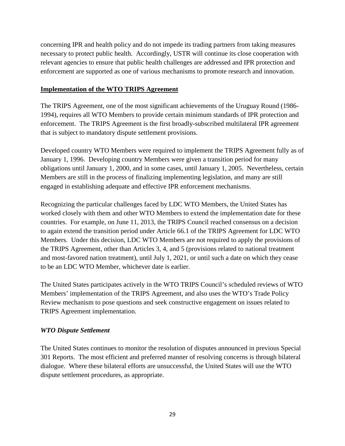concerning IPR and health policy and do not impede its trading partners from taking measures necessary to protect public health. Accordingly, USTR will continue its close cooperation with relevant agencies to ensure that public health challenges are addressed and IPR protection and enforcement are supported as one of various mechanisms to promote research and innovation.

#### <span id="page-33-0"></span>**Implementation of the WTO TRIPS Agreement**

The TRIPS Agreement, one of the most significant achievements of the Uruguay Round (1986- 1994), requires all WTO Members to provide certain minimum standards of IPR protection and enforcement. The TRIPS Agreement is the first broadly-subscribed multilateral IPR agreement that is subject to mandatory dispute settlement provisions.

Developed country WTO Members were required to implement the TRIPS Agreement fully as of January 1, 1996. Developing country Members were given a transition period for many obligations until January 1, 2000, and in some cases, until January 1, 2005. Nevertheless, certain Members are still in the process of finalizing implementing legislation, and many are still engaged in establishing adequate and effective IPR enforcement mechanisms.

Recognizing the particular challenges faced by LDC WTO Members, the United States has worked closely with them and other WTO Members to extend the implementation date for these countries. For example, on June 11, 2013, the TRIPS Council reached consensus on a decision to again extend the transition period under Article 66.1 of the TRIPS Agreement for LDC WTO Members. Under this decision, LDC WTO Members are not required to apply the provisions of the TRIPS Agreement, other than Articles 3, 4, and 5 (provisions related to national treatment and most-favored nation treatment), until July 1, 2021, or until such a date on which they cease to be an LDC WTO Member, whichever date is earlier.

The United States participates actively in the WTO TRIPS Council's scheduled reviews of WTO Members' implementation of the TRIPS Agreement, and also uses the WTO's Trade Policy Review mechanism to pose questions and seek constructive engagement on issues related to TRIPS Agreement implementation.

## <span id="page-33-1"></span>*WTO Dispute Settlement*

The United States continues to monitor the resolution of disputes announced in previous Special 301 Reports. The most efficient and preferred manner of resolving concerns is through bilateral dialogue. Where these bilateral efforts are unsuccessful, the United States will use the WTO dispute settlement procedures, as appropriate.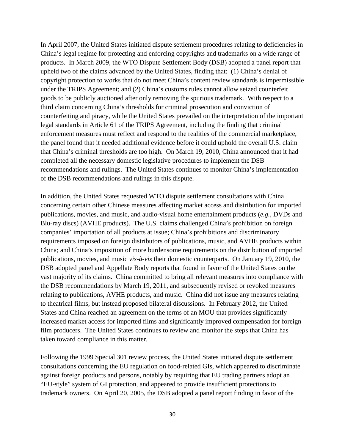In April 2007, the United States initiated dispute settlement procedures relating to deficiencies in China's legal regime for protecting and enforcing copyrights and trademarks on a wide range of products. In March 2009, the WTO Dispute Settlement Body (DSB) adopted a panel report that upheld two of the claims advanced by the United States, finding that: (1) China's denial of copyright protection to works that do not meet China's content review standards is impermissible under the TRIPS Agreement; and (2) China's customs rules cannot allow seized counterfeit goods to be publicly auctioned after only removing the spurious trademark. With respect to a third claim concerning China's thresholds for criminal prosecution and conviction of counterfeiting and piracy, while the United States prevailed on the interpretation of the important legal standards in Article 61 of the TRIPS Agreement, including the finding that criminal enforcement measures must reflect and respond to the realities of the commercial marketplace, the panel found that it needed additional evidence before it could uphold the overall U.S. claim that China's criminal thresholds are too high. On March 19, 2010, China announced that it had completed all the necessary domestic legislative procedures to implement the DSB recommendations and rulings. The United States continues to monitor China's implementation of the DSB recommendations and rulings in this dispute.

In addition, the United States requested WTO dispute settlement consultations with China concerning certain other Chinese measures affecting market access and distribution for imported publications, movies, and music, and audio-visual home entertainment products (*e.g.*, DVDs and Blu-ray discs) (AVHE products). The U.S. claims challenged China's prohibition on foreign companies' importation of all products at issue; China's prohibitions and discriminatory requirements imposed on foreign distributors of publications, music, and AVHE products within China; and China's imposition of more burdensome requirements on the distribution of imported publications, movies, and music *vis-à-vis* their domestic counterparts. On January 19, 2010, the DSB adopted panel and Appellate Body reports that found in favor of the United States on the vast majority of its claims. China committed to bring all relevant measures into compliance with the DSB recommendations by March 19, 2011, and subsequently revised or revoked measures relating to publications, AVHE products, and music. China did not issue any measures relating to theatrical films, but instead proposed bilateral discussions. In February 2012, the United States and China reached an agreement on the terms of an MOU that provides significantly increased market access for imported films and significantly improved compensation for foreign film producers. The United States continues to review and monitor the steps that China has taken toward compliance in this matter.

Following the 1999 Special 301 review process, the United States initiated dispute settlement consultations concerning the EU regulation on food-related GIs, which appeared to discriminate against foreign products and persons, notably by requiring that EU trading partners adopt an "EU-style" system of GI protection, and appeared to provide insufficient protections to trademark owners. On April 20, 2005, the DSB adopted a panel report finding in favor of the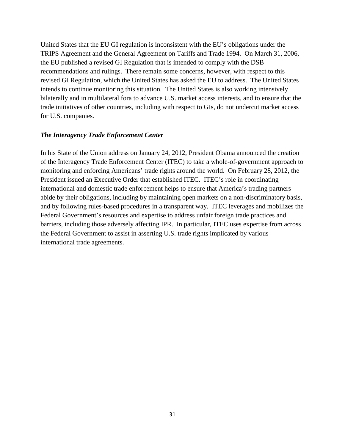United States that the EU GI regulation is inconsistent with the EU's obligations under the TRIPS Agreement and the General Agreement on Tariffs and Trade 1994. On March 31, 2006, the EU published a revised GI Regulation that is intended to comply with the DSB recommendations and rulings. There remain some concerns, however, with respect to this revised GI Regulation, which the United States has asked the EU to address. The United States intends to continue monitoring this situation. The United States is also working intensively bilaterally and in multilateral fora to advance U.S. market access interests, and to ensure that the trade initiatives of other countries, including with respect to GIs, do not undercut market access for U.S. companies.

#### <span id="page-35-0"></span>*The Interagency Trade Enforcement Center*

In his State of the Union address on January 24, 2012, President Obama announced the creation of the Interagency Trade Enforcement Center (ITEC) to take a whole-of-government approach to monitoring and enforcing Americans' trade rights around the world. On February 28, 2012, the President issued an Executive Order that established ITEC. ITEC's role in coordinating international and domestic trade enforcement helps to ensure that America's trading partners abide by their obligations, including by maintaining open markets on a non-discriminatory basis, and by following rules-based procedures in a transparent way. ITEC leverages and mobilizes the Federal Government's resources and expertise to address unfair foreign trade practices and barriers, including those adversely affecting IPR. In particular, ITEC uses expertise from across the Federal Government to assist in asserting U.S. trade rights implicated by various international trade agreements.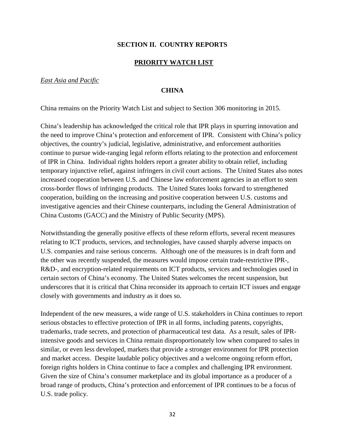# **SECTION II. COUNTRY REPORTS**

## **PRIORITY WATCH LIST**

## *East Asia and Pacific*

## **CHINA**

China remains on the Priority Watch List and subject to Section 306 monitoring in 2015.

China's leadership has acknowledged the critical role that IPR plays in spurring innovation and the need to improve China's protection and enforcement of IPR. Consistent with China's policy objectives, the country's judicial, legislative, administrative, and enforcement authorities continue to pursue wide-ranging legal reform efforts relating to the protection and enforcement of IPR in China. Individual rights holders report a greater ability to obtain relief, including temporary injunctive relief, against infringers in civil court actions. The United States also notes increased cooperation between U.S. and Chinese law enforcement agencies in an effort to stem cross-border flows of infringing products. The United States looks forward to strengthened cooperation, building on the increasing and positive cooperation between U.S. customs and investigative agencies and their Chinese counterparts, including the General Administration of China Customs (GACC) and the Ministry of Public Security (MPS).

Notwithstanding the generally positive effects of these reform efforts, several recent measures relating to ICT products, services, and technologies, have caused sharply adverse impacts on U.S. companies and raise serious concerns. Although one of the measures is in draft form and the other was recently suspended, the measures would impose certain trade-restrictive IPR-, R&D-, and encryption-related requirements on ICT products, services and technologies used in certain sectors of China's economy. The United States welcomes the recent suspension, but underscores that it is critical that China reconsider its approach to certain ICT issues and engage closely with governments and industry as it does so.

Independent of the new measures, a wide range of U.S. stakeholders in China continues to report serious obstacles to effective protection of IPR in all forms, including patents, copyrights, trademarks, trade secrets, and protection of pharmaceutical test data. As a result, sales of IPRintensive goods and services in China remain disproportionately low when compared to sales in similar, or even less developed, markets that provide a stronger environment for IPR protection and market access. Despite laudable policy objectives and a welcome ongoing reform effort, foreign rights holders in China continue to face a complex and challenging IPR environment. Given the size of China's consumer marketplace and its global importance as a producer of a broad range of products, China's protection and enforcement of IPR continues to be a focus of U.S. trade policy.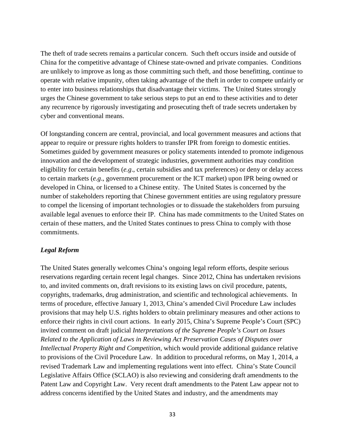The theft of trade secrets remains a particular concern. Such theft occurs inside and outside of China for the competitive advantage of Chinese state-owned and private companies. Conditions are unlikely to improve as long as those committing such theft, and those benefitting, continue to operate with relative impunity, often taking advantage of the theft in order to compete unfairly or to enter into business relationships that disadvantage their victims. The United States strongly urges the Chinese government to take serious steps to put an end to these activities and to deter any recurrence by rigorously investigating and prosecuting theft of trade secrets undertaken by cyber and conventional means.

Of longstanding concern are central, provincial, and local government measures and actions that appear to require or pressure rights holders to transfer IPR from foreign to domestic entities. Sometimes guided by government measures or policy statements intended to promote indigenous innovation and the development of strategic industries, government authorities may condition eligibility for certain benefits (*e.g*., certain subsidies and tax preferences) or deny or delay access to certain markets (*e.g*., government procurement or the ICT market) upon IPR being owned or developed in China, or licensed to a Chinese entity. The United States is concerned by the number of stakeholders reporting that Chinese government entities are using regulatory pressure to compel the licensing of important technologies or to dissuade the stakeholders from pursuing available legal avenues to enforce their IP. China has made commitments to the United States on certain of these matters, and the United States continues to press China to comply with those commitments.

# *Legal Reform*

The United States generally welcomes China's ongoing legal reform efforts, despite serious reservations regarding certain recent legal changes. Since 2012, China has undertaken revisions to, and invited comments on, draft revisions to its existing laws on civil procedure, patents, copyrights, trademarks, drug administration, and scientific and technological achievements. In terms of procedure, effective January 1, 2013, China's amended Civil Procedure Law includes provisions that may help U.S. rights holders to obtain preliminary measures and other actions to enforce their rights in civil court actions. In early 2015, China's Supreme People's Court (SPC) invited comment on draft judicial *Interpretations of the Supreme People's Court on Issues Related to the Application of Laws in Reviewing Act Preservation Cases of Disputes over Intellectual Property Right and Competition*, which would provide additional guidance relative to provisions of the Civil Procedure Law. In addition to procedural reforms, on May 1, 2014, a revised Trademark Law and implementing regulations went into effect. China's State Council Legislative Affairs Office (SCLAO) is also reviewing and considering draft amendments to the Patent Law and Copyright Law. Very recent draft amendments to the Patent Law appear not to address concerns identified by the United States and industry, and the amendments may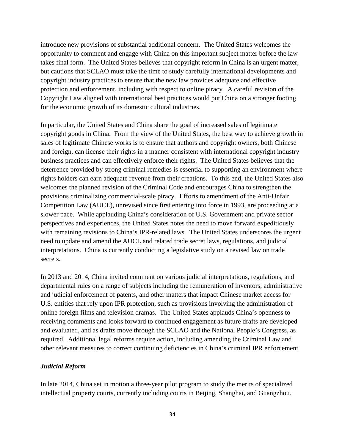introduce new provisions of substantial additional concern. The United States welcomes the opportunity to comment and engage with China on this important subject matter before the law takes final form. The United States believes that copyright reform in China is an urgent matter, but cautions that SCLAO must take the time to study carefully international developments and copyright industry practices to ensure that the new law provides adequate and effective protection and enforcement, including with respect to online piracy. A careful revision of the Copyright Law aligned with international best practices would put China on a stronger footing for the economic growth of its domestic cultural industries.

In particular, the United States and China share the goal of increased sales of legitimate copyright goods in China. From the view of the United States, the best way to achieve growth in sales of legitimate Chinese works is to ensure that authors and copyright owners, both Chinese and foreign, can license their rights in a manner consistent with international copyright industry business practices and can effectively enforce their rights. The United States believes that the deterrence provided by strong criminal remedies is essential to supporting an environment where rights holders can earn adequate revenue from their creations. To this end, the United States also welcomes the planned revision of the Criminal Code and encourages China to strengthen the provisions criminalizing commercial-scale piracy. Efforts to amendment of the Anti-Unfair Competition Law (AUCL), unrevised since first entering into force in 1993, are proceeding at a slower pace. While applauding China's consideration of U.S. Government and private sector perspectives and experiences, the United States notes the need to move forward expeditiously with remaining revisions to China's IPR-related laws. The United States underscores the urgent need to update and amend the AUCL and related trade secret laws, regulations, and judicial interpretations. China is currently conducting a legislative study on a revised law on trade secrets.

In 2013 and 2014, China invited comment on various judicial interpretations, regulations, and departmental rules on a range of subjects including the remuneration of inventors, administrative and judicial enforcement of patents, and other matters that impact Chinese market access for U.S. entities that rely upon IPR protection, such as provisions involving the administration of online foreign films and television dramas.The United States applauds China's openness to receiving comments and looks forward to continued engagement as future drafts are developed and evaluated, and as drafts move through the SCLAO and the National People's Congress, as required. Additional legal reforms require action, including amending the Criminal Law and other relevant measures to correct continuing deficiencies in China's criminal IPR enforcement.

# *Judicial Reform*

In late 2014, China set in motion a three-year pilot program to study the merits of specialized intellectual property courts, currently including courts in Beijing, Shanghai, and Guangzhou.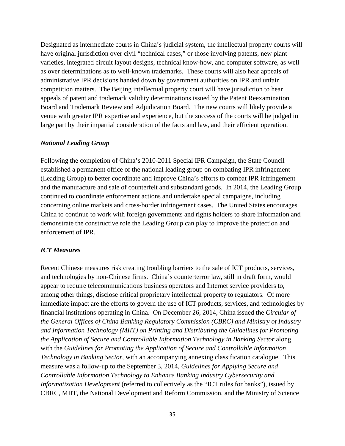Designated as intermediate courts in China's judicial system, the intellectual property courts will have original jurisdiction over civil "technical cases," or those involving patents, new plant varieties, integrated circuit layout designs, technical know-how, and computer software, as well as over determinations as to well-known trademarks. These courts will also hear appeals of administrative IPR decisions handed down by government authorities on IPR and unfair competition matters. The Beijing intellectual property court will have jurisdiction to hear appeals of patent and trademark validity determinations issued by the Patent Reexamination Board and Trademark Review and Adjudication Board. The new courts will likely provide a venue with greater IPR expertise and experience, but the success of the courts will be judged in large part by their impartial consideration of the facts and law, and their efficient operation.

# *National Leading Group*

Following the completion of China's 2010-2011 Special IPR Campaign, the State Council established a permanent office of the national leading group on combating IPR infringement (Leading Group) to better coordinate and improve China's efforts to combat IPR infringement and the manufacture and sale of counterfeit and substandard goods. In 2014, the Leading Group continued to coordinate enforcement actions and undertake special campaigns, including concerning online markets and cross-border infringement cases. The United States encourages China to continue to work with foreign governments and rights holders to share information and demonstrate the constructive role the Leading Group can play to improve the protection and enforcement of IPR.

# *ICT Measures*

Recent Chinese measures risk creating troubling barriers to the sale of ICT products, services, and technologies by non-Chinese firms. China's counterterror law, still in draft form, would appear to require telecommunications business operators and Internet service providers to, among other things, disclose critical proprietary intellectual property to regulators. Of more immediate impact are the efforts to govern the use of ICT products, services, and technologies by financial institutions operating in China. On December 26, 2014, China issued the *Circular of the General Offices of China Banking Regulatory Commission (CBRC) and Ministry of Industry and Information Technology (MIIT) on Printing and Distributing the Guidelines for Promoting the Application of Secure and Controllable Information Technology in Banking Sector along* with the *Guidelines for Promoting the Application of Secure and Controllable Information Technology in Banking Sector*, with an accompanying annexing classification catalogue. This measure was a follow-up to the September 3, 2014, *Guidelines for Applying Secure and Controllable Information Technology to Enhance Banking Industry Cybersecurity and Informatization Development* (referred to collectively as the "ICT rules for banks"), issued by CBRC, MIIT, the National Development and Reform Commission, and the Ministry of Science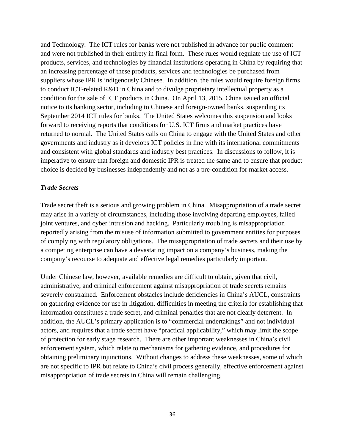and Technology. The ICT rules for banks were not published in advance for public comment and were not published in their entirety in final form. These rules would regulate the use of ICT products, services, and technologies by financial institutions operating in China by requiring that an increasing percentage of these products, services and technologies be purchased from suppliers whose IPR is indigenously Chinese. In addition, the rules would require foreign firms to conduct ICT-related R&D in China and to divulge proprietary intellectual property as a condition for the sale of ICT products in China. On April 13, 2015, China issued an official notice to its banking sector, including to Chinese and foreign-owned banks, suspending its September 2014 ICT rules for banks. The United States welcomes this suspension and looks forward to receiving reports that conditions for U.S. ICT firms and market practices have returned to normal. The United States calls on China to engage with the United States and other governments and industry as it develops ICT policies in line with its international commitments and consistent with global standards and industry best practices. In discussions to follow, it is imperative to ensure that foreign and domestic IPR is treated the same and to ensure that product choice is decided by businesses independently and not as a pre-condition for market access.

## *Trade Secrets*

Trade secret theft is a serious and growing problem in China. Misappropriation of a trade secret may arise in a variety of circumstances, including those involving departing employees, failed joint ventures, and cyber intrusion and hacking. Particularly troubling is misappropriation reportedly arising from the misuse of information submitted to government entities for purposes of complying with regulatory obligations. The misappropriation of trade secrets and their use by a competing enterprise can have a devastating impact on a company's business, making the company's recourse to adequate and effective legal remedies particularly important.

Under Chinese law, however, available remedies are difficult to obtain, given that civil, administrative, and criminal enforcement against misappropriation of trade secrets remains severely constrained. Enforcement obstacles include deficiencies in China's AUCL, constraints on gathering evidence for use in litigation, difficulties in meeting the criteria for establishing that information constitutes a trade secret, and criminal penalties that are not clearly deterrent. In addition, the AUCL's primary application is to "commercial undertakings" and not individual actors, and requires that a trade secret have "practical applicability," which may limit the scope of protection for early stage research. There are other important weaknesses in China's civil enforcement system, which relate to mechanisms for gathering evidence, and procedures for obtaining preliminary injunctions. Without changes to address these weaknesses, some of which are not specific to IPR but relate to China's civil process generally, effective enforcement against misappropriation of trade secrets in China will remain challenging.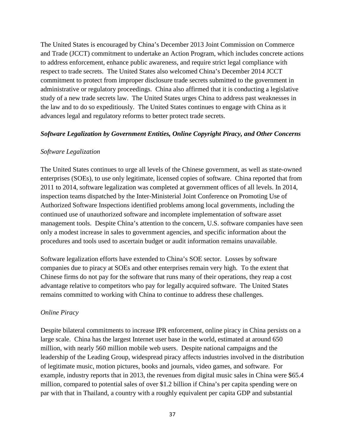The United States is encouraged by China's December 2013 Joint Commission on Commerce and Trade (JCCT) commitment to undertake an Action Program, which includes concrete actions to address enforcement, enhance public awareness, and require strict legal compliance with respect to trade secrets. The United States also welcomed China's December 2014 JCCT commitment to protect from improper disclosure trade secrets submitted to the government in administrative or regulatory proceedings. China also affirmed that it is conducting a legislative study of a new trade secrets law. The United States urges China to address past weaknesses in the law and to do so expeditiously. The United States continues to engage with China as it advances legal and regulatory reforms to better protect trade secrets.

## *Software Legalization by Government Entities, Online Copyright Piracy, and Other Concerns*

## *Software Legalization*

The United States continues to urge all levels of the Chinese government, as well as state-owned enterprises (SOEs), to use only legitimate, licensed copies of software. China reported that from 2011 to 2014, software legalization was completed at government offices of all levels. In 2014, inspection teams dispatched by the Inter-Ministerial Joint Conference on Promoting Use of Authorized Software Inspections identified problems among local governments, including the continued use of unauthorized software and incomplete implementation of software asset management tools. Despite China's attention to the concern, U.S. software companies have seen only a modest increase in sales to government agencies, and specific information about the procedures and tools used to ascertain budget or audit information remains unavailable.

Software legalization efforts have extended to China's SOE sector. Losses by software companies due to piracy at SOEs and other enterprises remain very high. To the extent that Chinese firms do not pay for the software that runs many of their operations, they reap a cost advantage relative to competitors who pay for legally acquired software. The United States remains committed to working with China to continue to address these challenges.

## *Online Piracy*

Despite bilateral commitments to increase IPR enforcement, online piracy in China persists on a large scale. China has the largest Internet user base in the world, estimated at around 650 million, with nearly 560 million mobile web users. Despite national campaigns and the leadership of the Leading Group, widespread piracy affects industries involved in the distribution of legitimate music, motion pictures, books and journals, video games, and software. For example, industry reports that in 2013, the revenues from digital music sales in China were \$65.4 million, compared to potential sales of over \$1.2 billion if China's per capita spending were on par with that in Thailand, a country with a roughly equivalent per capita GDP and substantial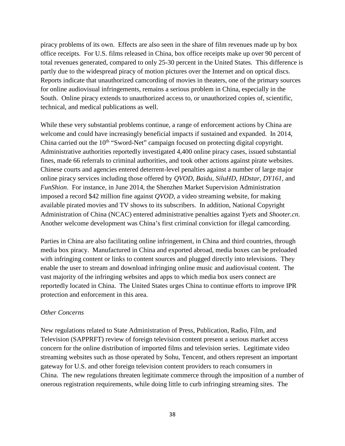piracy problems of its own. Effects are also seen in the share of film revenues made up by box office receipts. For U.S. films released in China, box office receipts make up over 90 percent of total revenues generated, compared to only 25-30 percent in the United States. This difference is partly due to the widespread piracy of motion pictures over the Internet and on optical discs. Reports indicate that unauthorized camcording of movies in theaters, one of the primary sources for online audiovisual infringements, remains a serious problem in China, especially in the South. Online piracy extends to unauthorized access to, or unauthorized copies of, scientific, technical, and medical publications as well.

While these very substantial problems continue, a range of enforcement actions by China are welcome and could have increasingly beneficial impacts if sustained and expanded. In 2014, China carried out the  $10<sup>th</sup>$  "Sword-Net" campaign focused on protecting digital copyright. Administrative authorities reportedly investigated 4,400 online piracy cases, issued substantial fines, made 66 referrals to criminal authorities, and took other actions against pirate websites. Chinese courts and agencies entered deterrent-level penalties against a number of large major online piracy services including those offered by *QVOD*, *Baidu*, *SiluHD*, *HDstar*, *DY161*, and *FunShion*. For instance, in June 2014, the Shenzhen Market Supervision Administration imposed a record \$42 million fine against *QVOD*, a video streaming website, for making available pirated movies and TV shows to its subscribers. In addition, National Copyright Administration of China (NCAC) entered administrative penalties against *Yyets* and *Shooter.cn*. Another welcome development was China's first criminal conviction for illegal camcording.

Parties in China are also facilitating online infringement, in China and third countries, through media box piracy. Manufactured in China and exported abroad, media boxes can be preloaded with infringing content or links to content sources and plugged directly into televisions. They enable the user to stream and download infringing online music and audiovisual content. The vast majority of the infringing websites and apps to which media box users connect are reportedly located in China. The United States urges China to continue efforts to improve IPR protection and enforcement in this area.

## *Other Concerns*

New regulations related to State Administration of Press, Publication, Radio, Film, and Television (SAPPRFT) review of foreign television content present a serious market access concern for the online distribution of imported films and television series. Legitimate video streaming websites such as those operated by Sohu, Tencent, and others represent an important gateway for U.S. and other foreign television content providers to reach consumers in China. The new regulations threaten legitimate commerce through the imposition of a number of onerous registration requirements, while doing little to curb infringing streaming sites. The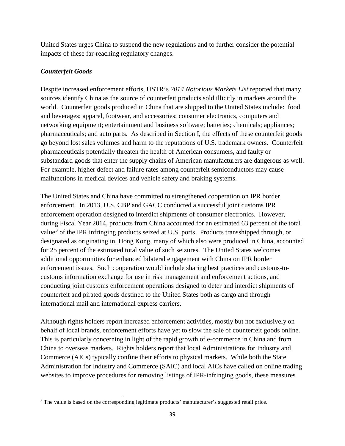United States urges China to suspend the new regulations and to further consider the potential impacts of these far-reaching regulatory changes.

# *Counterfeit Goods*

l

Despite increased enforcement efforts, USTR's *2014 Notorious Markets List* reported that many sources identify China as the source of counterfeit products sold illicitly in markets around the world. Counterfeit goods produced in China that are shipped to the United States include: food and beverages; apparel, footwear, and accessories; consumer electronics, computers and networking equipment; entertainment and business software; batteries; chemicals; appliances; pharmaceuticals; and auto parts. As described in Section I, the effects of these counterfeit goods go beyond lost sales volumes and harm to the reputations of U.S. trademark owners. Counterfeit pharmaceuticals potentially threaten the health of American consumers, and faulty or substandard goods that enter the supply chains of American manufacturers are dangerous as well. For example, higher defect and failure rates among counterfeit semiconductors may cause malfunctions in medical devices and vehicle safety and braking systems.

The United States and China have committed to strengthened cooperation on IPR border enforcement. In 2013, U.S. CBP and GACC conducted a successful joint customs IPR enforcement operation designed to interdict shipments of consumer electronics. However, during Fiscal Year 2014, products from China accounted for an estimated 63 percent of the total value<sup>[3](#page-43-0)</sup> of the IPR infringing products seized at U.S. ports. Products transshipped through, or designated as originating in, Hong Kong, many of which also were produced in China, accounted for 25 percent of the estimated total value of such seizures. The United States welcomes additional opportunities for enhanced bilateral engagement with China on IPR border enforcement issues. Such cooperation would include sharing best practices and customs-tocustoms information exchange for use in risk management and enforcement actions, and conducting joint customs enforcement operations designed to deter and interdict shipments of counterfeit and pirated goods destined to the United States both as cargo and through international mail and international express carriers.

Although rights holders report increased enforcement activities, mostly but not exclusively on behalf of local brands, enforcement efforts have yet to slow the sale of counterfeit goods online. This is particularly concerning in light of the rapid growth of e-commerce in China and from China to overseas markets. Rights holders report that local Administrations for Industry and Commerce (AICs) typically confine their efforts to physical markets. While both the State Administration for Industry and Commerce (SAIC) and local AICs have called on online trading websites to improve procedures for removing listings of IPR-infringing goods, these measures

<span id="page-43-0"></span><sup>&</sup>lt;sup>3</sup> The value is based on the corresponding legitimate products' manufacturer's suggested retail price.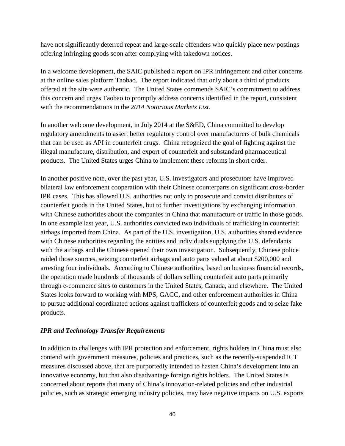have not significantly deterred repeat and large-scale offenders who quickly place new postings offering infringing goods soon after complying with takedown notices.

In a welcome development, the SAIC published a report on IPR infringement and other concerns at the online sales platform Taobao. The report indicated that only about a third of products offered at the site were authentic. The United States commends SAIC's commitment to address this concern and urges Taobao to promptly address concerns identified in the report, consistent with the recommendations in the *2014 Notorious Markets List*.

In another welcome development, in July 2014 at the S&ED, China committed to develop regulatory amendments to assert better regulatory control over manufacturers of bulk chemicals that can be used as API in counterfeit drugs. China recognized the goal of fighting against the illegal manufacture, distribution, and export of counterfeit and substandard pharmaceutical products. The United States urges China to implement these reforms in short order.

In another positive note, over the past year, U.S. investigators and prosecutors have improved bilateral law enforcement cooperation with their Chinese counterparts on significant cross-border IPR cases. This has allowed U.S. authorities not only to prosecute and convict distributors of counterfeit goods in the United States, but to further investigations by exchanging information with Chinese authorities about the companies in China that manufacture or traffic in those goods. In one example last year, U.S. authorities convicted two individuals of trafficking in counterfeit airbags imported from China. As part of the U.S. investigation, U.S. authorities shared evidence with Chinese authorities regarding the entities and individuals supplying the U.S. defendants with the airbags and the Chinese opened their own investigation. Subsequently, Chinese police raided those sources, seizing counterfeit airbags and auto parts valued at about \$200,000 and arresting four individuals. According to Chinese authorities, based on business financial records, the operation made hundreds of thousands of dollars selling counterfeit auto parts primarily through e-commerce sites to customers in the United States, Canada, and elsewhere. The United States looks forward to working with MPS, GACC, and other enforcement authorities in China to pursue additional coordinated actions against traffickers of counterfeit goods and to seize fake products.

# *IPR and Technology Transfer Requirements*

In addition to challenges with IPR protection and enforcement, rights holders in China must also contend with government measures, policies and practices, such as the recently-suspended ICT measures discussed above, that are purportedly intended to hasten China's development into an innovative economy, but that also disadvantage foreign rights holders. The United States is concerned about reports that many of China's innovation-related policies and other industrial policies, such as strategic emerging industry policies, may have negative impacts on U.S. exports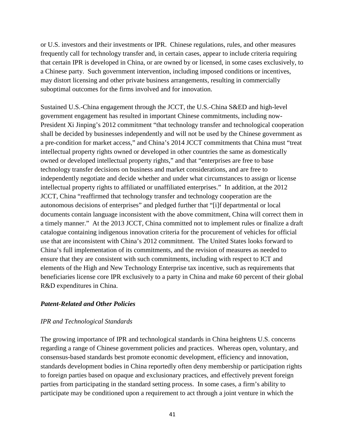or U.S. investors and their investments or IPR. Chinese regulations, rules, and other measures frequently call for technology transfer and, in certain cases, appear to include criteria requiring that certain IPR is developed in China, or are owned by or licensed, in some cases exclusively, to a Chinese party. Such government intervention, including imposed conditions or incentives, may distort licensing and other private business arrangements, resulting in commercially suboptimal outcomes for the firms involved and for innovation.

Sustained U.S.-China engagement through the JCCT, the U.S.-China S&ED and high-level government engagement has resulted in important Chinese commitments, including now-President Xi Jinping's 2012 commitment "that technology transfer and technological cooperation shall be decided by businesses independently and will not be used by the Chinese government as a pre-condition for market access," and China's 2014 JCCT commitments that China must "treat intellectual property rights owned or developed in other countries the same as domestically owned or developed intellectual property rights," and that "enterprises are free to base technology transfer decisions on business and market considerations, and are free to independently negotiate and decide whether and under what circumstances to assign or license intellectual property rights to affiliated or unaffiliated enterprises." In addition, at the 2012 JCCT, China "reaffirmed that technology transfer and technology cooperation are the autonomous decisions of enterprises" and pledged further that "[i]f departmental or local documents contain language inconsistent with the above commitment, China will correct them in a timely manner." At the 2013 JCCT, China committed not to implement rules or finalize a draft catalogue containing indigenous innovation criteria for the procurement of vehicles for official use that are inconsistent with China's 2012 commitment. The United States looks forward to China's full implementation of its commitments, and the revision of measures as needed to ensure that they are consistent with such commitments, including with respect to ICT and elements of the High and New Technology Enterprise tax incentive, such as requirements that beneficiaries license core IPR exclusively to a party in China and make 60 percent of their global R&D expenditures in China.

# *Patent-Related and Other Policies*

#### *IPR and Technological Standards*

The growing importance of IPR and technological standards in China heightens U.S. concerns regarding a range of Chinese government policies and practices. Whereas open, voluntary, and consensus-based standards best promote economic development, efficiency and innovation, standards development bodies in China reportedly often deny membership or participation rights to foreign parties based on opaque and exclusionary practices, and effectively prevent foreign parties from participating in the standard setting process. In some cases, a firm's ability to participate may be conditioned upon a requirement to act through a joint venture in which the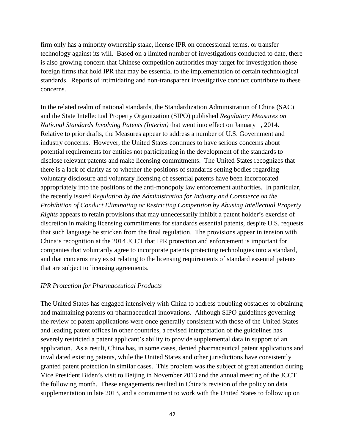firm only has a minority ownership stake, license IPR on concessional terms, or transfer technology against its will. Based on a limited number of investigations conducted to date, there is also growing concern that Chinese competition authorities may target for investigation those foreign firms that hold IPR that may be essential to the implementation of certain technological standards. Reports of intimidating and non-transparent investigative conduct contribute to these concerns.

In the related realm of national standards, the Standardization Administration of China (SAC) and the State Intellectual Property Organization (SIPO) published *Regulatory Measures on National Standards Involving Patents (Interim)* that went into effect on January 1, 2014. Relative to prior drafts, the Measures appear to address a number of U.S. Government and industry concerns. However, the United States continues to have serious concerns about potential requirements for entities not participating in the development of the standards to disclose relevant patents and make licensing commitments. The United States recognizes that there is a lack of clarity as to whether the positions of standards setting bodies regarding voluntary disclosure and voluntary licensing of essential patents have been incorporated appropriately into the positions of the anti-monopoly law enforcement authorities. In particular, the recently issued *Regulation by the Administration for Industry and Commerce on the Prohibition of Conduct Eliminating or Restricting Competition by Abusing Intellectual Property Rights* appears to retain provisions that may unnecessarily inhibit a patent holder's exercise of discretion in making licensing commitments for standards essential patents, despite U.S. requests that such language be stricken from the final regulation. The provisions appear in tension with China's recognition at the 2014 JCCT that IPR protection and enforcement is important for companies that voluntarily agree to incorporate patents protecting technologies into a standard, and that concerns may exist relating to the licensing requirements of standard essential patents that are subject to licensing agreements.

#### *IPR Protection for Pharmaceutical Products*

The United States has engaged intensively with China to address troubling obstacles to obtaining and maintaining patents on pharmaceutical innovations. Although SIPO guidelines governing the review of patent applications were once generally consistent with those of the United States and leading patent offices in other countries, a revised interpretation of the guidelines has severely restricted a patent applicant's ability to provide supplemental data in support of an application. As a result, China has, in some cases, denied pharmaceutical patent applications and invalidated existing patents, while the United States and other jurisdictions have consistently granted patent protection in similar cases. This problem was the subject of great attention during Vice President Biden's visit to Beijing in November 2013 and the annual meeting of the JCCT the following month. These engagements resulted in China's revision of the policy on data supplementation in late 2013, and a commitment to work with the United States to follow up on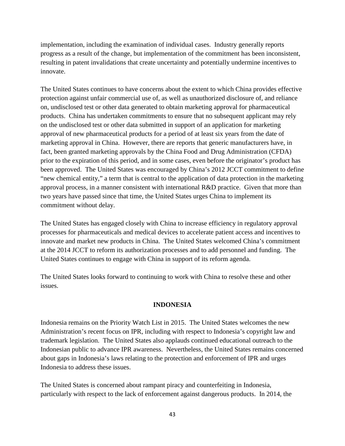implementation, including the examination of individual cases. Industry generally reports progress as a result of the change, but implementation of the commitment has been inconsistent, resulting in patent invalidations that create uncertainty and potentially undermine incentives to innovate.

The United States continues to have concerns about the extent to which China provides effective protection against unfair commercial use of, as well as unauthorized disclosure of, and reliance on, undisclosed test or other data generated to obtain marketing approval for pharmaceutical products. China has undertaken commitments to ensure that no subsequent applicant may rely on the undisclosed test or other data submitted in support of an application for marketing approval of new pharmaceutical products for a period of at least six years from the date of marketing approval in China. However, there are reports that generic manufacturers have, in fact, been granted marketing approvals by the China Food and Drug Administration (CFDA) prior to the expiration of this period, and in some cases, even before the originator's product has been approved. The United States was encouraged by China's 2012 JCCT commitment to define "new chemical entity," a term that is central to the application of data protection in the marketing approval process, in a manner consistent with international R&D practice. Given that more than two years have passed since that time, the United States urges China to implement its commitment without delay.

The United States has engaged closely with China to increase efficiency in regulatory approval processes for pharmaceuticals and medical devices to accelerate patient access and incentives to innovate and market new products in China. The United States welcomed China's commitment at the 2014 JCCT to reform its authorization processes and to add personnel and funding. The United States continues to engage with China in support of its reform agenda.

The United States looks forward to continuing to work with China to resolve these and other issues.

# **INDONESIA**

Indonesia remains on the Priority Watch List in 2015. The United States welcomes the new Administration's recent focus on IPR, including with respect to Indonesia's copyright law and trademark legislation. The United States also applauds continued educational outreach to the Indonesian public to advance IPR awareness. Nevertheless, the United States remains concerned about gaps in Indonesia's laws relating to the protection and enforcement of IPR and urges Indonesia to address these issues.

The United States is concerned about rampant piracy and counterfeiting in Indonesia, particularly with respect to the lack of enforcement against dangerous products. In 2014, the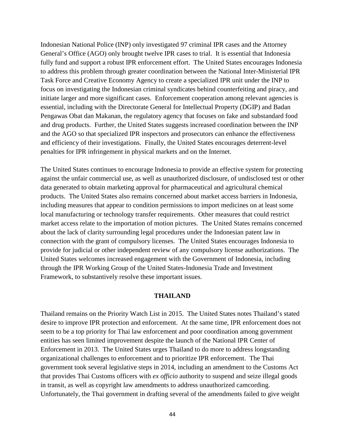Indonesian National Police (INP) only investigated 97 criminal IPR cases and the Attorney General's Office (AGO) only brought twelve IPR cases to trial. It is essential that Indonesia fully fund and support a robust IPR enforcement effort. The United States encourages Indonesia to address this problem through greater coordination between the National Inter-Ministerial IPR Task Force and Creative Economy Agency to create a specialized IPR unit under the INP to focus on investigating the Indonesian criminal syndicates behind counterfeiting and piracy, and initiate larger and more significant cases. Enforcement cooperation among relevant agencies is essential, including with the Directorate General for Intellectual Property (DGIP) and Badan Pengawas Obat dan Makanan, the regulatory agency that focuses on fake and substandard food and drug products. Further, the United States suggests increased coordination between the INP and the AGO so that specialized IPR inspectors and prosecutors can enhance the effectiveness and efficiency of their investigations. Finally, the United States encourages deterrent-level penalties for IPR infringement in physical markets and on the Internet.

The United States continues to encourage Indonesia to provide an effective system for protecting against the unfair commercial use, as well as unauthorized disclosure, of undisclosed test or other data generated to obtain marketing approval for pharmaceutical and agricultural chemical products. The United States also remains concerned about market access barriers in Indonesia, including measures that appear to condition permissions to import medicines on at least some local manufacturing or technology transfer requirements. Other measures that could restrict market access relate to the importation of motion pictures. The United States remains concerned about the lack of clarity surrounding legal procedures under the Indonesian patent law in connection with the grant of compulsory licenses. The United States encourages Indonesia to provide for judicial or other independent review of any compulsory license authorizations. The United States welcomes increased engagement with the Government of Indonesia, including through the IPR Working Group of the United States-Indonesia Trade and Investment Framework, to substantively resolve these important issues.

#### **THAILAND**

Thailand remains on the Priority Watch List in 2015. The United States notes Thailand's stated desire to improve IPR protection and enforcement. At the same time, IPR enforcement does not seem to be a top priority for Thai law enforcement and poor coordination among government entities has seen limited improvement despite the launch of the National IPR Center of Enforcement in 2013. The United States urges Thailand to do more to address longstanding organizational challenges to enforcement and to prioritize IPR enforcement. The Thai government took several legislative steps in 2014, including an amendment to the Customs Act that provides Thai Customs officers with *ex officio* authority to suspend and seize illegal goods in transit, as well as copyright law amendments to address unauthorized camcording. Unfortunately, the Thai government in drafting several of the amendments failed to give weight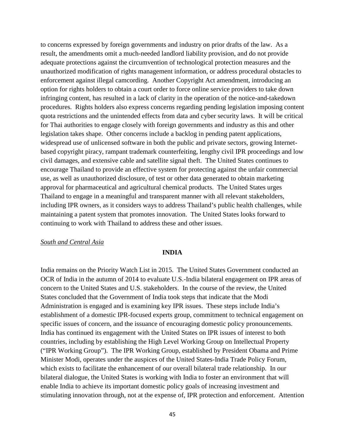to concerns expressed by foreign governments and industry on prior drafts of the law. As a result, the amendments omit a much-needed landlord liability provision, and do not provide adequate protections against the circumvention of technological protection measures and the unauthorized modification of rights management information, or address procedural obstacles to enforcement against illegal camcording. Another Copyright Act amendment, introducing an option for rights holders to obtain a court order to force online service providers to take down infringing content, has resulted in a lack of clarity in the operation of the notice-and-takedown procedures. Rights holders also express concerns regarding pending legislation imposing content quota restrictions and the unintended effects from data and cyber security laws. It will be critical for Thai authorities to engage closely with foreign governments and industry as this and other legislation takes shape. Other concerns include a backlog in pending patent applications, widespread use of unlicensed software in both the public and private sectors, growing Internetbased copyright piracy, rampant trademark counterfeiting, lengthy civil IPR proceedings and low civil damages, and extensive cable and satellite signal theft. The United States continues to encourage Thailand to provide an effective system for protecting against the unfair commercial use, as well as unauthorized disclosure, of test or other data generated to obtain marketing approval for pharmaceutical and agricultural chemical products. The United States urges Thailand to engage in a meaningful and transparent manner with all relevant stakeholders, including IPR owners, as it considers ways to address Thailand's public health challenges, while maintaining a patent system that promotes innovation. The United States looks forward to continuing to work with Thailand to address these and other issues.

## *South and Central Asia*

#### **INDIA**

India remains on the Priority Watch List in 2015. The United States Government conducted an OCR of India in the autumn of 2014 to evaluate U.S.-India bilateral engagement on IPR areas of concern to the United States and U.S. stakeholders. In the course of the review, the United States concluded that the Government of India took steps that indicate that the Modi Administration is engaged and is examining key IPR issues. These steps include India's establishment of a domestic IPR-focused experts group, commitment to technical engagement on specific issues of concern, and the issuance of encouraging domestic policy pronouncements. India has continued its engagement with the United States on IPR issues of interest to both countries, including by establishing the High Level Working Group on Intellectual Property ("IPR Working Group"). The IPR Working Group, established by President Obama and Prime Minister Modi, operates under the auspices of the United States-India Trade Policy Forum, which exists to facilitate the enhancement of our overall bilateral trade relationship. In our bilateral dialogue, the United States is working with India to foster an environment that will enable India to achieve its important domestic policy goals of increasing investment and stimulating innovation through, not at the expense of, IPR protection and enforcement. Attention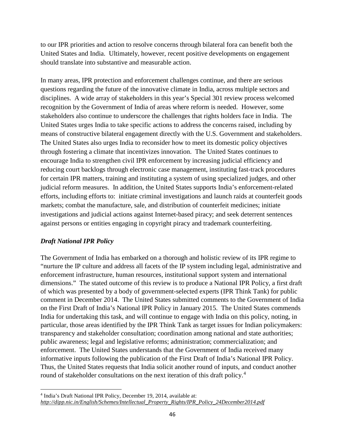to our IPR priorities and action to resolve concerns through bilateral fora can benefit both the United States and India. Ultimately, however, recent positive developments on engagement should translate into substantive and measurable action.

In many areas, IPR protection and enforcement challenges continue, and there are serious questions regarding the future of the innovative climate in India, across multiple sectors and disciplines. A wide array of stakeholders in this year's Special 301 review process welcomed recognition by the Government of India of areas where reform is needed. However, some stakeholders also continue to underscore the challenges that rights holders face in India. The United States urges India to take specific actions to address the concerns raised, including by means of constructive bilateral engagement directly with the U.S. Government and stakeholders. The United States also urges India to reconsider how to meet its domestic policy objectives through fostering a climate that incentivizes innovation. The United States continues to encourage India to strengthen civil IPR enforcement by increasing judicial efficiency and reducing court backlogs through electronic case management, instituting fast-track procedures for certain IPR matters, training and instituting a system of using specialized judges, and other judicial reform measures. In addition, the United States supports India's enforcement-related efforts, including efforts to: initiate criminal investigations and launch raids at counterfeit goods markets; combat the manufacture, sale, and distribution of counterfeit medicines; initiate investigations and judicial actions against Internet-based piracy; and seek deterrent sentences against persons or entities engaging in copyright piracy and trademark counterfeiting.

# *Draft National IPR Policy*

The Government of India has embarked on a thorough and holistic review of its IPR regime to "nurture the IP culture and address all facets of the IP system including legal, administrative and enforcement infrastructure, human resources, institutional support system and international dimensions." The stated outcome of this review is to produce a National IPR Policy, a first draft of which was presented by a body of government-selected experts (IPR Think Tank) for public comment in December 2014. The United States submitted comments to the Government of India on the First Draft of India's National IPR Policy in January 2015. The United States commends India for undertaking this task, and will continue to engage with India on this policy, noting, in particular, those areas identified by the IPR Think Tank as target issues for Indian policymakers: transparency and stakeholder consultation; coordination among national and state authorities; public awareness; legal and legislative reforms; administration; commercialization; and enforcement. The United States understands that the Government of India received many informative inputs following the publication of the First Draft of India's National IPR Policy. Thus, the United States requests that India solicit another round of inputs, and conduct another round of stakeholder consultations on the next iteration of this draft policy.<sup>[4](#page-50-0)</sup>

<span id="page-50-0"></span><sup>4</sup> India's Draft National IPR Policy, December 19, 2014, available at: *http://dipp.nic.in/English/Schemes/Intellectual\_Property\_Rights/IPR\_Policy\_24December2014.pdf*  l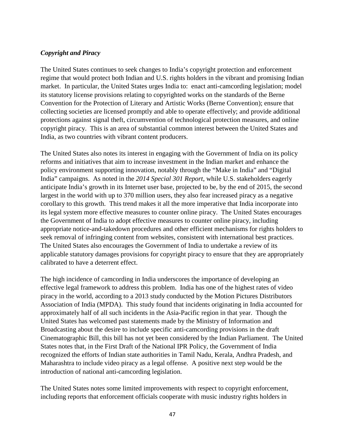# *Copyright and Piracy*

The United States continues to seek changes to India's copyright protection and enforcement regime that would protect both Indian and U.S. rights holders in the vibrant and promising Indian market. In particular, the United States urges India to: enact anti-camcording legislation; model its statutory license provisions relating to copyrighted works on the standards of the Berne Convention for the Protection of Literary and Artistic Works (Berne Convention); ensure that collecting societies are licensed promptly and able to operate effectively; and provide additional protections against signal theft, circumvention of technological protection measures, and online copyright piracy. This is an area of substantial common interest between the United States and India, as two countries with vibrant content producers.

The United States also notes its interest in engaging with the Government of India on its policy reforms and initiatives that aim to increase investment in the Indian market and enhance the policy environment supporting innovation, notably through the "Make in India" and "Digital India" campaigns. As noted in the *2014 Special 301 Report*, while U.S. stakeholders eagerly anticipate India's growth in its Internet user base, projected to be, by the end of 2015, the second largest in the world with up to 370 million users, they also fear increased piracy as a negative corollary to this growth. This trend makes it all the more imperative that India incorporate into its legal system more effective measures to counter online piracy. The United States encourages the Government of India to adopt effective measures to counter online piracy, including appropriate notice-and-takedown procedures and other efficient mechanisms for rights holders to seek removal of infringing content from websites, consistent with international best practices. The United States also encourages the Government of India to undertake a review of its applicable statutory damages provisions for copyright piracy to ensure that they are appropriately calibrated to have a deterrent effect.

The high incidence of camcording in India underscores the importance of developing an effective legal framework to address this problem. India has one of the highest rates of video piracy in the world, according to a 2013 study conducted by the Motion Pictures Distributors Association of India (MPDA). This study found that incidents originating in India accounted for approximately half of all such incidents in the Asia-Pacific region in that year. Though the United States has welcomed past statements made by the Ministry of Information and Broadcasting about the desire to include specific anti-camcording provisions in the draft Cinematographic Bill, this bill has not yet been considered by the Indian Parliament. The United States notes that, in the First Draft of the National IPR Policy, the Government of India recognized the efforts of Indian state authorities in Tamil Nadu, Kerala, Andhra Pradesh, and Maharashtra to include video piracy as a legal offense. A positive next step would be the introduction of national anti-camcording legislation.

The United States notes some limited improvements with respect to copyright enforcement, including reports that enforcement officials cooperate with music industry rights holders in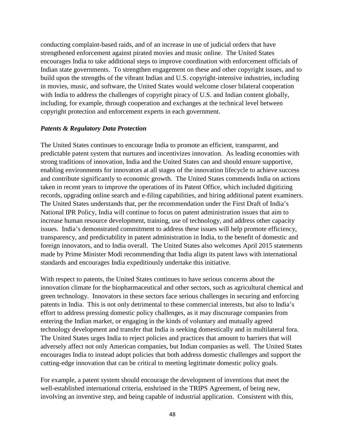conducting complaint-based raids, and of an increase in use of judicial orders that have strengthened enforcement against pirated movies and music online. The United States encourages India to take additional steps to improve coordination with enforcement officials of Indian state governments. To strengthen engagement on these and other copyright issues, and to build upon the strengths of the vibrant Indian and U.S. copyright-intensive industries, including in movies, music, and software, the United States would welcome closer bilateral cooperation with India to address the challenges of copyright piracy of U.S. and Indian content globally, including, for example, through cooperation and exchanges at the technical level between copyright protection and enforcement experts in each government.

# *Patents & Regulatory Data Protection*

The United States continues to encourage India to promote an efficient, transparent, and predictable patent system that nurtures and incentivizes innovation. As leading economies with strong traditions of innovation, India and the United States can and should ensure supportive, enabling environments for innovators at all stages of the innovation lifecycle to achieve success and contribute significantly to economic growth. The United States commends India on actions taken in recent years to improve the operations of its Patent Office, which included digitizing records, upgrading online search and e-filing capabilities, and hiring additional patent examiners. The United States understands that, per the recommendation under the First Draft of India's National IPR Policy, India will continue to focus on patent administration issues that aim to increase human resource development, training, use of technology, and address other capacity issues. India's demonstrated commitment to address these issues will help promote efficiency, transparency, and predictability in patent administration in India, to the benefit of domestic and foreign innovators, and to India overall. The United States also welcomes April 2015 statements made by Prime Minister Modi recommending that India align its patent laws with international standards and encourages India expeditiously undertake this initiative.

With respect to patents, the United States continues to have serious concerns about the innovation climate for the biopharmaceutical and other sectors, such as agricultural chemical and green technology. Innovators in these sectors face serious challenges in securing and enforcing patents in India. This is not only detrimental to these commercial interests, but also to India's effort to address pressing domestic policy challenges, as it may discourage companies from entering the Indian market, or engaging in the kinds of voluntary and mutually agreed technology development and transfer that India is seeking domestically and in multilateral fora. The United States urges India to reject policies and practices that amount to barriers that will adversely affect not only American companies, but Indian companies as well. The United States encourages India to instead adopt policies that both address domestic challenges and support the cutting-edge innovation that can be critical to meeting legitimate domestic policy goals.

For example, a patent system should encourage the development of inventions that meet the well-established international criteria, enshrined in the TRIPS Agreement, of being new, involving an inventive step, and being capable of industrial application. Consistent with this,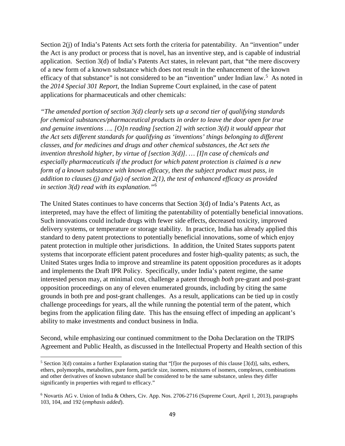Section 2(j) of India's Patents Act sets forth the criteria for patentability. An "invention" under the Act is any product or process that is novel, has an inventive step, and is capable of industrial application. Section 3(d) of India's Patents Act states, in relevant part, that "the mere discovery of a new form of a known substance which does not result in the enhancement of the known efficacy of that substance" is not considered to be an "invention" under Indian law.<sup>[5](#page-53-0)</sup> As noted in the *2014 Special 301 Report*, the Indian Supreme Court explained, in the case of patent applications for pharmaceuticals and other chemicals:

*"The amended portion of section 3(d) clearly sets up a second tier of qualifying standards for chemical substances/pharmaceutical products in order to leave the door open for true and genuine inventions …. [O]n reading [section 2] with section 3(d) it would appear that the Act sets different standards for qualifying as 'inventions' things belonging to different classes, and for medicines and drugs and other chemical substances, the Act sets the invention threshold higher, by virtue of [section 3(d)]. … [I]n case of chemicals and especially pharmaceuticals if the product for which patent protection is claimed is a new form of a known substance with known efficacy, then the subject product must pass, in addition to clauses (j) and (ja) of section 2(1), the test of enhanced efficacy as provided in section 3(d) read with its explanation."*[6](#page-53-1)

The United States continues to have concerns that Section 3(d) of India's Patents Act, as interpreted, may have the effect of limiting the patentability of potentially beneficial innovations. Such innovations could include drugs with fewer side effects, decreased toxicity, improved delivery systems, or temperature or storage stability. In practice, India has already applied this standard to deny patent protections to potentially beneficial innovations, some of which enjoy patent protection in multiple other jurisdictions. In addition, the United States supports patent systems that incorporate efficient patent procedures and foster high-quality patents; as such, the United States urges India to improve and streamline its patent opposition procedures as it adopts and implements the Draft IPR Policy. Specifically, under India's patent regime, the same interested person may, at minimal cost, challenge a patent through *both* pre-grant and post-grant opposition proceedings on any of eleven enumerated grounds, including by citing the same grounds in both pre and post-grant challenges. As a result, applications can be tied up in costly challenge proceedings for years, all the while running the potential term of the patent, which begins from the application filing date. This has the ensuing effect of impeding an applicant's ability to make investments and conduct business in India.

Second, while emphasizing our continued commitment to the Doha Declaration on the TRIPS Agreement and Public Health, as discussed in the Intellectual Property and Health section of this

l

<span id="page-53-0"></span> $5$  Section 3(d) contains a further Explanation stating that "[f]or the purposes of this clause [3(d)], salts, esthers, ethers, polymorphs, metabolites, pure form, particle size, isomers, mixtures of isomers, complexes, combinations and other derivatives of known substance shall be considered to be the same substance, unless they differ significantly in properties with regard to efficacy."

<span id="page-53-1"></span><sup>6</sup> Novartis AG v. Union of India & Others, Civ. App. Nos. 2706-2716 (Supreme Court, April 1, 2013), paragraphs 103, 104, and 192 (*emphasis added*).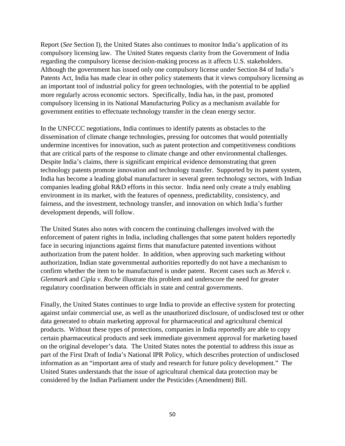Report (*See* Section I), the United States also continues to monitor India's application of its compulsory licensing law. The United States requests clarity from the Government of India regarding the compulsory license decision-making process as it affects U.S. stakeholders. Although the government has issued only one compulsory license under Section 84 of India's Patents Act, India has made clear in other policy statements that it views compulsory licensing as an important tool of industrial policy for green technologies, with the potential to be applied more regularly across economic sectors. Specifically, India has, in the past, promoted compulsory licensing in its National Manufacturing Policy as a mechanism available for government entities to effectuate technology transfer in the clean energy sector.

In the UNFCCC negotiations, India continues to identify patents as obstacles to the dissemination of climate change technologies, pressing for outcomes that would potentially undermine incentives for innovation, such as patent protection and competitiveness conditions that are critical parts of the response to climate change and other environmental challenges. Despite India's claims, there is significant empirical evidence demonstrating that green technology patents promote innovation and technology transfer. Supported by its patent system, India has become a leading global manufacturer in several green technology sectors, with Indian companies leading global R&D efforts in this sector. India need only create a truly enabling environment in its market, with the features of openness, predictability, consistency, and fairness, and the investment, technology transfer, and innovation on which India's further development depends, will follow.

The United States also notes with concern the continuing challenges involved with the enforcement of patent rights in India, including challenges that some patent holders reportedly face in securing injunctions against firms that manufacture patented inventions without authorization from the patent holder. In addition, when approving such marketing without authorization, Indian state governmental authorities reportedly do not have a mechanism to confirm whether the item to be manufactured is under patent. Recent cases such as *Merck v. Glenmark* and *Cipla v. Roche* illustrate this problem and underscore the need for greater regulatory coordination between officials in state and central governments.

Finally, the United States continues to urge India to provide an effective system for protecting against unfair commercial use, as well as the unauthorized disclosure, of undisclosed test or other data generated to obtain marketing approval for pharmaceutical and agricultural chemical products. Without these types of protections, companies in India reportedly are able to copy certain pharmaceutical products and seek immediate government approval for marketing based on the original developer's data. The United States notes the potential to address this issue as part of the First Draft of India's National IPR Policy, which describes protection of undisclosed information as an "important area of study and research for future policy development." The United States understands that the issue of agricultural chemical data protection may be considered by the Indian Parliament under the Pesticides (Amendment) Bill.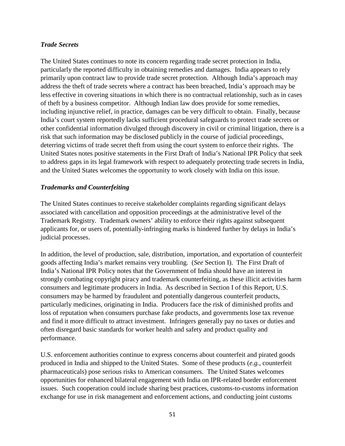# *Trade Secrets*

The United States continues to note its concern regarding trade secret protection in India, particularly the reported difficulty in obtaining remedies and damages. India appears to rely primarily upon contract law to provide trade secret protection. Although India's approach may address the theft of trade secrets where a contract has been breached, India's approach may be less effective in covering situations in which there is no contractual relationship, such as in cases of theft by a business competitor. Although Indian law does provide for some remedies, including injunctive relief, in practice, damages can be very difficult to obtain. Finally, because India's court system reportedly lacks sufficient procedural safeguards to protect trade secrets or other confidential information divulged through discovery in civil or criminal litigation, there is a risk that such information may be disclosed publicly in the course of judicial proceedings, deterring victims of trade secret theft from using the court system to enforce their rights. The United States notes positive statements in the First Draft of India's National IPR Policy that seek to address gaps in its legal framework with respect to adequately protecting trade secrets in India, and the United States welcomes the opportunity to work closely with India on this issue.

# *Trademarks and Counterfeiting*

The United States continues to receive stakeholder complaints regarding significant delays associated with cancellation and opposition proceedings at the administrative level of the Trademark Registry. Trademark owners' ability to enforce their rights against subsequent applicants for, or users of, potentially-infringing marks is hindered further by delays in India's judicial processes.

In addition, the level of production, sale, distribution, importation, and exportation of counterfeit goods affecting India's market remains very troubling. (*See* Section I). The First Draft of India's National IPR Policy notes that the Government of India should have an interest in strongly combating copyright piracy and trademark counterfeiting, as these illicit activities harm consumers and legitimate producers in India. As described in Section I of this Report, U.S. consumers may be harmed by fraudulent and potentially dangerous counterfeit products, particularly medicines, originating in India. Producers face the risk of diminished profits and loss of reputation when consumers purchase fake products, and governments lose tax revenue and find it more difficult to attract investment. Infringers generally pay no taxes or duties and often disregard basic standards for worker health and safety and product quality and performance.

U.S. enforcement authorities continue to express concerns about counterfeit and pirated goods produced in India and shipped to the United States. Some of these products (*e.g.*, counterfeit pharmaceuticals) pose serious risks to American consumers. The United States welcomes opportunities for enhanced bilateral engagement with India on IPR-related border enforcement issues. Such cooperation could include sharing best practices, customs-to-customs information exchange for use in risk management and enforcement actions, and conducting joint customs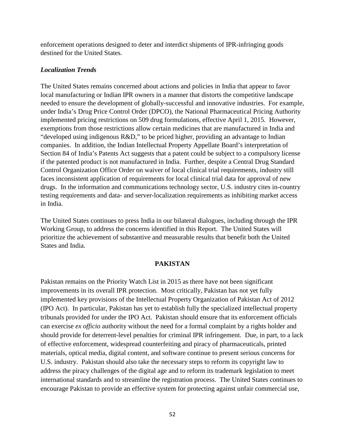enforcement operations designed to deter and interdict shipments of IPR-infringing goods destined for the United States.

## *Localization Trends*

The United States remains concerned about actions and policies in India that appear to favor local manufacturing or Indian IPR owners in a manner that distorts the competitive landscape needed to ensure the development of globally-successful and innovative industries. For example, under India's Drug Price Control Order (DPCO), the National Pharmaceutical Pricing Authority implemented pricing restrictions on 509 drug formulations, effective April 1, 2015. However, exemptions from those restrictions allow certain medicines that are manufactured in India and "developed using indigenous R&D," to be priced higher, providing an advantage to Indian companies. In addition, the Indian Intellectual Property Appellate Board's interpretation of Section 84 of India's Patents Act suggests that a patent could be subject to a compulsory license if the patented product is not manufactured in India. Further, despite a Central Drug Standard Control Organization Office Order on waiver of local clinical trial requirements, industry still faces inconsistent application of requirements for local clinical trial data for approval of new drugs. In the information and communications technology sector, U.S. industry cites in-country testing requirements and data- and server-localization requirements as inhibiting market access in India.

The United States continues to press India in our bilateral dialogues, including through the IPR Working Group, to address the concerns identified in this Report. The United States will prioritize the achievement of substantive and measurable results that benefit both the United States and India.

## **PAKISTAN**

Pakistan remains on the Priority Watch List in 2015 as there have not been significant improvements in its overall IPR protection. Most critically, Pakistan has not yet fully implemented key provisions of the Intellectual Property Organization of Pakistan Act of 2012 (IPO Act). In particular, Pakistan has yet to establish fully the specialized intellectual property tribunals provided for under the IPO Act. Pakistan should ensure that its enforcement officials can exercise *ex officio* authority without the need for a formal complaint by a rights holder and should provide for deterrent-level penalties for criminal IPR infringement. Due, in part, to a lack of effective enforcement, widespread counterfeiting and piracy of pharmaceuticals, printed materials, optical media, digital content, and software continue to present serious concerns for U.S. industry. Pakistan should also take the necessary steps to reform its copyright law to address the piracy challenges of the digital age and to reform its trademark legislation to meet international standards and to streamline the registration process. The United States continues to encourage Pakistan to provide an effective system for protecting against unfair commercial use,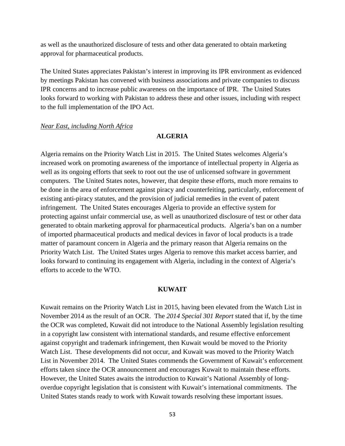as well as the unauthorized disclosure of tests and other data generated to obtain marketing approval for pharmaceutical products.

The United States appreciates Pakistan's interest in improving its IPR environment as evidenced by meetings Pakistan has convened with business associations and private companies to discuss IPR concerns and to increase public awareness on the importance of IPR. The United States looks forward to working with Pakistan to address these and other issues, including with respect to the full implementation of the IPO Act.

#### *Near East, including North Africa*

# **ALGERIA**

Algeria remains on the Priority Watch List in 2015. The United States welcomes Algeria's increased work on promoting awareness of the importance of intellectual property in Algeria as well as its ongoing efforts that seek to root out the use of unlicensed software in government computers. The United States notes, however, that despite these efforts, much more remains to be done in the area of enforcement against piracy and counterfeiting, particularly, enforcement of existing anti-piracy statutes, and the provision of judicial remedies in the event of patent infringement. The United States encourages Algeria to provide an effective system for protecting against unfair commercial use, as well as unauthorized disclosure of test or other data generated to obtain marketing approval for pharmaceutical products. Algeria's ban on a number of imported pharmaceutical products and medical devices in favor of local products is a trade matter of paramount concern in Algeria and the primary reason that Algeria remains on the Priority Watch List. The United States urges Algeria to remove this market access barrier, and looks forward to continuing its engagement with Algeria, including in the context of Algeria's efforts to accede to the WTO.

## **KUWAIT**

Kuwait remains on the Priority Watch List in 2015, having been elevated from the Watch List in November 2014 as the result of an OCR. The *2014 Special 301 Report* stated that if, by the time the OCR was completed, Kuwait did not introduce to the National Assembly legislation resulting in a copyright law consistent with international standards, and resume effective enforcement against copyright and trademark infringement, then Kuwait would be moved to the Priority Watch List. These developments did not occur, and Kuwait was moved to the Priority Watch List in November 2014. The United States commends the Government of Kuwait's enforcement efforts taken since the OCR announcement and encourages Kuwait to maintain these efforts. However, the United States awaits the introduction to Kuwait's National Assembly of longoverdue copyright legislation that is consistent with Kuwait's international commitments. The United States stands ready to work with Kuwait towards resolving these important issues.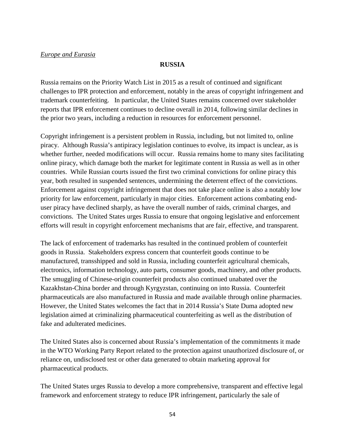## **RUSSIA**

Russia remains on the Priority Watch List in 2015 as a result of continued and significant challenges to IPR protection and enforcement, notably in the areas of copyright infringement and trademark counterfeiting. In particular, the United States remains concerned over stakeholder reports that IPR enforcement continues to decline overall in 2014, following similar declines in the prior two years, including a reduction in resources for enforcement personnel.

Copyright infringement is a persistent problem in Russia, including, but not limited to, online piracy. Although Russia's antipiracy legislation continues to evolve, its impact is unclear, as is whether further, needed modifications will occur. Russia remains home to many sites facilitating online piracy, which damage both the market for legitimate content in Russia as well as in other countries. While Russian courts issued the first two criminal convictions for online piracy this year, both resulted in suspended sentences, undermining the deterrent effect of the convictions. Enforcement against copyright infringement that does not take place online is also a notably low priority for law enforcement, particularly in major cities. Enforcement actions combating enduser piracy have declined sharply, as have the overall number of raids, criminal charges, and convictions. The United States urges Russia to ensure that ongoing legislative and enforcement efforts will result in copyright enforcement mechanisms that are fair, effective, and transparent.

The lack of enforcement of trademarks has resulted in the continued problem of counterfeit goods in Russia. Stakeholders express concern that counterfeit goods continue to be manufactured, transshipped and sold in Russia, including counterfeit agricultural chemicals, electronics, information technology, auto parts, consumer goods, machinery, and other products. The smuggling of Chinese-origin counterfeit products also continued unabated over the Kazakhstan-China border and through Kyrgyzstan, continuing on into Russia. Counterfeit pharmaceuticals are also manufactured in Russia and made available through online pharmacies. However, the United States welcomes the fact that in 2014 Russia's State Duma adopted new legislation aimed at criminalizing pharmaceutical counterfeiting as well as the distribution of fake and adulterated medicines.

The United States also is concerned about Russia's implementation of the commitments it made in the WTO Working Party Report related to the protection against unauthorized disclosure of, or reliance on, undisclosed test or other data generated to obtain marketing approval for pharmaceutical products.

The United States urges Russia to develop a more comprehensive, transparent and effective legal framework and enforcement strategy to reduce IPR infringement, particularly the sale of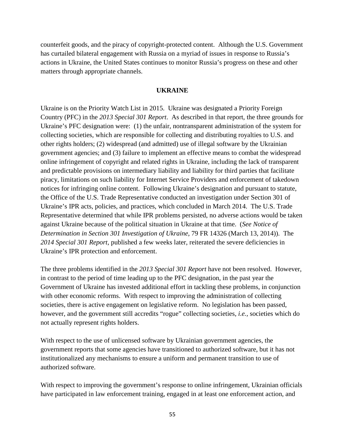counterfeit goods, and the piracy of copyright-protected content. Although the U.S. Government has curtailed bilateral engagement with Russia on a myriad of issues in response to Russia's actions in Ukraine, the United States continues to monitor Russia's progress on these and other matters through appropriate channels.

#### **UKRAINE**

Ukraine is on the Priority Watch List in 2015. Ukraine was designated a Priority Foreign Country (PFC) in the *2013 Special 301 Report*. As described in that report, the three grounds for Ukraine's PFC designation were: (1) the unfair, nontransparent administration of the system for collecting societies, which are responsible for collecting and distributing royalties to U.S. and other rights holders; (2) widespread (and admitted) use of illegal software by the Ukrainian government agencies; and (3) failure to implement an effective means to combat the widespread online infringement of copyright and related rights in Ukraine, including the lack of transparent and predictable provisions on intermediary liability and liability for third parties that facilitate piracy, limitations on such liability for Internet Service Providers and enforcement of takedown notices for infringing online content. Following Ukraine's designation and pursuant to statute, the Office of the U.S. Trade Representative conducted an investigation under Section 301 of Ukraine's IPR acts, policies, and practices, which concluded in March 2014. The U.S. Trade Representative determined that while IPR problems persisted, no adverse actions would be taken against Ukraine because of the political situation in Ukraine at that time. (*See Notice of Determination in Section 301 Investigation of Ukraine*, 79 FR 14326 (March 13, 2014)). The *2014 Special 301 Report*, published a few weeks later, reiterated the severe deficiencies in Ukraine's IPR protection and enforcement.

The three problems identified in the *2013 Special 301 Report* have not been resolved. However, in contrast to the period of time leading up to the PFC designation, in the past year the Government of Ukraine has invested additional effort in tackling these problems, in conjunction with other economic reforms. With respect to improving the administration of collecting societies, there is active engagement on legislative reform. No legislation has been passed, however, and the government still accredits "rogue" collecting societies, *i.e.,* societies which do not actually represent rights holders.

With respect to the use of unlicensed software by Ukrainian government agencies, the government reports that some agencies have transitioned to authorized software, but it has not institutionalized any mechanisms to ensure a uniform and permanent transition to use of authorized software.

With respect to improving the government's response to online infringement, Ukrainian officials have participated in law enforcement training, engaged in at least one enforcement action, and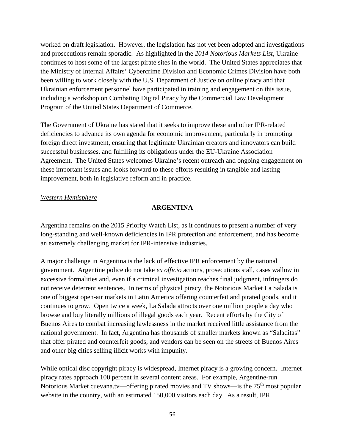worked on draft legislation. However, the legislation has not yet been adopted and investigations and prosecutions remain sporadic. As highlighted in the *2014 Notorious Markets List*, Ukraine continues to host some of the largest pirate sites in the world. The United States appreciates that the Ministry of Internal Affairs' Cybercrime Division and Economic Crimes Division have both been willing to work closely with the U.S. Department of Justice on online piracy and that Ukrainian enforcement personnel have participated in training and engagement on this issue, including a workshop on Combating Digital Piracy by the Commercial Law Development Program of the United States Department of Commerce.

The Government of Ukraine has stated that it seeks to improve these and other IPR-related deficiencies to advance its own agenda for economic improvement, particularly in promoting foreign direct investment, ensuring that legitimate Ukrainian creators and innovators can build successful businesses, and fulfilling its obligations under the EU-Ukraine Association Agreement. The United States welcomes Ukraine's recent outreach and ongoing engagement on these important issues and looks forward to these efforts resulting in tangible and lasting improvement, both in legislative reform and in practice.

# *Western Hemisphere*

# **ARGENTINA**

Argentina remains on the 2015 Priority Watch List, as it continues to present a number of very long-standing and well-known deficiencies in IPR protection and enforcement, and has become an extremely challenging market for IPR-intensive industries.

A major challenge in Argentina is the lack of effective IPR enforcement by the national government. Argentine police do not take *ex officio* actions, prosecutions stall, cases wallow in excessive formalities and, even if a criminal investigation reaches final judgment, infringers do not receive deterrent sentences. In terms of physical piracy, the Notorious Market La Salada is one of biggest open-air markets in Latin America offering counterfeit and pirated goods, and it continues to grow. Open twice a week, La Salada attracts over one million people a day who browse and buy literally millions of illegal goods each year. Recent efforts by the City of Buenos Aires to combat increasing lawlessness in the market received little assistance from the national government. In fact, Argentina has thousands of smaller markets known as "Saladitas" that offer pirated and counterfeit goods, and vendors can be seen on the streets of Buenos Aires and other big cities selling illicit works with impunity.

While optical disc copyright piracy is widespread, Internet piracy is a growing concern. Internet piracy rates approach 100 percent in several content areas. For example, Argentine-run Notorious Market cuevana.tv—offering pirated movies and TV shows—is the 75<sup>th</sup> most popular website in the country, with an estimated 150,000 visitors each day. As a result, IPR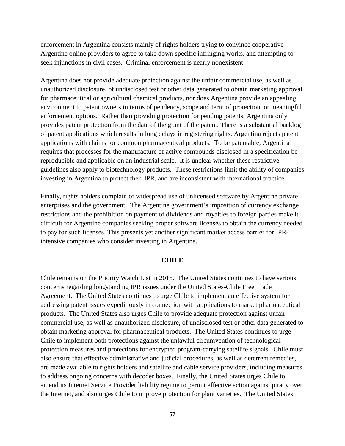enforcement in Argentina consists mainly of rights holders trying to convince cooperative Argentine online providers to agree to take down specific infringing works, and attempting to seek injunctions in civil cases. Criminal enforcement is nearly nonexistent.

Argentina does not provide adequate protection against the unfair commercial use, as well as unauthorized disclosure, of undisclosed test or other data generated to obtain marketing approval for pharmaceutical or agricultural chemical products, nor does Argentina provide an appealing environment to patent owners in terms of pendency, scope and term of protection, or meaningful enforcement options. Rather than providing protection for pending patents, Argentina only provides patent protection from the date of the grant of the patent. There is a substantial backlog of patent applications which results in long delays in registering rights. Argentina rejects patent applications with claims for common pharmaceutical products. To be patentable, Argentina requires that processes for the manufacture of active compounds disclosed in a specification be reproducible and applicable on an industrial scale. It is unclear whether these restrictive guidelines also apply to biotechnology products. These restrictions limit the ability of companies investing in Argentina to protect their IPR, and are inconsistent with international practice.

Finally, rights holders complain of widespread use of unlicensed software by Argentine private enterprises and the government. The Argentine government's imposition of currency exchange restrictions and the prohibition on payment of dividends and royalties to foreign parties make it difficult for Argentine companies seeking proper software licenses to obtain the currency needed to pay for such licenses. This presents yet another significant market access barrier for IPRintensive companies who consider investing in Argentina.

### **CHILE**

Chile remains on the Priority Watch List in 2015. The United States continues to have serious concerns regarding longstanding IPR issues under the United States-Chile Free Trade Agreement. The United States continues to urge Chile to implement an effective system for addressing patent issues expeditiously in connection with applications to market pharmaceutical products. The United States also urges Chile to provide adequate protection against unfair commercial use, as well as unauthorized disclosure, of undisclosed test or other data generated to obtain marketing approval for pharmaceutical products. The United States continues to urge Chile to implement both protections against the unlawful circumvention of technological protection measures and protections for encrypted program-carrying satellite signals. Chile must also ensure that effective administrative and judicial procedures, as well as deterrent remedies, are made available to rights holders and satellite and cable service providers, including measures to address ongoing concerns with decoder boxes. Finally, the United States urges Chile to amend its Internet Service Provider liability regime to permit effective action against piracy over the Internet, and also urges Chile to improve protection for plant varieties. The United States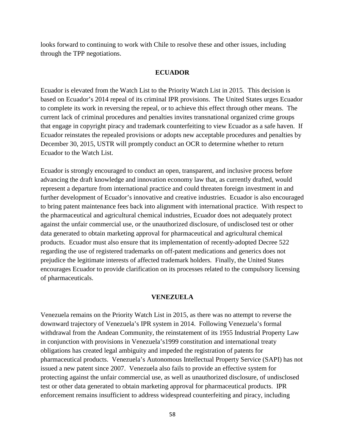looks forward to continuing to work with Chile to resolve these and other issues, including through the TPP negotiations.

## **ECUADOR**

Ecuador is elevated from the Watch List to the Priority Watch List in 2015. This decision is based on Ecuador's 2014 repeal of its criminal IPR provisions. The United States urges Ecuador to complete its work in reversing the repeal, or to achieve this effect through other means. The current lack of criminal procedures and penalties invites transnational organized crime groups that engage in copyright piracy and trademark counterfeiting to view Ecuador as a safe haven. If Ecuador reinstates the repealed provisions or adopts new acceptable procedures and penalties by December 30, 2015, USTR will promptly conduct an OCR to determine whether to return Ecuador to the Watch List.

Ecuador is strongly encouraged to conduct an open, transparent, and inclusive process before advancing the draft knowledge and innovation economy law that, as currently drafted, would represent a departure from international practice and could threaten foreign investment in and further development of Ecuador's innovative and creative industries. Ecuador is also encouraged to bring patent maintenance fees back into alignment with international practice. With respect to the pharmaceutical and agricultural chemical industries, Ecuador does not adequately protect against the unfair commercial use, or the unauthorized disclosure, of undisclosed test or other data generated to obtain marketing approval for pharmaceutical and agricultural chemical products. Ecuador must also ensure that its implementation of recently-adopted Decree 522 regarding the use of registered trademarks on off-patent medications and generics does not prejudice the legitimate interests of affected trademark holders. Finally, the United States encourages Ecuador to provide clarification on its processes related to the compulsory licensing of pharmaceuticals.

## **VENEZUELA**

Venezuela remains on the Priority Watch List in 2015, as there was no attempt to reverse the downward trajectory of Venezuela's IPR system in 2014. Following Venezuela's formal withdrawal from the Andean Community, the reinstatement of its 1955 Industrial Property Law in conjunction with provisions in Venezuela's1999 constitution and international treaty obligations has created legal ambiguity and impeded the registration of patents for pharmaceutical products. Venezuela's Autonomous Intellectual Property Service (SAPI) has not issued a new patent since 2007. Venezuela also fails to provide an effective system for protecting against the unfair commercial use, as well as unauthorized disclosure, of undisclosed test or other data generated to obtain marketing approval for pharmaceutical products. IPR enforcement remains insufficient to address widespread counterfeiting and piracy, including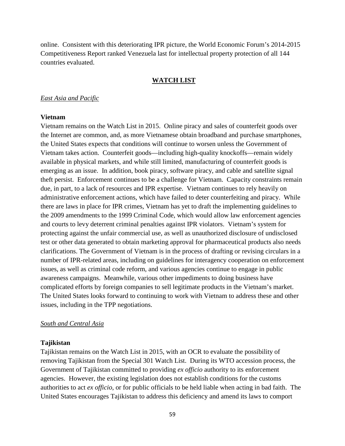online. Consistent with this deteriorating IPR picture, the World Economic Forum's 2014-2015 Competitiveness Report ranked Venezuela last for intellectual property protection of all 144 countries evaluated.

#### **WATCH LIST**

#### *East Asia and Pacific*

#### **Vietnam**

Vietnam remains on the Watch List in 2015. Online piracy and sales of counterfeit goods over the Internet are common, and, as more Vietnamese obtain broadband and purchase smartphones, the United States expects that conditions will continue to worsen unless the Government of Vietnam takes action. Counterfeit goods—including high-quality knockoffs—remain widely available in physical markets, and while still limited, manufacturing of counterfeit goods is emerging as an issue. In addition, book piracy, software piracy, and cable and satellite signal theft persist. Enforcement continues to be a challenge for Vietnam. Capacity constraints remain due, in part, to a lack of resources and IPR expertise. Vietnam continues to rely heavily on administrative enforcement actions, which have failed to deter counterfeiting and piracy. While there are laws in place for IPR crimes, Vietnam has yet to draft the implementing guidelines to the 2009 amendments to the 1999 Criminal Code, which would allow law enforcement agencies and courts to levy deterrent criminal penalties against IPR violators. Vietnam's system for protecting against the unfair commercial use, as well as unauthorized disclosure of undisclosed test or other data generated to obtain marketing approval for pharmaceutical products also needs clarifications. The Government of Vietnam is in the process of drafting or revising circulars in a number of IPR-related areas, including on guidelines for interagency cooperation on enforcement issues, as well as criminal code reform, and various agencies continue to engage in public awareness campaigns. Meanwhile, various other impediments to doing business have complicated efforts by foreign companies to sell legitimate products in the Vietnam's market. The United States looks forward to continuing to work with Vietnam to address these and other issues, including in the TPP negotiations.

#### *South and Central Asia*

#### **Tajikistan**

Tajikistan remains on the Watch List in 2015, with an OCR to evaluate the possibility of removing Tajikistan from the Special 301 Watch List. During its WTO accession process, the Government of Tajikistan committed to providing *ex officio* authority to its enforcement agencies. However, the existing legislation does not establish conditions for the customs authorities to act *ex officio*, or for public officials to be held liable when acting in bad faith. The United States encourages Tajikistan to address this deficiency and amend its laws to comport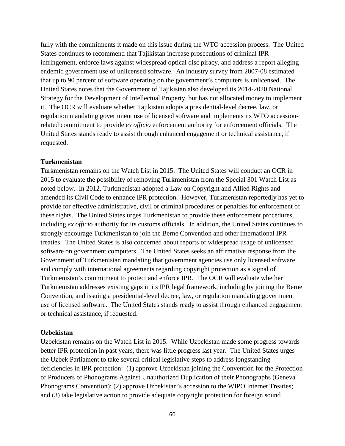fully with the commitments it made on this issue during the WTO accession process. The United States continues to recommend that Tajikistan increase prosecutions of criminal IPR infringement, enforce laws against widespread optical disc piracy, and address a report alleging endemic government use of unlicensed software. An industry survey from 2007-08 estimated that up to 90 percent of software operating on the government's computers is unlicensed. The United States notes that the Government of Tajikistan also developed its 2014-2020 National Strategy for the Development of Intellectual Property, but has not allocated money to implement it. The OCR will evaluate whether Tajikistan adopts a presidential-level decree, law, or regulation mandating government use of licensed software and implements its WTO accessionrelated commitment to provide *ex officio* enforcement authority for enforcement officials. The United States stands ready to assist through enhanced engagement or technical assistance, if requested.

### **Turkmenistan**

Turkmenistan remains on the Watch List in 2015. The United States will conduct an OCR in 2015 to evaluate the possibility of removing Turkmenistan from the Special 301 Watch List as noted below. In 2012, Turkmenistan adopted a Law on Copyright and Allied Rights and amended its Civil Code to enhance IPR protection. However, Turkmenistan reportedly has yet to provide for effective administrative, civil or criminal procedures or penalties for enforcement of these rights. The United States urges Turkmenistan to provide these enforcement procedures, including *ex officio* authority for its customs officials. In addition, the United States continues to strongly encourage Turkmenistan to join the Berne Convention and other international IPR treaties. The United States is also concerned about reports of widespread usage of unlicensed software on government computers. The United States seeks an affirmative response from the Government of Turkmenistan mandating that government agencies use only licensed software and comply with international agreements regarding copyright protection as a signal of Turkmenistan's commitment to protect and enforce IPR. The OCR will evaluate whether Turkmenistan addresses existing gaps in its IPR legal framework, including by joining the Berne Convention, and issuing a presidential-level decree, law, or regulation mandating government use of licensed software. The United States stands ready to assist through enhanced engagement or technical assistance, if requested.

#### **Uzbekistan**

Uzbekistan remains on the Watch List in 2015. While Uzbekistan made some progress towards better IPR protection in past years, there was little progress last year. The United States urges the Uzbek Parliament to take several critical legislative steps to address longstanding deficiencies in IPR protection: (1) approve Uzbekistan joining the Convention for the Protection of Producers of Phonograms Against Unauthorized Duplication of their Phonographs (Geneva Phonograms Convention); (2) approve Uzbekistan's accession to the WIPO Internet Treaties; and (3) take legislative action to provide adequate copyright protection for foreign sound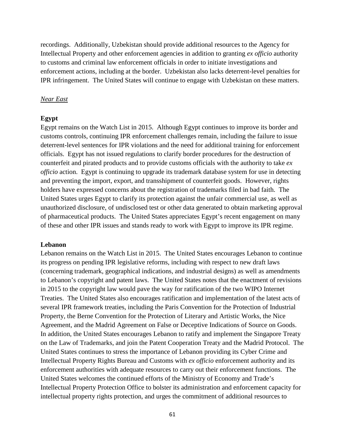recordings. Additionally, Uzbekistan should provide additional resources to the Agency for Intellectual Property and other enforcement agencies in addition to granting *ex officio* authority to customs and criminal law enforcement officials in order to initiate investigations and enforcement actions, including at the border. Uzbekistan also lacks deterrent-level penalties for IPR infringement. The United States will continue to engage with Uzbekistan on these matters.

#### *Near East*

#### **Egypt**

Egypt remains on the Watch List in 2015. Although Egypt continues to improve its border and customs controls, continuing IPR enforcement challenges remain, including the failure to issue deterrent-level sentences for IPR violations and the need for additional training for enforcement officials. Egypt has not issued regulations to clarify border procedures for the destruction of counterfeit and pirated products and to provide customs officials with the authority to take *ex officio* action. Egypt is continuing to upgrade its trademark database system for use in detecting and preventing the import, export, and transshipment of counterfeit goods. However, rights holders have expressed concerns about the registration of trademarks filed in bad faith. The United States urges Egypt to clarify its protection against the unfair commercial use, as well as unauthorized disclosure, of undisclosed test or other data generated to obtain marketing approval of pharmaceutical products. The United States appreciates Egypt's recent engagement on many of these and other IPR issues and stands ready to work with Egypt to improve its IPR regime.

#### **Lebanon**

Lebanon remains on the Watch List in 2015. The United States encourages Lebanon to continue its progress on pending IPR legislative reforms, including with respect to new draft laws (concerning trademark, geographical indications, and industrial designs) as well as amendments to Lebanon's copyright and patent laws. The United States notes that the enactment of revisions in 2015 to the copyright law would pave the way for ratification of the two WIPO Internet Treaties. The United States also encourages ratification and implementation of the latest acts of several IPR framework treaties, including the Paris Convention for the Protection of Industrial Property, the Berne Convention for the Protection of Literary and Artistic Works, the Nice Agreement, and the Madrid Agreement on False or Deceptive Indications of Source on Goods. In addition, the United States encourages Lebanon to ratify and implement the Singapore Treaty on the Law of Trademarks, and join the Patent Cooperation Treaty and the Madrid Protocol. The United States continues to stress the importance of Lebanon providing its Cyber Crime and Intellectual Property Rights Bureau and Customs with *ex officio* enforcement authority and its enforcement authorities with adequate resources to carry out their enforcement functions. The United States welcomes the continued efforts of the Ministry of Economy and Trade's Intellectual Property Protection Office to bolster its administration and enforcement capacity for intellectual property rights protection, and urges the commitment of additional resources to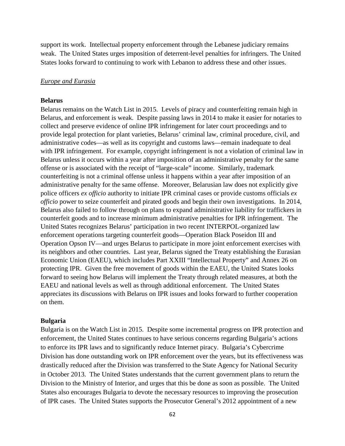support its work. Intellectual property enforcement through the Lebanese judiciary remains weak. The United States urges imposition of deterrent-level penalties for infringers. The United States looks forward to continuing to work with Lebanon to address these and other issues.

## *Europe and Eurasia*

## **Belarus**

Belarus remains on the Watch List in 2015. Levels of piracy and counterfeiting remain high in Belarus, and enforcement is weak. Despite passing laws in 2014 to make it easier for notaries to collect and preserve evidence of online IPR infringement for later court proceedings and to provide legal protection for plant varieties, Belarus' criminal law, criminal procedure, civil, and administrative codes—as well as its copyright and customs laws—remain inadequate to deal with IPR infringement. For example, copyright infringement is not a violation of criminal law in Belarus unless it occurs within a year after imposition of an administrative penalty for the same offense or is associated with the receipt of "large-scale" income. Similarly, trademark counterfeiting is not a criminal offense unless it happens within a year after imposition of an administrative penalty for the same offense. Moreover, Belarusian law does not explicitly give police officers *ex officio* authority to initiate IPR criminal cases or provide customs officials *ex officio* power to seize counterfeit and pirated goods and begin their own investigations. In 2014, Belarus also failed to follow through on plans to expand administrative liability for traffickers in counterfeit goods and to increase minimum administrative penalties for IPR infringement. The United States recognizes Belarus' participation in two recent INTERPOL-organized law enforcement operations targeting counterfeit goods—Operation Black Poseidon III and Operation Opson IV—and urges Belarus to participate in more joint enforcement exercises with its neighbors and other countries. Last year, Belarus signed the Treaty establishing the Eurasian Economic Union (EAEU), which includes Part XXIII "Intellectual Property" and Annex 26 on protecting IPR. Given the free movement of goods within the EAEU, the United States looks forward to seeing how Belarus will implement the Treaty through related measures, at both the EAEU and national levels as well as through additional enforcement. The United States appreciates its discussions with Belarus on IPR issues and looks forward to further cooperation on them.

#### **Bulgaria**

Bulgaria is on the Watch List in 2015. Despite some incremental progress on IPR protection and enforcement, the United States continues to have serious concerns regarding Bulgaria's actions to enforce its IPR laws and to significantly reduce Internet piracy. Bulgaria's Cybercrime Division has done outstanding work on IPR enforcement over the years, but its effectiveness was drastically reduced after the Division was transferred to the State Agency for National Security in October 2013. The United States understands that the current government plans to return the Division to the Ministry of Interior, and urges that this be done as soon as possible. The United States also encourages Bulgaria to devote the necessary resources to improving the prosecution of IPR cases. The United States supports the Prosecutor General's 2012 appointment of a new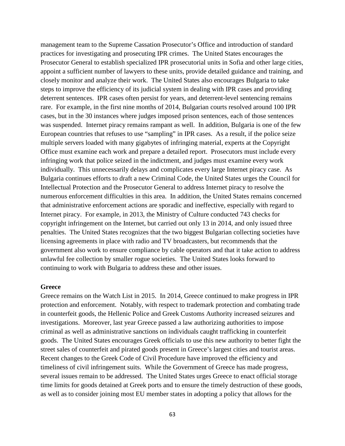management team to the Supreme Cassation Prosecutor's Office and introduction of standard practices for investigating and prosecuting IPR crimes. The United States encourages the Prosecutor General to establish specialized IPR prosecutorial units in Sofia and other large cities, appoint a sufficient number of lawyers to these units, provide detailed guidance and training, and closely monitor and analyze their work. The United States also encourages Bulgaria to take steps to improve the efficiency of its judicial system in dealing with IPR cases and providing deterrent sentences. IPR cases often persist for years, and deterrent-level sentencing remains rare. For example, in the first nine months of 2014, Bulgarian courts resolved around 100 IPR cases, but in the 30 instances where judges imposed prison sentences, each of those sentences was suspended. Internet piracy remains rampant as well. In addition, Bulgaria is one of the few European countries that refuses to use "sampling" in IPR cases. As a result, if the police seize multiple servers loaded with many gigabytes of infringing material, experts at the Copyright Office must examine each work and prepare a detailed report. Prosecutors must include every infringing work that police seized in the indictment, and judges must examine every work individually. This unnecessarily delays and complicates every large Internet piracy case. As Bulgaria continues efforts to draft a new Criminal Code, the United States urges the Council for Intellectual Protection and the Prosecutor General to address Internet piracy to resolve the numerous enforcement difficulties in this area. In addition, the United States remains concerned that administrative enforcement actions are sporadic and ineffective, especially with regard to Internet piracy. For example, in 2013, the Ministry of Culture conducted 743 checks for copyright infringement on the Internet, but carried out only 13 in 2014, and only issued three penalties. The United States recognizes that the two biggest Bulgarian collecting societies have licensing agreements in place with radio and TV broadcasters, but recommends that the government also work to ensure compliance by cable operators and that it take action to address unlawful fee collection by smaller rogue societies. The United States looks forward to continuing to work with Bulgaria to address these and other issues.

### **Greece**

Greece remains on the Watch List in 2015. In 2014, Greece continued to make progress in IPR protection and enforcement. Notably, with respect to trademark protection and combating trade in counterfeit goods, the Hellenic Police and Greek Customs Authority increased seizures and investigations. Moreover, last year Greece passed a law authorizing authorities to impose criminal as well as administrative sanctions on individuals caught trafficking in counterfeit goods. The United States encourages Greek officials to use this new authority to better fight the street sales of counterfeit and pirated goods present in Greece's largest cities and tourist areas. Recent changes to the Greek Code of Civil Procedure have improved the efficiency and timeliness of civil infringement suits. While the Government of Greece has made progress, several issues remain to be addressed. The United States urges Greece to enact official storage time limits for goods detained at Greek ports and to ensure the timely destruction of these goods, as well as to consider joining most EU member states in adopting a policy that allows for the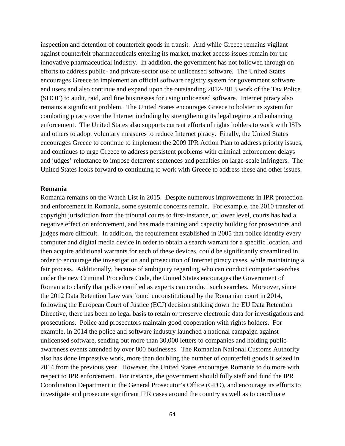inspection and detention of counterfeit goods in transit. And while Greece remains vigilant against counterfeit pharmaceuticals entering its market, market access issues remain for the innovative pharmaceutical industry. In addition, the government has not followed through on efforts to address public- and private-sector use of unlicensed software. The United States encourages Greece to implement an official software registry system for government software end users and also continue and expand upon the outstanding 2012-2013 work of the Tax Police (SDOE) to audit, raid, and fine businesses for using unlicensed software. Internet piracy also remains a significant problem. The United States encourages Greece to bolster its system for combating piracy over the Internet including by strengthening its legal regime and enhancing enforcement. The United States also supports current efforts of rights holders to work with ISPs and others to adopt voluntary measures to reduce Internet piracy. Finally, the United States encourages Greece to continue to implement the 2009 IPR Action Plan to address priority issues, and continues to urge Greece to address persistent problems with criminal enforcement delays and judges' reluctance to impose deterrent sentences and penalties on large-scale infringers. The United States looks forward to continuing to work with Greece to address these and other issues.

#### **Romania**

Romania remains on the Watch List in 2015. Despite numerous improvements in IPR protection and enforcement in Romania, some systemic concerns remain. For example, the 2010 transfer of copyright jurisdiction from the tribunal courts to first-instance, or lower level, courts has had a negative effect on enforcement, and has made training and capacity building for prosecutors and judges more difficult. In addition, the requirement established in 2005 that police identify every computer and digital media device in order to obtain a search warrant for a specific location, and then acquire additional warrants for each of these devices, could be significantly streamlined in order to encourage the investigation and prosecution of Internet piracy cases, while maintaining a fair process. Additionally, because of ambiguity regarding who can conduct computer searches under the new Criminal Procedure Code, the United States encourages the Government of Romania to clarify that police certified as experts can conduct such searches. Moreover, since the 2012 Data Retention Law was found unconstitutional by the Romanian court in 2014, following the European Court of Justice (ECJ) decision striking down the EU Data Retention Directive, there has been no legal basis to retain or preserve electronic data for investigations and prosecutions. Police and prosecutors maintain good cooperation with rights holders. For example, in 2014 the police and software industry launched a national campaign against unlicensed software, sending out more than 30,000 letters to companies and holding public awareness events attended by over 800 businesses. The Romanian National Customs Authority also has done impressive work, more than doubling the number of counterfeit goods it seized in 2014 from the previous year. However, the United States encourages Romania to do more with respect to IPR enforcement. For instance, the government should fully staff and fund the IPR Coordination Department in the General Prosecutor's Office (GPO), and encourage its efforts to investigate and prosecute significant IPR cases around the country as well as to coordinate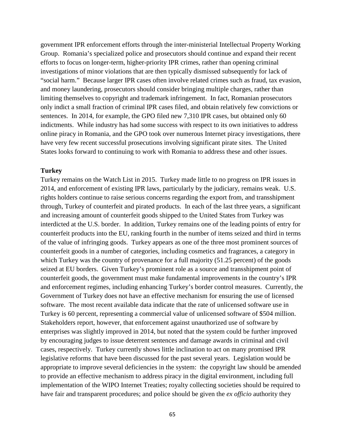government IPR enforcement efforts through the inter-ministerial Intellectual Property Working Group. Romania's specialized police and prosecutors should continue and expand their recent efforts to focus on longer-term, higher-priority IPR crimes, rather than opening criminal investigations of minor violations that are then typically dismissed subsequently for lack of "social harm." Because larger IPR cases often involve related crimes such as fraud, tax evasion, and money laundering, prosecutors should consider bringing multiple charges, rather than limiting themselves to copyright and trademark infringement. In fact, Romanian prosecutors only indict a small fraction of criminal IPR cases filed, and obtain relatively few convictions or sentences. In 2014, for example, the GPO filed new 7,310 IPR cases, but obtained only 60 indictments. While industry has had some success with respect to its own initiatives to address online piracy in Romania, and the GPO took over numerous Internet piracy investigations, there have very few recent successful prosecutions involving significant pirate sites. The United States looks forward to continuing to work with Romania to address these and other issues.

## **Turkey**

Turkey remains on the Watch List in 2015. Turkey made little to no progress on IPR issues in 2014, and enforcement of existing IPR laws, particularly by the judiciary, remains weak. U.S. rights holders continue to raise serious concerns regarding the export from, and transshipment through, Turkey of counterfeit and pirated products. In each of the last three years, a significant and increasing amount of counterfeit goods shipped to the United States from Turkey was interdicted at the U.S. border. In addition, Turkey remains one of the leading points of entry for counterfeit products into the EU, ranking fourth in the number of items seized and third in terms of the value of infringing goods. Turkey appears as one of the three most prominent sources of counterfeit goods in a number of categories, including cosmetics and fragrances, a category in which Turkey was the country of provenance for a full majority (51.25 percent) of the goods seized at EU borders. Given Turkey's prominent role as a source and transshipment point of counterfeit goods, the government must make fundamental improvements in the country's IPR and enforcement regimes, including enhancing Turkey's border control measures. Currently, the Government of Turkey does not have an effective mechanism for ensuring the use of licensed software. The most recent available data indicate that the rate of unlicensed software use in Turkey is 60 percent, representing a commercial value of unlicensed software of \$504 million. Stakeholders report, however, that enforcement against unauthorized use of software by enterprises was slightly improved in 2014, but noted that the system could be further improved by encouraging judges to issue deterrent sentences and damage awards in criminal and civil cases, respectively. Turkey currently shows little inclination to act on many promised IPR legislative reforms that have been discussed for the past several years. Legislation would be appropriate to improve several deficiencies in the system: the copyright law should be amended to provide an effective mechanism to address piracy in the digital environment, including full implementation of the WIPO Internet Treaties; royalty collecting societies should be required to have fair and transparent procedures; and police should be given the *ex officio* authority they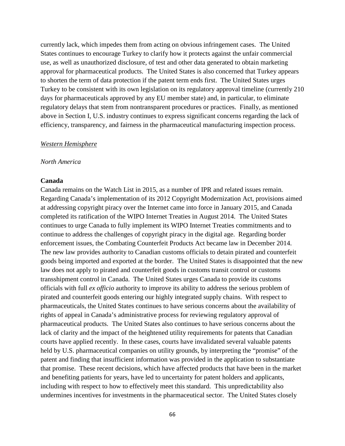currently lack, which impedes them from acting on obvious infringement cases. The United States continues to encourage Turkey to clarify how it protects against the unfair commercial use, as well as unauthorized disclosure, of test and other data generated to obtain marketing approval for pharmaceutical products. The United States is also concerned that Turkey appears to shorten the term of data protection if the patent term ends first. The United States urges Turkey to be consistent with its own legislation on its regulatory approval timeline (currently 210 days for pharmaceuticals approved by any EU member state) and, in particular, to eliminate regulatory delays that stem from nontransparent procedures or practices. Finally, as mentioned above in Section I, U.S. industry continues to express significant concerns regarding the lack of efficiency, transparency, and fairness in the pharmaceutical manufacturing inspection process.

#### *Western Hemisphere*

#### *North America*

#### **Canada**

Canada remains on the Watch List in 2015, as a number of IPR and related issues remain. Regarding Canada's implementation of its 2012 Copyright Modernization Act, provisions aimed at addressing copyright piracy over the Internet came into force in January 2015, and Canada completed its ratification of the WIPO Internet Treaties in August 2014. The United States continues to urge Canada to fully implement its WIPO Internet Treaties commitments and to continue to address the challenges of copyright piracy in the digital age. Regarding border enforcement issues, the Combating Counterfeit Products Act became law in December 2014. The new law provides authority to Canadian customs officials to detain pirated and counterfeit goods being imported and exported at the border. The United States is disappointed that the new law does not apply to pirated and counterfeit goods in customs transit control or customs transshipment control in Canada. The United States urges Canada to provide its customs officials with full *ex officio* authority to improve its ability to address the serious problem of pirated and counterfeit goods entering our highly integrated supply chains. With respect to pharmaceuticals, the United States continues to have serious concerns about the availability of rights of appeal in Canada's administrative process for reviewing regulatory approval of pharmaceutical products. The United States also continues to have serious concerns about the lack of clarity and the impact of the heightened utility requirements for patents that Canadian courts have applied recently. In these cases, courts have invalidated several valuable patents held by U.S. pharmaceutical companies on utility grounds, by interpreting the "promise" of the patent and finding that insufficient information was provided in the application to substantiate that promise. These recent decisions, which have affected products that have been in the market and benefiting patients for years, have led to uncertainty for patent holders and applicants, including with respect to how to effectively meet this standard. This unpredictability also undermines incentives for investments in the pharmaceutical sector. The United States closely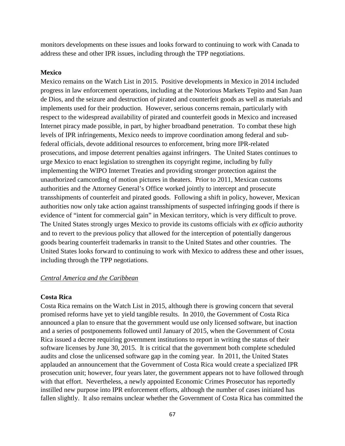monitors developments on these issues and looks forward to continuing to work with Canada to address these and other IPR issues, including through the TPP negotiations.

## **Mexico**

Mexico remains on the Watch List in 2015. Positive developments in Mexico in 2014 included progress in law enforcement operations, including at the Notorious Markets Tepito and San Juan de Dios, and the seizure and destruction of pirated and counterfeit goods as well as materials and implements used for their production. However, serious concerns remain, particularly with respect to the widespread availability of pirated and counterfeit goods in Mexico and increased Internet piracy made possible, in part, by higher broadband penetration. To combat these high levels of IPR infringements, Mexico needs to improve coordination among federal and subfederal officials, devote additional resources to enforcement, bring more IPR-related prosecutions, and impose deterrent penalties against infringers. The United States continues to urge Mexico to enact legislation to strengthen its copyright regime, including by fully implementing the WIPO Internet Treaties and providing stronger protection against the unauthorized camcording of motion pictures in theaters. Prior to 2011, Mexican customs authorities and the Attorney General's Office worked jointly to intercept and prosecute transshipments of counterfeit and pirated goods. Following a shift in policy, however, Mexican authorities now only take action against transshipments of suspected infringing goods if there is evidence of "intent for commercial gain" in Mexican territory, which is very difficult to prove. The United States strongly urges Mexico to provide its customs officials with *ex officio* authority and to revert to the previous policy that allowed for the interception of potentially dangerous goods bearing counterfeit trademarks in transit to the United States and other countries. The United States looks forward to continuing to work with Mexico to address these and other issues, including through the TPP negotiations.

#### *Central America and the Caribbean*

## **Costa Rica**

Costa Rica remains on the Watch List in 2015, although there is growing concern that several promised reforms have yet to yield tangible results. In 2010, the Government of Costa Rica announced a plan to ensure that the government would use only licensed software, but inaction and a series of postponements followed until January of 2015, when the Government of Costa Rica issued a decree requiring government institutions to report in writing the status of their software licenses by June 30, 2015. It is critical that the government both complete scheduled audits and close the unlicensed software gap in the coming year. In 2011, the United States applauded an announcement that the Government of Costa Rica would create a specialized IPR prosecution unit; however, four years later, the government appears not to have followed through with that effort. Nevertheless, a newly appointed Economic Crimes Prosecutor has reportedly instilled new purpose into IPR enforcement efforts, although the number of cases initiated has fallen slightly. It also remains unclear whether the Government of Costa Rica has committed the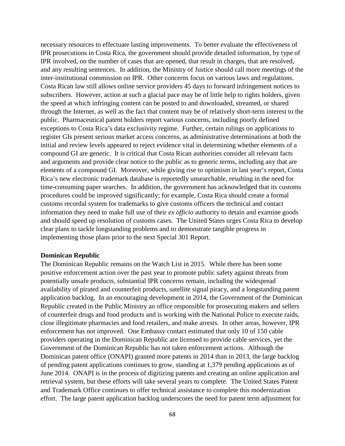necessary resources to effectuate lasting improvements. To better evaluate the effectiveness of IPR prosecutions in Costa Rica, the government should provide detailed information, by type of IPR involved, on the number of cases that are opened, that result in charges, that are resolved, and any resulting sentences. In addition, the Ministry of Justice should call more meetings of the inter-institutional commission on IPR. Other concerns focus on various laws and regulations. Costa Rican law still allows online service providers 45 days to forward infringement notices to subscribers. However, action at such a glacial pace may be of little help to rights holders, given the speed at which infringing content can be posted to and downloaded, streamed, or shared through the Internet, as well as the fact that content may be of relatively short-term interest to the public. Pharmaceutical patent holders report various concerns, including poorly defined exceptions to Costa Rica's data exclusivity regime. Further, certain rulings on applications to register GIs present serious market access concerns, as administrative determinations at both the initial and review levels appeared to reject evidence vital in determining whether elements of a compound GI are generic. It is critical that Costa Rican authorities consider all relevant facts and arguments and provide clear notice to the public as to generic terms, including any that are elements of a compound GI. Moreover, while giving rise to optimism in last year's report, Costa Rica's new electronic trademark database is reportedly unsearchable, resulting in the need for time-consuming paper searches. In addition, the government has acknowledged that its customs procedures could be improved significantly; for example, Costa Rica should create a formal customs recordal system for trademarks to give customs officers the technical and contact information they need to make full use of their *ex officio* authority to detain and examine goods and should speed up resolution of customs cases. The United States urges Costa Rica to develop clear plans to tackle longstanding problems and to demonstrate tangible progress in implementing those plans prior to the next Special 301 Report.

# **Dominican Republic**

The Dominican Republic remains on the Watch List in 2015. While there has been some positive enforcement action over the past year to promote public safety against threats from potentially unsafe products, substantial IPR concerns remain, including the widespread availability of pirated and counterfeit products, satellite signal piracy, and a longstanding patent application backlog. In an encouraging development in 2014, the Government of the Dominican Republic created in the Public Ministry an office responsible for prosecuting makers and sellers of counterfeit drugs and food products and is working with the National Police to execute raids, close illegitimate pharmacies and food retailers, and make arrests. In other areas, however, IPR enforcement has not improved. One Embassy contact estimated that only 10 of 150 cable providers operating in the Dominican Republic are licensed to provide cable services, yet the Government of the Dominican Republic has not taken enforcement actions. Although the Dominican patent office (ONAPI) granted more patents in 2014 than in 2013, the large backlog of pending patent applications continues to grow, standing at 1,379 pending applications as of June 2014. ONAPI is in the process of digitizing patents and creating an online application and retrieval system, but these efforts will take several years to complete. The United States Patent and Trademark Office continues to offer technical assistance to complete this modernization effort. The large patent application backlog underscores the need for patent term adjustment for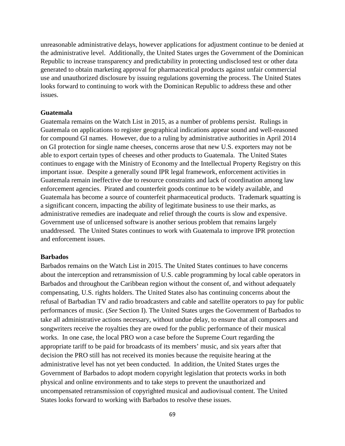unreasonable administrative delays, however applications for adjustment continue to be denied at the administrative level. Additionally, the United States urges the Government of the Dominican Republic to increase transparency and predictability in protecting undisclosed test or other data generated to obtain marketing approval for pharmaceutical products against unfair commercial use and unauthorized disclosure by issuing regulations governing the process. The United States looks forward to continuing to work with the Dominican Republic to address these and other issues.

# **Guatemala**

Guatemala remains on the Watch List in 2015, as a number of problems persist. Rulings in Guatemala on applications to register geographical indications appear sound and well-reasoned for compound GI names. However, due to a ruling by administrative authorities in April 2014 on GI protection for single name cheeses, concerns arose that new U.S. exporters may not be able to export certain types of cheeses and other products to Guatemala. The United States continues to engage with the Ministry of Economy and the Intellectual Property Registry on this important issue. Despite a generally sound IPR legal framework, enforcement activities in Guatemala remain ineffective due to resource constraints and lack of coordination among law enforcement agencies. Pirated and counterfeit goods continue to be widely available, and Guatemala has become a source of counterfeit pharmaceutical products. Trademark squatting is a significant concern, impacting the ability of legitimate business to use their marks, as administrative remedies are inadequate and relief through the courts is slow and expensive. Government use of unlicensed software is another serious problem that remains largely unaddressed. The United States continues to work with Guatemala to improve IPR protection and enforcement issues.

#### **Barbados**

Barbados remains on the Watch List in 2015. The United States continues to have concerns about the interception and retransmission of U.S. cable programming by local cable operators in Barbados and throughout the Caribbean region without the consent of, and without adequately compensating, U.S. rights holders. The United States also has continuing concerns about the refusal of Barbadian TV and radio broadcasters and cable and satellite operators to pay for public performances of music. (*See* Section I). The United States urges the Government of Barbados to take all administrative actions necessary, without undue delay, to ensure that all composers and songwriters receive the royalties they are owed for the public performance of their musical works. In one case, the local PRO won a case before the Supreme Court regarding the appropriate tariff to be paid for broadcasts of its members' music, and six years after that decision the PRO still has not received its monies because the requisite hearing at the administrative level has not yet been conducted. In addition, the United States urges the Government of Barbados to adopt modern copyright legislation that protects works in both physical and online environments and to take steps to prevent the unauthorized and uncompensated retransmission of copyrighted musical and audiovisual content. The United States looks forward to working with Barbados to resolve these issues.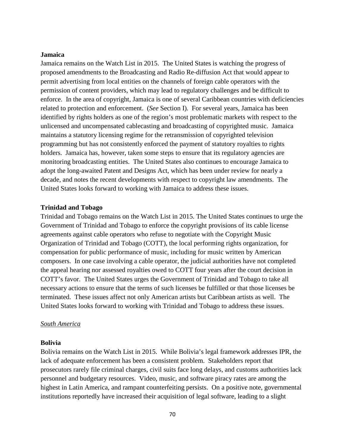# **Jamaica**

Jamaica remains on the Watch List in 2015. The United States is watching the progress of proposed amendments to the Broadcasting and Radio Re-diffusion Act that would appear to permit advertising from local entities on the channels of foreign cable operators with the permission of content providers, which may lead to regulatory challenges and be difficult to enforce. In the area of copyright, Jamaica is one of several Caribbean countries with deficiencies related to protection and enforcement. (*See* Section I). For several years, Jamaica has been identified by rights holders as one of the region's most problematic markets with respect to the unlicensed and uncompensated cablecasting and broadcasting of copyrighted music. Jamaica maintains a statutory licensing regime for the retransmission of copyrighted television programming but has not consistently enforced the payment of statutory royalties to rights holders. Jamaica has, however, taken some steps to ensure that its regulatory agencies are monitoring broadcasting entities. The United States also continues to encourage Jamaica to adopt the long-awaited Patent and Designs Act, which has been under review for nearly a decade, and notes the recent developments with respect to copyright law amendments. The United States looks forward to working with Jamaica to address these issues.

# **Trinidad and Tobago**

Trinidad and Tobago remains on the Watch List in 2015. The United States continues to urge the Government of Trinidad and Tobago to enforce the copyright provisions of its cable license agreements against cable operators who refuse to negotiate with the Copyright Music Organization of Trinidad and Tobago (COTT), the local performing rights organization, for compensation for public performance of music, including for music written by American composers. In one case involving a cable operator, the judicial authorities have not completed the appeal hearing nor assessed royalties owed to COTT four years after the court decision in COTT's favor. The United States urges the Government of Trinidad and Tobago to take all necessary actions to ensure that the terms of such licenses be fulfilled or that those licenses be terminated. These issues affect not only American artists but Caribbean artists as well. The United States looks forward to working with Trinidad and Tobago to address these issues.

# *South America*

# **Bolivia**

Bolivia remains on the Watch List in 2015. While Bolivia's legal framework addresses IPR, the lack of adequate enforcement has been a consistent problem. Stakeholders report that prosecutors rarely file criminal charges, civil suits face long delays, and customs authorities lack personnel and budgetary resources. Video, music, and software piracy rates are among the highest in Latin America, and rampant counterfeiting persists. On a positive note, governmental institutions reportedly have increased their acquisition of legal software, leading to a slight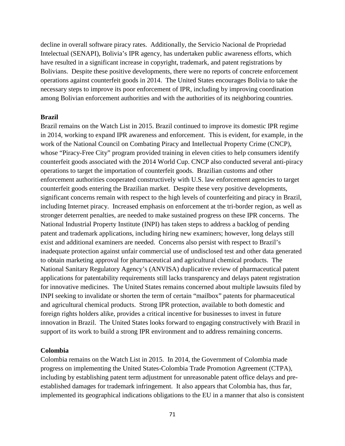decline in overall software piracy rates. Additionally, the Servicio Nacional de Propriedad Intelectual (SENAPI), Bolivia's IPR agency, has undertaken public awareness efforts, which have resulted in a significant increase in copyright, trademark, and patent registrations by Bolivians. Despite these positive developments, there were no reports of concrete enforcement operations against counterfeit goods in 2014. The United States encourages Bolivia to take the necessary steps to improve its poor enforcement of IPR, including by improving coordination among Bolivian enforcement authorities and with the authorities of its neighboring countries.

#### **Brazil**

Brazil remains on the Watch List in 2015. Brazil continued to improve its domestic IPR regime in 2014, working to expand IPR awareness and enforcement. This is evident, for example, in the work of the National Council on Combating Piracy and Intellectual Property Crime (CNCP), whose "Piracy-Free City" program provided training in eleven cities to help consumers identify counterfeit goods associated with the 2014 World Cup. CNCP also conducted several anti-piracy operations to target the importation of counterfeit goods. Brazilian customs and other enforcement authorities cooperated constructively with U.S. law enforcement agencies to target counterfeit goods entering the Brazilian market. Despite these very positive developments, significant concerns remain with respect to the high levels of counterfeiting and piracy in Brazil, including Internet piracy. Increased emphasis on enforcement at the tri-border region, as well as stronger deterrent penalties, are needed to make sustained progress on these IPR concerns. The National Industrial Property Institute (INPI) has taken steps to address a backlog of pending patent and trademark applications, including hiring new examiners; however, long delays still exist and additional examiners are needed. Concerns also persist with respect to Brazil's inadequate protection against unfair commercial use of undisclosed test and other data generated to obtain marketing approval for pharmaceutical and agricultural chemical products. The National Sanitary Regulatory Agency's (ANVISA) duplicative review of pharmaceutical patent applications for patentability requirements still lacks transparency and delays patent registration for innovative medicines. The United States remains concerned about multiple lawsuits filed by INPI seeking to invalidate or shorten the term of certain "mailbox" patents for pharmaceutical and agricultural chemical products. Strong IPR protection, available to both domestic and foreign rights holders alike, provides a critical incentive for businesses to invest in future innovation in Brazil. The United States looks forward to engaging constructively with Brazil in support of its work to build a strong IPR environment and to address remaining concerns.

# **Colombia**

Colombia remains on the Watch List in 2015. In 2014, the Government of Colombia made progress on implementing the United States-Colombia Trade Promotion Agreement (CTPA), including by establishing patent term adjustment for unreasonable patent office delays and preestablished damages for trademark infringement. It also appears that Colombia has, thus far, implemented its geographical indications obligations to the EU in a manner that also is consistent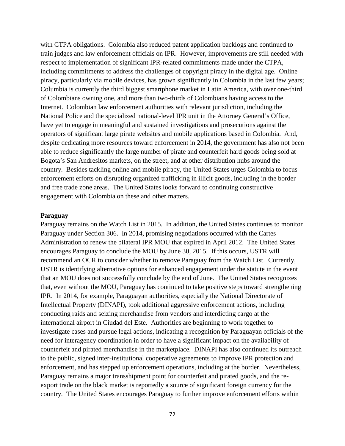with CTPA obligations. Colombia also reduced patent application backlogs and continued to train judges and law enforcement officials on IPR. However, improvements are still needed with respect to implementation of significant IPR-related commitments made under the CTPA, including commitments to address the challenges of copyright piracy in the digital age. Online piracy, particularly via mobile devices, has grown significantly in Colombia in the last few years; Columbia is currently the third biggest smartphone market in Latin America, with over one-third of Colombians owning one, and more than two-thirds of Colombians having access to the Internet. Colombian law enforcement authorities with relevant jurisdiction, including the National Police and the specialized national-level IPR unit in the Attorney General's Office, have yet to engage in meaningful and sustained investigations and prosecutions against the operators of significant large pirate websites and mobile applications based in Colombia. And, despite dedicating more resources toward enforcement in 2014, the government has also not been able to reduce significantly the large number of pirate and counterfeit hard goods being sold at Bogota's San Andresitos markets, on the street, and at other distribution hubs around the country. Besides tackling online and mobile piracy, the United States urges Colombia to focus enforcement efforts on disrupting organized trafficking in illicit goods, including in the border and free trade zone areas. The United States looks forward to continuing constructive engagement with Colombia on these and other matters.

#### **Paraguay**

Paraguay remains on the Watch List in 2015. In addition, the United States continues to monitor Paraguay under Section 306. In 2014, promising negotiations occurred with the Cartes Administration to renew the bilateral IPR MOU that expired in April 2012. The United States encourages Paraguay to conclude the MOU by June 30, 2015. If this occurs, USTR will recommend an OCR to consider whether to remove Paraguay from the Watch List. Currently, USTR is identifying alternative options for enhanced engagement under the statute in the event that an MOU does not successfully conclude by the end of June. The United States recognizes that, even without the MOU, Paraguay has continued to take positive steps toward strengthening IPR. In 2014, for example, Paraguayan authorities, especially the National Directorate of Intellectual Property (DINAPI), took additional aggressive enforcement actions, including conducting raids and seizing merchandise from vendors and interdicting cargo at the international airport in Ciudad del Este. Authorities are beginning to work together to investigate cases and pursue legal actions, indicating a recognition by Paraguayan officials of the need for interagency coordination in order to have a significant impact on the availability of counterfeit and pirated merchandise in the marketplace. DINAPI has also continued its outreach to the public, signed inter-institutional cooperative agreements to improve IPR protection and enforcement, and has stepped up enforcement operations, including at the border. Nevertheless, Paraguay remains a major transshipment point for counterfeit and pirated goods, and the reexport trade on the black market is reportedly a source of significant foreign currency for the country. The United States encourages Paraguay to further improve enforcement efforts within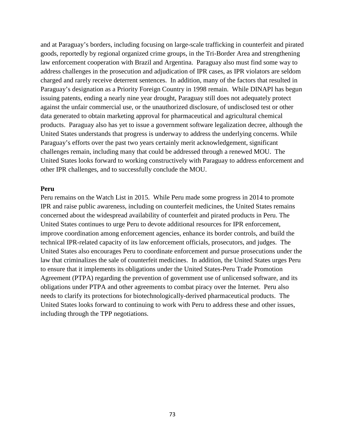and at Paraguay's borders, including focusing on large-scale trafficking in counterfeit and pirated goods, reportedly by regional organized crime groups, in the Tri-Border Area and strengthening law enforcement cooperation with Brazil and Argentina. Paraguay also must find some way to address challenges in the prosecution and adjudication of IPR cases, as IPR violators are seldom charged and rarely receive deterrent sentences. In addition, many of the factors that resulted in Paraguay's designation as a Priority Foreign Country in 1998 remain. While DINAPI has begun issuing patents, ending a nearly nine year drought, Paraguay still does not adequately protect against the unfair commercial use, or the unauthorized disclosure, of undisclosed test or other data generated to obtain marketing approval for pharmaceutical and agricultural chemical products. Paraguay also has yet to issue a government software legalization decree, although the United States understands that progress is underway to address the underlying concerns. While Paraguay's efforts over the past two years certainly merit acknowledgement, significant challenges remain, including many that could be addressed through a renewed MOU. The United States looks forward to working constructively with Paraguay to address enforcement and other IPR challenges, and to successfully conclude the MOU.

#### **Peru**

Peru remains on the Watch List in 2015. While Peru made some progress in 2014 to promote IPR and raise public awareness, including on counterfeit medicines, the United States remains concerned about the widespread availability of counterfeit and pirated products in Peru. The United States continues to urge Peru to devote additional resources for IPR enforcement, improve coordination among enforcement agencies, enhance its border controls, and build the technical IPR-related capacity of its law enforcement officials, prosecutors, and judges. The United States also encourages Peru to coordinate enforcement and pursue prosecutions under the law that criminalizes the sale of counterfeit medicines. In addition, the United States urges Peru to ensure that it implements its obligations under the United States-Peru Trade Promotion Agreement (PTPA) regarding the prevention of government use of unlicensed software, and its obligations under PTPA and other agreements to combat piracy over the Internet. Peru also needs to clarify its protections for biotechnologically-derived pharmaceutical products. The United States looks forward to continuing to work with Peru to address these and other issues, including through the TPP negotiations.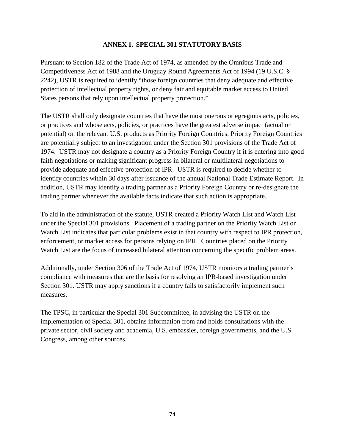# **ANNEX 1. SPECIAL 301 STATUTORY BASIS**

Pursuant to Section 182 of the Trade Act of 1974, as amended by the Omnibus Trade and Competitiveness Act of 1988 and the Uruguay Round Agreements Act of 1994 (19 U.S.C. § 2242), USTR is required to identify "those foreign countries that deny adequate and effective protection of intellectual property rights, or deny fair and equitable market access to United States persons that rely upon intellectual property protection."

The USTR shall only designate countries that have the most onerous or egregious acts, policies, or practices and whose acts, policies, or practices have the greatest adverse impact (actual or potential) on the relevant U.S. products as Priority Foreign Countries. Priority Foreign Countries are potentially subject to an investigation under the Section 301 provisions of the Trade Act of 1974. USTR may not designate a country as a Priority Foreign Country if it is entering into good faith negotiations or making significant progress in bilateral or multilateral negotiations to provide adequate and effective protection of IPR. USTR is required to decide whether to identify countries within 30 days after issuance of the annual National Trade Estimate Report. In addition, USTR may identify a trading partner as a Priority Foreign Country or re-designate the trading partner whenever the available facts indicate that such action is appropriate.

To aid in the administration of the statute, USTR created a Priority Watch List and Watch List under the Special 301 provisions. Placement of a trading partner on the Priority Watch List or Watch List indicates that particular problems exist in that country with respect to IPR protection, enforcement, or market access for persons relying on IPR. Countries placed on the Priority Watch List are the focus of increased bilateral attention concerning the specific problem areas.

Additionally, under Section 306 of the Trade Act of 1974, USTR monitors a trading partner's compliance with measures that are the basis for resolving an IPR-based investigation under Section 301. USTR may apply sanctions if a country fails to satisfactorily implement such measures.

The TPSC, in particular the Special 301 Subcommittee, in advising the USTR on the implementation of Special 301, obtains information from and holds consultations with the private sector, civil society and academia, U.S. embassies, foreign governments, and the U.S. Congress, among other sources.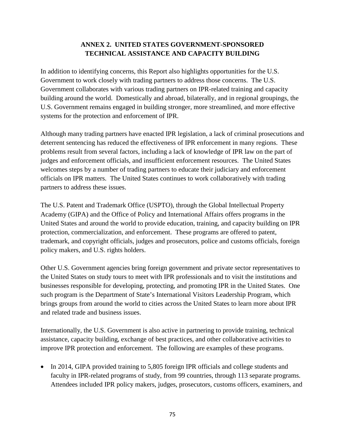# **ANNEX 2. UNITED STATES GOVERNMENT-SPONSORED TECHNICAL ASSISTANCE AND CAPACITY BUILDING**

In addition to identifying concerns, this Report also highlights opportunities for the U.S. Government to work closely with trading partners to address those concerns. The U.S. Government collaborates with various trading partners on IPR-related training and capacity building around the world. Domestically and abroad, bilaterally, and in regional groupings, the U.S. Government remains engaged in building stronger, more streamlined, and more effective systems for the protection and enforcement of IPR.

Although many trading partners have enacted IPR legislation, a lack of criminal prosecutions and deterrent sentencing has reduced the effectiveness of IPR enforcement in many regions. These problems result from several factors, including a lack of knowledge of IPR law on the part of judges and enforcement officials, and insufficient enforcement resources. The United States welcomes steps by a number of trading partners to educate their judiciary and enforcement officials on IPR matters. The United States continues to work collaboratively with trading partners to address these issues.

The U.S. Patent and Trademark Office (USPTO), through the Global Intellectual Property Academy (GIPA) and the Office of Policy and International Affairs offers programs in the United States and around the world to provide education, training, and capacity building on IPR protection, commercialization, and enforcement. These programs are offered to patent, trademark, and copyright officials, judges and prosecutors, police and customs officials, foreign policy makers, and U.S. rights holders.

Other U.S. Government agencies bring foreign government and private sector representatives to the United States on study tours to meet with IPR professionals and to visit the institutions and businesses responsible for developing, protecting, and promoting IPR in the United States. One such program is the Department of State's International Visitors Leadership Program, which brings groups from around the world to cities across the United States to learn more about IPR and related trade and business issues.

Internationally, the U.S. Government is also active in partnering to provide training, technical assistance, capacity building, exchange of best practices, and other collaborative activities to improve IPR protection and enforcement. The following are examples of these programs.

• In 2014, GIPA provided training to 5,805 foreign IPR officials and college students and faculty in IPR-related programs of study, from 99 countries, through 113 separate programs. Attendees included IPR policy makers, judges, prosecutors, customs officers, examiners, and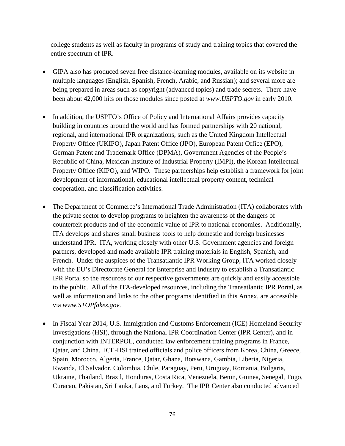college students as well as faculty in programs of study and training topics that covered the entire spectrum of IPR.

- GIPA also has produced seven free distance-learning modules, available on its website in multiple languages (English, Spanish, French, Arabic, and Russian); and several more are being prepared in areas such as copyright (advanced topics) and trade secrets. There have been about 42,000 hits on those modules since posted at *www.USPTO.gov* in early 2010.
- In addition, the USPTO's Office of Policy and International Affairs provides capacity building in countries around the world and has formed partnerships with 20 national, regional, and international IPR organizations, such as the United Kingdom Intellectual Property Office (UKIPO), Japan Patent Office (JPO), European Patent Office (EPO), German Patent and Trademark Office (DPMA), Government Agencies of the People's Republic of China, Mexican Institute of Industrial Property (IMPI), the Korean Intellectual Property Office (KIPO), and WIPO. These partnerships help establish a framework for joint development of informational, educational intellectual property content, technical cooperation, and classification activities.
- The Department of Commerce's International Trade Administration (ITA) collaborates with the private sector to develop programs to heighten the awareness of the dangers of counterfeit products and of the economic value of IPR to national economies. Additionally, ITA develops and shares small business tools to help domestic and foreign businesses understand IPR. ITA, working closely with other U.S. Government agencies and foreign partners, developed and made available IPR training materials in English, Spanish, and French. Under the auspices of the Transatlantic IPR Working Group, ITA worked closely with the EU's Directorate General for Enterprise and Industry to establish a Transatlantic IPR Portal so the resources of our respective governments are quickly and easily accessible to the public. All of the ITA-developed resources, including the Transatlantic IPR Portal, as well as information and links to the other programs identified in this Annex, are accessible via *www.STOPfakes.gov*.
- In Fiscal Year 2014, U.S. Immigration and Customs Enforcement (ICE) Homeland Security Investigations (HSI), through the National IPR Coordination Center (IPR Center), and in conjunction with INTERPOL, conducted law enforcement training programs in France, Qatar, and China. ICE-HSI trained officials and police officers from Korea, China, Greece, Spain, Morocco, Algeria, France, Qatar, Ghana, Botswana, Gambia, Liberia, Nigeria, Rwanda, El Salvador, Colombia, Chile, Paraguay, Peru, Uruguay, Romania, Bulgaria, Ukraine, Thailand, Brazil, Honduras, Costa Rica, Venezuela, Benin, Guinea, Senegal, Togo, Curacao, Pakistan, Sri Lanka, Laos, and Turkey. The IPR Center also conducted advanced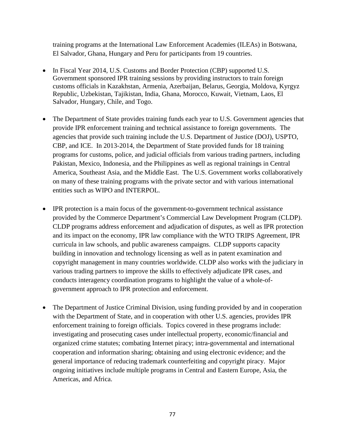training programs at the International Law Enforcement Academies (ILEAs) in Botswana, El Salvador, Ghana, Hungary and Peru for participants from 19 countries.

- In Fiscal Year 2014, U.S. Customs and Border Protection (CBP) supported U.S. Government sponsored IPR training sessions by providing instructors to train foreign customs officials in Kazakhstan, Armenia, Azerbaijan, Belarus, Georgia, Moldova, Kyrgyz Republic, Uzbekistan, Tajikistan, India, Ghana, Morocco, Kuwait, Vietnam, Laos, El Salvador, Hungary, Chile, and Togo.
- The Department of State provides training funds each year to U.S. Government agencies that provide IPR enforcement training and technical assistance to foreign governments. The agencies that provide such training include the U.S. Department of Justice (DOJ), USPTO, CBP, and ICE. In 2013-2014, the Department of State provided funds for 18 training programs for customs, police, and judicial officials from various trading partners, including Pakistan, Mexico, Indonesia, and the Philippines as well as regional trainings in Central America, Southeast Asia, and the Middle East. The U.S. Government works collaboratively on many of these training programs with the private sector and with various international entities such as WIPO and INTERPOL.
- IPR protection is a main focus of the government-to-government technical assistance provided by the Commerce Department's Commercial Law Development Program (CLDP). CLDP programs address enforcement and adjudication of disputes, as well as IPR protection and its impact on the economy, IPR law compliance with the WTO TRIPS Agreement, IPR curricula in law schools, and public awareness campaigns. CLDP supports capacity building in innovation and technology licensing as well as in patent examination and copyright management in many countries worldwide. CLDP also works with the judiciary in various trading partners to improve the skills to effectively adjudicate IPR cases, and conducts interagency coordination programs to highlight the value of a whole-ofgovernment approach to IPR protection and enforcement.
- The Department of Justice Criminal Division, using funding provided by and in cooperation with the Department of State, and in cooperation with other U.S. agencies, provides IPR enforcement training to foreign officials. Topics covered in these programs include: investigating and prosecuting cases under intellectual property, economic/financial and organized crime statutes; combating Internet piracy; intra-governmental and international cooperation and information sharing; obtaining and using electronic evidence; and the general importance of reducing trademark counterfeiting and copyright piracy. Major ongoing initiatives include multiple programs in Central and Eastern Europe, Asia, the Americas, and Africa.